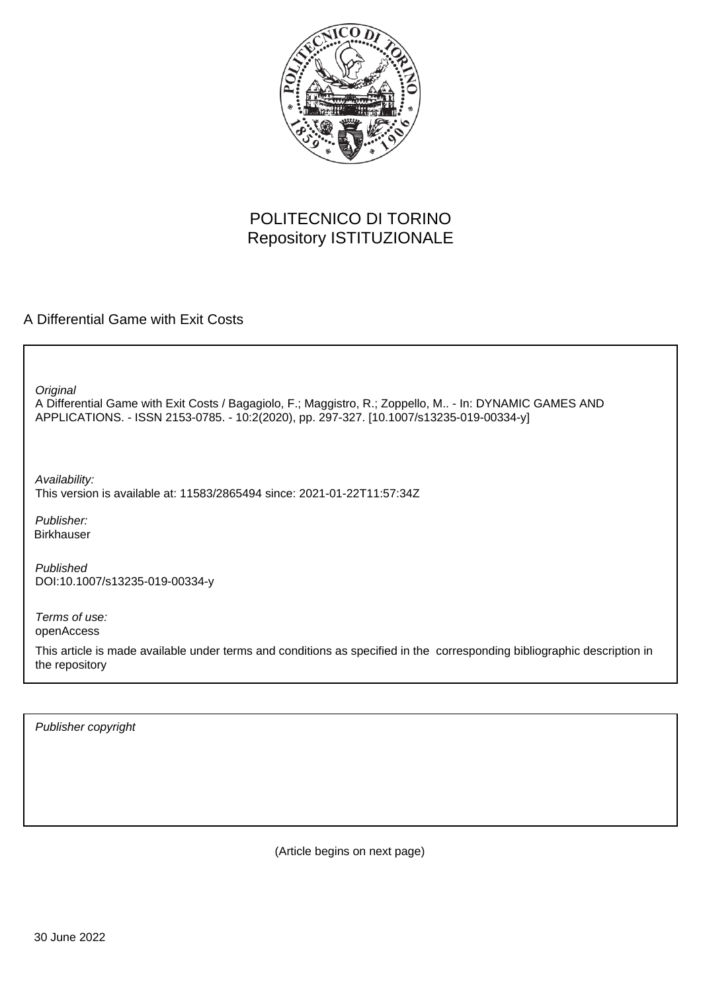

# POLITECNICO DI TORINO Repository ISTITUZIONALE

A Differential Game with Exit Costs

A Differential Game with Exit Costs / Bagagiolo, F.; Maggistro, R.; Zoppello, M.. - In: DYNAMIC GAMES AND APPLICATIONS. - ISSN 2153-0785. - 10:2(2020), pp. 297-327. [10.1007/s13235-019-00334-y] **Original** 

Availability: This version is available at: 11583/2865494 since: 2021-01-22T11:57:34Z

Publisher: Birkhauser

Published DOI:10.1007/s13235-019-00334-y

Terms of use: openAccess

This article is made available under terms and conditions as specified in the corresponding bibliographic description in the repository

Publisher copyright

(Article begins on next page)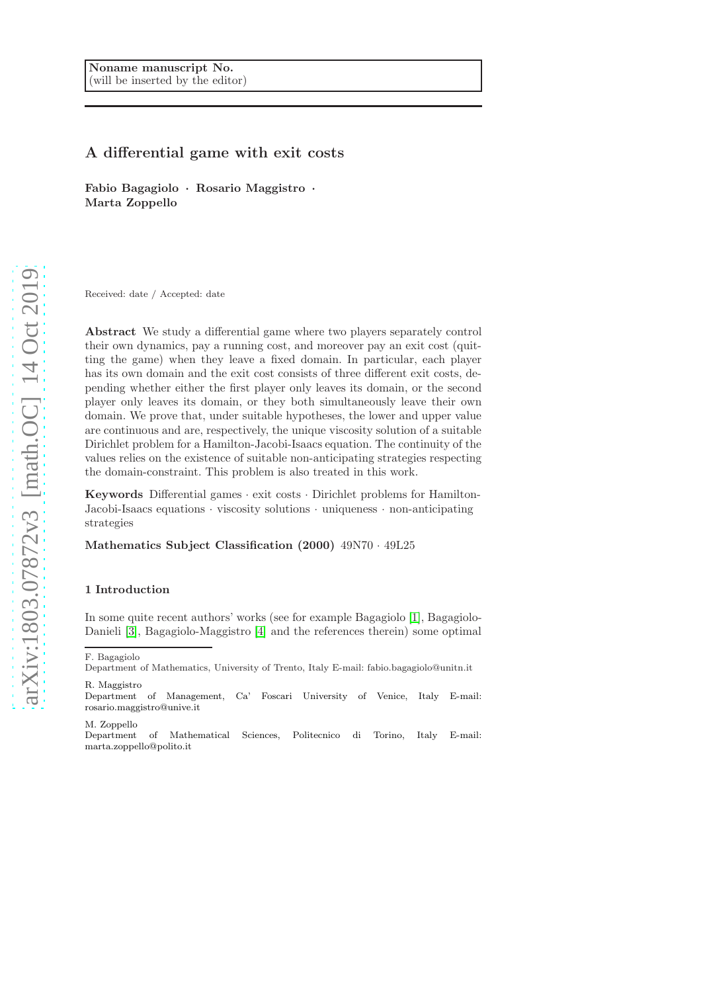# A differential game with exit costs

Fabio Bagagiolo · Rosario Maggistro · Marta Zoppello

Received: date / Accepted: date

Abstract We study a differential game where two players separately control their own dynamics, pay a running cost, and moreover pay an exit cost (quitting the game) when they leave a fixed domain. In particular, each player has its own domain and the exit cost consists of three different exit costs, depending whether either the first player only leaves its domain, or the second player only leaves its domain, or they both simultaneously leave their own domain. We prove that, under suitable hypotheses, the lower and upper value are continuous and are, respectively, the unique viscosity solution of a suitable Dirichlet problem for a Hamilton-Jacobi-Isaacs equation. The continuity of the values relies on the existence of suitable non-anticipating strategies respecting the domain-constraint. This problem is also treated in this work.

Keywords Differential games · exit costs · Dirichlet problems for Hamilton-Jacobi-Isaacs equations · viscosity solutions · uniqueness · non-anticipating strategies

Mathematics Subject Classification (2000) 49N70 · 49L25

## 1 Introduction

In some quite recent authors' works (see for example Bagagiolo [1], Bagagiolo-Danieli [3], Bagagiolo-Maggistro [4] and the references therein) some optimal

M. Zoppello

F. Bagagiolo

Department of Mathematics, University of Trento, Italy E-mail: fabio.bagagiolo@unitn.it

R. Maggistro

Department of Management, Ca' Foscari University of Venice, Italy E-mail: rosario.maggistro@unive.it

Department of Mathematical Sciences, Politecnico di Torino, Italy E-mail: marta.zoppello@polito.it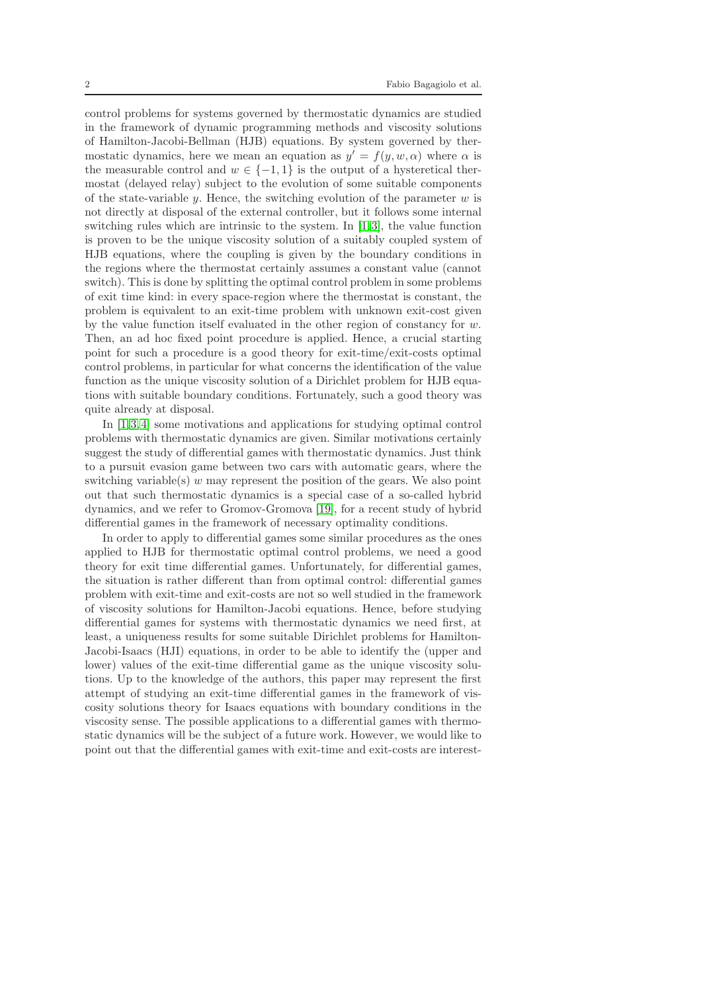control problems for systems governed by thermostatic dynamics are studied in the framework of dynamic programming methods and viscosity solutions of Hamilton-Jacobi-Bellman (HJB) equations. By system governed by thermostatic dynamics, here we mean an equation as  $y' = f(y, w, \alpha)$  where  $\alpha$  is the measurable control and  $w \in \{-1,1\}$  is the output of a hysteretical thermostat (delayed relay) subject to the evolution of some suitable components of the state-variable y. Hence, the switching evolution of the parameter  $w$  is not directly at disposal of the external controller, but it follows some internal switching rules which are intrinsic to the system. In  $[1,3]$ , the value function is proven to be the unique viscosity solution of a suitably coupled system of HJB equations, where the coupling is given by the boundary conditions in the regions where the thermostat certainly assumes a constant value (cannot switch). This is done by splitting the optimal control problem in some problems of exit time kind: in every space-region where the thermostat is constant, the problem is equivalent to an exit-time problem with unknown exit-cost given by the value function itself evaluated in the other region of constancy for  $w$ . Then, an ad hoc fixed point procedure is applied. Hence, a crucial starting point for such a procedure is a good theory for exit-time/exit-costs optimal control problems, in particular for what concerns the identification of the value function as the unique viscosity solution of a Dirichlet problem for HJB equations with suitable boundary conditions. Fortunately, such a good theory was quite already at disposal.

In [1,3,4] some motivations and applications for studying optimal control problems with thermostatic dynamics are given. Similar motivations certainly suggest the study of differential games with thermostatic dynamics. Just think to a pursuit evasion game between two cars with automatic gears, where the switching variable(s)  $w$  may represent the position of the gears. We also point out that such thermostatic dynamics is a special case of a so-called hybrid dynamics, and we refer to Gromov-Gromova [19], for a recent study of hybrid differential games in the framework of necessary optimality conditions.

In order to apply to differential games some similar procedures as the ones applied to HJB for thermostatic optimal control problems, we need a good theory for exit time differential games. Unfortunately, for differential games, the situation is rather different than from optimal control: differential games problem with exit-time and exit-costs are not so well studied in the framework of viscosity solutions for Hamilton-Jacobi equations. Hence, before studying differential games for systems with thermostatic dynamics we need first, at least, a uniqueness results for some suitable Dirichlet problems for Hamilton-Jacobi-Isaacs (HJI) equations, in order to be able to identify the (upper and lower) values of the exit-time differential game as the unique viscosity solutions. Up to the knowledge of the authors, this paper may represent the first attempt of studying an exit-time differential games in the framework of viscosity solutions theory for Isaacs equations with boundary conditions in the viscosity sense. The possible applications to a differential games with thermostatic dynamics will be the subject of a future work. However, we would like to point out that the differential games with exit-time and exit-costs are interest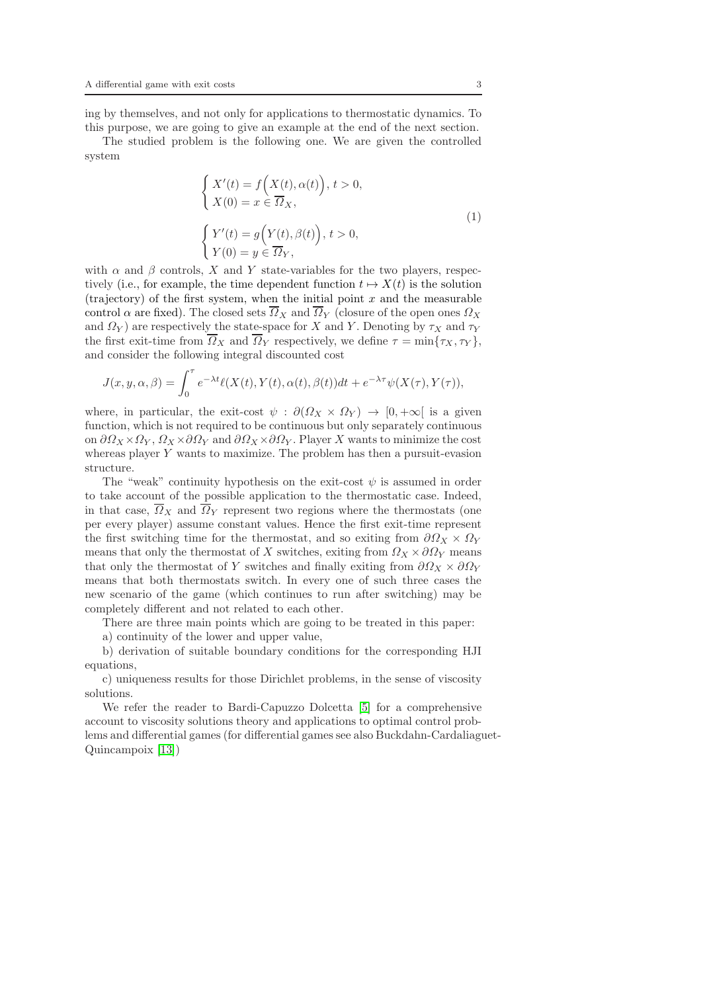ing by themselves, and not only for applications to thermostatic dynamics. To

this purpose, we are going to give an example at the end of the next section. The studied problem is the following one. We are given the controlled system

$$
\begin{cases}\nX'(t) = f\left(X(t), \alpha(t)\right), t > 0, \\
X(0) = x \in \overline{\Omega}_X, \\
\left\{Y'(t) = g\left(Y(t), \beta(t)\right), t > 0, \\
Y(0) = y \in \overline{\Omega}_Y,\n\end{cases}
$$
\n(1)

with  $\alpha$  and  $\beta$  controls, X and Y state-variables for the two players, respectively (i.e., for example, the time dependent function  $t \mapsto X(t)$  is the solution (trajectory) of the first system, when the initial point  $x$  and the measurable control  $\alpha$  are fixed). The closed sets  $\overline{\Omega}_X$  and  $\overline{\Omega}_Y$  (closure of the open ones  $\Omega_X$ and  $\Omega_Y$ ) are respectively the state-space for X and Y. Denoting by  $\tau_X$  and  $\tau_Y$ the first exit-time from  $\overline{\Omega}_X$  and  $\overline{\Omega}_Y$  respectively, we define  $\tau = \min\{\tau_X, \tau_Y\},$ and consider the following integral discounted cost

$$
J(x, y, \alpha, \beta) = \int_0^{\tau} e^{-\lambda t} \ell(X(t), Y(t), \alpha(t), \beta(t)) dt + e^{-\lambda \tau} \psi(X(\tau), Y(\tau)),
$$

where, in particular, the exit-cost  $\psi : \partial(\Omega_X \times \Omega_Y) \to [0, +\infty]$  is a given function, which is not required to be continuous but only separately continuous on  $\partial \Omega_X \times \Omega_Y$ ,  $\Omega_X \times \partial \Omega_Y$  and  $\partial \Omega_X \times \partial \Omega_Y$ . Player X wants to minimize the cost whereas player Y wants to maximize. The problem has then a pursuit-evasion structure.

The "weak" continuity hypothesis on the exit-cost  $\psi$  is assumed in order to take account of the possible application to the thermostatic case. Indeed, in that case,  $\overline{\Omega}_X$  and  $\overline{\Omega}_Y$  represent two regions where the thermostats (one per every player) assume constant values. Hence the first exit-time represent the first switching time for the thermostat, and so exiting from  $\partial \Omega_X \times \Omega_Y$ means that only the thermostat of X switches, exiting from  $\Omega_X \times \partial \Omega_Y$  means that only the thermostat of Y switches and finally exiting from  $\partial \Omega_X \times \partial \Omega_Y$ means that both thermostats switch. In every one of such three cases the new scenario of the game (which continues to run after switching) may be completely different and not related to each other.

There are three main points which are going to be treated in this paper: a) continuity of the lower and upper value,

b) derivation of suitable boundary conditions for the corresponding HJI equations,

c) uniqueness results for those Dirichlet problems, in the sense of viscosity solutions.

We refer the reader to Bardi-Capuzzo Dolcetta [5] for a comprehensive account to viscosity solutions theory and applications to optimal control problems and differential games (for differential games see also Buckdahn-Cardaliaguet-Quincampoix [13])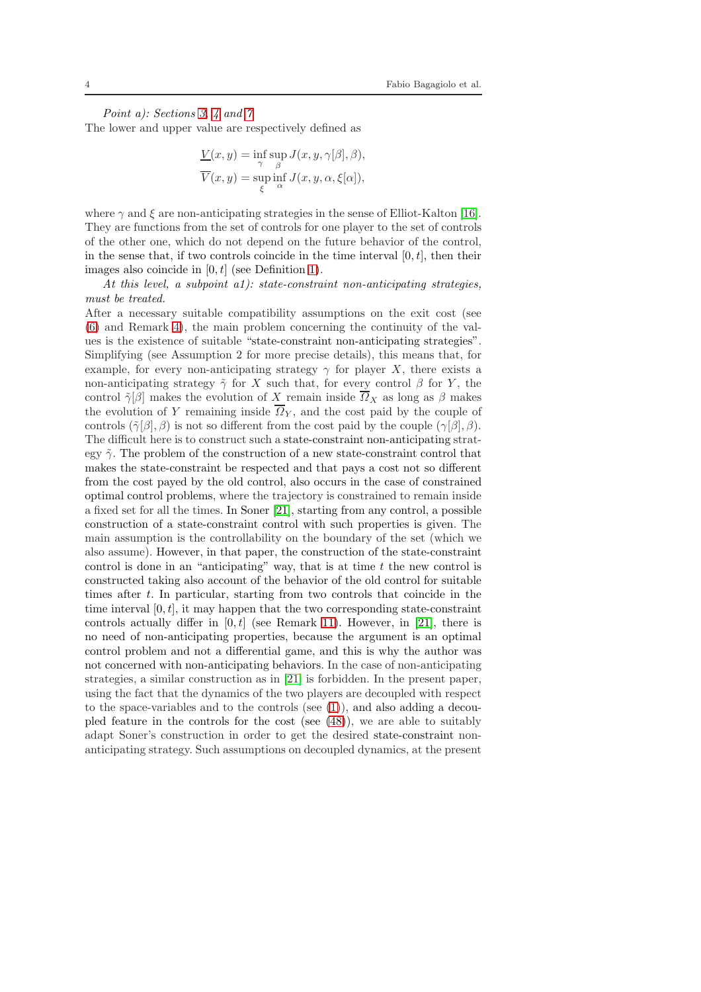Point a): Sections 3, 4 and 7.

The lower and upper value are respectively defined as

$$
\frac{V(x,y)}{\nabla(x,y)} = \inf_{\gamma} \sup_{\beta} J(x,y,\gamma[\beta],\beta),
$$
  

$$
\overline{V}(x,y) = \sup_{\xi} \inf_{\alpha} J(x,y,\alpha,\xi[\alpha]),
$$

where  $\gamma$  and  $\xi$  are non-anticipating strategies in the sense of Elliot-Kalton [16]. They are functions from the set of controls for one player to the set of controls of the other one, which do not depend on the future behavior of the control, in the sense that, if two controls coincide in the time interval  $[0, t]$ , then their images also coincide in  $[0, t]$  (see Definition 1).

At this level, a subpoint a1): state-constraint non-anticipating strategies, must be treated.

After a necessary suitable compatibility assumptions on the exit cost (see (6) and Remark 4), the main problem concerning the continuity of the values is the existence of suitable "state-constraint non-anticipating strategies". Simplifying (see Assumption 2 for more precise details), this means that, for example, for every non-anticipating strategy  $\gamma$  for player X, there exists a non-anticipating strategy  $\tilde{\gamma}$  for X such that, for every control  $\beta$  for Y, the control  $\tilde{\gamma}[\beta]$  makes the evolution of X remain inside  $\overline{\Omega}_X$  as long as  $\beta$  makes the evolution of Y remaining inside  $\overline{\Omega}_Y$ , and the cost paid by the couple of controls  $(\tilde{\gamma}|\beta|,\beta)$  is not so different from the cost paid by the couple  $(\gamma|\beta|,\beta)$ . The difficult here is to construct such a state-constraint non-anticipating strategy  $\tilde{\gamma}$ . The problem of the construction of a new state-constraint control that makes the state-constraint be respected and that pays a cost not so different from the cost payed by the old control, also occurs in the case of constrained optimal control problems, where the trajectory is constrained to remain inside a fixed set for all the times. In Soner [21], starting from any control, a possible construction of a state-constraint control with such properties is given. The main assumption is the controllability on the boundary of the set (which we also assume). However, in that paper, the construction of the state-constraint control is done in an "anticipating" way, that is at time  $t$  the new control is constructed taking also account of the behavior of the old control for suitable times after t. In particular, starting from two controls that coincide in the time interval  $[0, t]$ , it may happen that the two corresponding state-constraint controls actually differ in  $[0, t]$  (see Remark 11). However, in [21], there is no need of non-anticipating properties, because the argument is an optimal control problem and not a differential game, and this is why the author was not concerned with non-anticipating behaviors. In the case of non-anticipating strategies, a similar construction as in [21] is forbidden. In the present paper, using the fact that the dynamics of the two players are decoupled with respect to the space-variables and to the controls (see  $(1)$ ), and also adding a decoupled feature in the controls for the cost (see (48)), we are able to suitably adapt Soner's construction in order to get the desired state-constraint nonanticipating strategy. Such assumptions on decoupled dynamics, at the present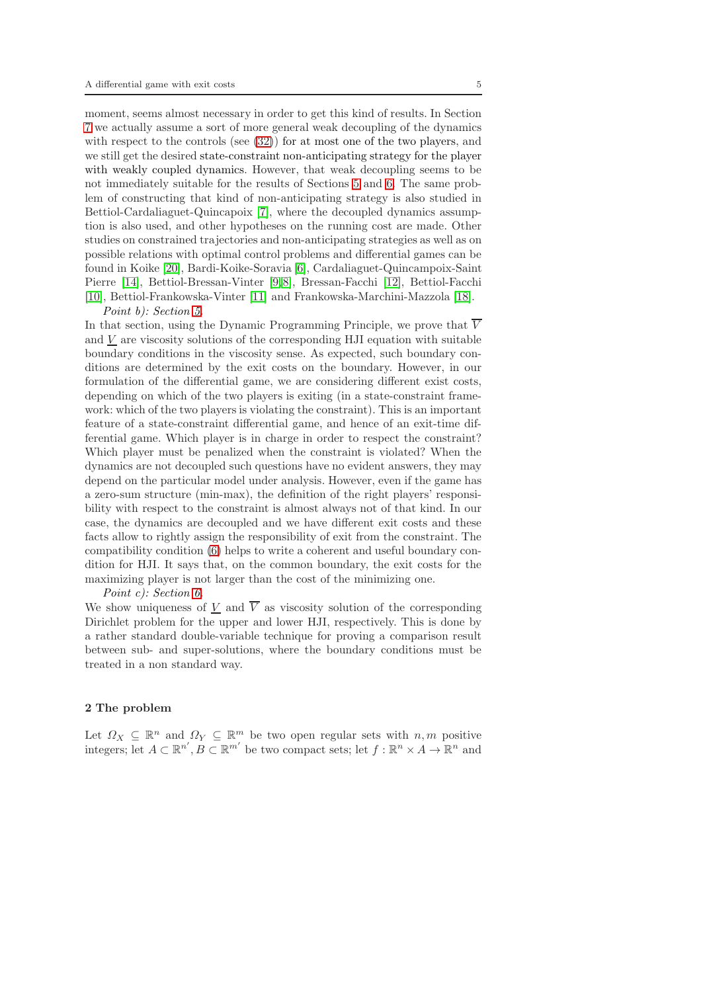moment, seems almost necessary in order to get this kind of results. In Section 7 we actually assume a sort of more general weak decoupling of the dynamics with respect to the controls (see  $(32)$ ) for at most one of the two players, and we still get the desired state-constraint non-anticipating strategy for the player with weakly coupled dynamics. However, that weak decoupling seems to be not immediately suitable for the results of Sections 5 and 6. The same problem of constructing that kind of non-anticipating strategy is also studied in Bettiol-Cardaliaguet-Quincapoix [7], where the decoupled dynamics assumption is also used, and other hypotheses on the running cost are made. Other studies on constrained trajectories and non-anticipating strategies as well as on possible relations with optimal control problems and differential games can be found in Koike [20], Bardi-Koike-Soravia [6], Cardaliaguet-Quincampoix-Saint Pierre [14], Bettiol-Bressan-Vinter [9,8], Bressan-Facchi [12], Bettiol-Facchi [10], Bettiol-Frankowska-Vinter [11] and Frankowska-Marchini-Mazzola [18]. Point b): Section 5.

In that section, using the Dynamic Programming Principle, we prove that  $\overline{V}$ and  $\underline{V}$  are viscosity solutions of the corresponding HJI equation with suitable boundary conditions in the viscosity sense. As expected, such boundary conditions are determined by the exit costs on the boundary. However, in our formulation of the differential game, we are considering different exist costs, depending on which of the two players is exiting (in a state-constraint framework: which of the two players is violating the constraint). This is an important feature of a state-constraint differential game, and hence of an exit-time differential game. Which player is in charge in order to respect the constraint? Which player must be penalized when the constraint is violated? When the dynamics are not decoupled such questions have no evident answers, they may depend on the particular model under analysis. However, even if the game has a zero-sum structure (min-max), the definition of the right players' responsibility with respect to the constraint is almost always not of that kind. In our case, the dynamics are decoupled and we have different exit costs and these facts allow to rightly assign the responsibility of exit from the constraint. The compatibility condition (6) helps to write a coherent and useful boundary condition for HJI. It says that, on the common boundary, the exit costs for the maximizing player is not larger than the cost of the minimizing one.

Point c): Section 6.

We show uniqueness of V and  $\overline{V}$  as viscosity solution of the corresponding Dirichlet problem for the upper and lower HJI, respectively. This is done by a rather standard double-variable technique for proving a comparison result between sub- and super-solutions, where the boundary conditions must be treated in a non standard way.

#### 2 The problem

Let  $\Omega_X \subseteq \mathbb{R}^n$  and  $\Omega_Y \subseteq \mathbb{R}^m$  be two open regular sets with  $n, m$  positive integers; let  $A \subset \mathbb{R}^{n'}$ ,  $B \subset \mathbb{R}^{m'}$  be two compact sets; let  $f : \mathbb{R}^{n} \times A \to \mathbb{R}^{n}$  and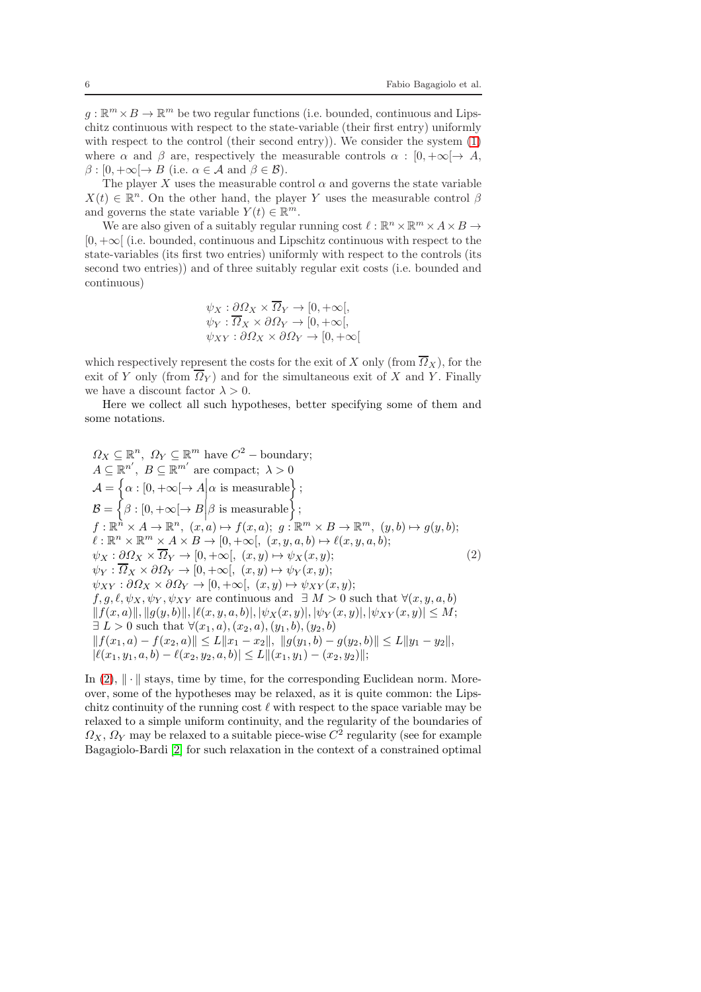$g: \mathbb{R}^m \times B \to \mathbb{R}^m$  be two regular functions (i.e. bounded, continuous and Lipschitz continuous with respect to the state-variable (their first entry) uniformly with respect to the control (their second entry)). We consider the system  $(1)$ where  $\alpha$  and  $\beta$  are, respectively the measurable controls  $\alpha : [0, +\infty] \rightarrow A$ ,  $\beta$ :  $[0, +\infty] \to B$  (i.e.  $\alpha \in \mathcal{A}$  and  $\beta \in \mathcal{B}$ ).

The player X uses the measurable control  $\alpha$  and governs the state variable  $X(t) \in \mathbb{R}^n$ . On the other hand, the player Y uses the measurable control  $\beta$ and governs the state variable  $Y(t) \in \mathbb{R}^m$ .

We are also given of a suitably regular running cost  $\ell : \mathbb{R}^n \times \mathbb{R}^m \times A \times B \to$  $[0, +\infty]$  (i.e. bounded, continuous and Lipschitz continuous with respect to the state-variables (its first two entries) uniformly with respect to the controls (its second two entries)) and of three suitably regular exit costs (i.e. bounded and continuous)

$$
\psi_X : \frac{\partial \Omega_X \times \overline{\Omega}_Y \to [0, +\infty[,}{\overline{\Omega}_X \times \partial \Omega_Y \to [0, +\infty[,}
$$
  

$$
\psi_{XY} : \partial \Omega_X \times \partial \Omega_Y \to [0, +\infty[
$$

which respectively represent the costs for the exit of X only (from  $\overline{\Omega}_X$ ), for the exit of Y only (from  $\overline{\Omega}_Y$ ) and for the simultaneous exit of X and Y. Finally we have a discount factor  $\lambda > 0$ .

Here we collect all such hypotheses, better specifying some of them and some notations.

$$
\Omega_X \subseteq \mathbb{R}^n, \Omega_Y \subseteq \mathbb{R}^m \text{ have } C^2 - \text{boundary};
$$
\n
$$
A \subseteq \mathbb{R}^{n'}, \ B \subseteq \mathbb{R}^{m'} \text{ are compact}; \ \lambda > 0
$$
\n
$$
\mathcal{A} = \left\{ \alpha : [0, +\infty[ \to A] \alpha \text{ is measurable} \right\};
$$
\n
$$
\mathcal{B} = \left\{ \beta : [0, +\infty[ \to B] \beta \text{ is measurable} \right\};
$$
\n
$$
f : \mathbb{R}^n \times A \to \mathbb{R}^n, (x, a) \mapsto f(x, a); \ g : \mathbb{R}^m \times B \to \mathbb{R}^m, (y, b) \mapsto g(y, b);
$$
\n
$$
\ell : \mathbb{R}^n \times \mathbb{R}^m \times A \times B \to [0, +\infty[, (x, y, a, b) \mapsto \ell(x, y, a, b);
$$
\n
$$
\psi_X : \partial \Omega_X \times \overline{\Omega_Y} \to [0, +\infty[, (x, y) \mapsto \psi_X(x, y);
$$
\n
$$
\psi_X : \partial \Omega_X \times \partial \Omega_Y \to [0, +\infty[, (x, y) \mapsto \psi_Y(x, y);
$$
\n
$$
f, g, \ell, \psi_X, \psi_Y, \psi_{XY} \text{ are continuous and } \exists M > 0 \text{ such that } \forall (x, y, a, b)
$$
\n
$$
||f(x, a)||, ||g(y, b)||, |l(x, y, a, b)|, |\psi_X(x, y)|, |\psi_Y(x, y)|, |\psi_{XY}(x, y)| \le M;
$$
\n
$$
\exists L > 0 \text{ such that } \forall (x_1, a), (x_2, a), (y_1, b), (y_2, b)
$$
\n
$$
||f(x_1, a) - f(x_2, a)|| \le L ||x_1 - x_2||, ||g(y_1, b) - g(y_2, b)|| \le L ||y_1 - y_2||,
$$
\n
$$
|l(x_1, y_1, a, b) - l(x_2, y_2, a, b)| \le L ||(x_1, y_1) - (x_2, y_2)||;
$$

In  $(2)$ ,  $\|\cdot\|$  stays, time by time, for the corresponding Euclidean norm. Moreover, some of the hypotheses may be relaxed, as it is quite common: the Lipschitz continuity of the running cost  $\ell$  with respect to the space variable may be relaxed to a simple uniform continuity, and the regularity of the boundaries of  $\Omega_X, \Omega_Y$  may be relaxed to a suitable piece-wise  $C^2$  regularity (see for example Bagagiolo-Bardi [2] for such relaxation in the context of a constrained optimal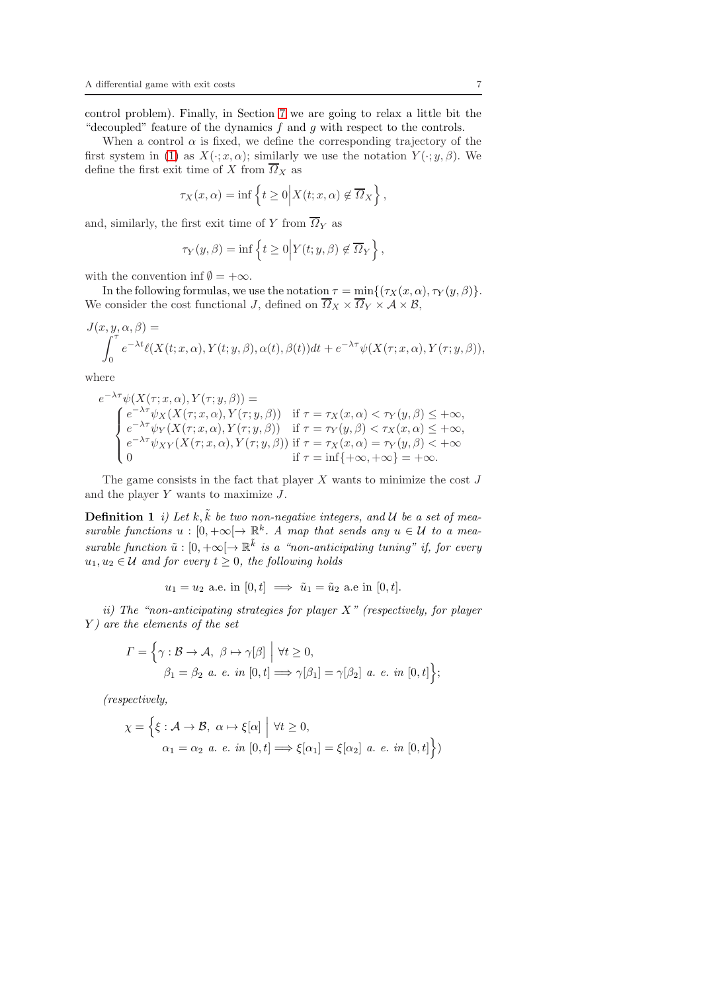control problem). Finally, in Section 7 we are going to relax a little bit the "decoupled" feature of the dynamics  $f$  and  $g$  with respect to the controls.

When a control  $\alpha$  is fixed, we define the corresponding trajectory of the first system in (1) as  $X(\cdot; x, \alpha)$ ; similarly we use the notation  $Y(\cdot; y, \beta)$ . We define the first exit time of X from  $\overline{\Omega}_X$  as

$$
\tau_X(x,\alpha) = \inf \left\{ t \ge 0 \middle| X(t;x,\alpha) \notin \overline{\Omega}_X \right\},\
$$

and, similarly, the first exit time of Y from  $\overline{\Omega}_Y$  as

$$
\tau_Y(y,\beta) = \inf \left\{ t \ge 0 \middle| Y(t; y, \beta) \notin \overline{\Omega}_Y \right\},\
$$

with the convention inf  $\emptyset = +\infty$ .

In the following formulas, we use the notation  $\tau = \min\{(\tau_X(x, \alpha), \tau_Y(y, \beta)\}.$ We consider the cost functional J, defined on  $\overline{\Omega}_X \times \overline{\Omega}_Y \times \mathcal{A} \times \mathcal{B}$ ,

$$
J(x, y, \alpha, \beta) =
$$
  

$$
\int_0^{\tau} e^{-\lambda t} \ell(X(t; x, \alpha), Y(t; y, \beta), \alpha(t), \beta(t)) dt + e^{-\lambda \tau} \psi(X(\tau; x, \alpha), Y(\tau; y, \beta)),
$$

where

$$
e^{-\lambda \tau} \psi(X(\tau; x, \alpha), Y(\tau; y, \beta)) =
$$
\n
$$
\begin{cases}\ne^{-\lambda \tau} \psi_X(X(\tau; x, \alpha), Y(\tau; y, \beta)) & \text{if } \tau = \tau_X(x, \alpha) < \tau_Y(y, \beta) \le +\infty, \\
e^{-\lambda \tau} \psi_Y(X(\tau; x, \alpha), Y(\tau; y, \beta)) & \text{if } \tau = \tau_Y(y, \beta) < \tau_X(x, \alpha) \le +\infty, \\
e^{-\lambda \tau} \psi_{XY}(X(\tau; x, \alpha), Y(\tau; y, \beta)) & \text{if } \tau = \tau_X(x, \alpha) = \tau_Y(y, \beta) < +\infty \\
0 & \text{if } \tau = \inf\{+\infty, +\infty\} = +\infty.\n\end{cases}
$$

The game consists in the fact that player  $X$  wants to minimize the cost  $J$ and the player Y wants to maximize J.

**Definition 1** i) Let k,  $\tilde{k}$  be two non-negative integers, and U be a set of measurable functions  $u : [0, +\infty[ \to \mathbb{R}^k]$ . A map that sends any  $u \in \mathcal{U}$  to a measurable function  $\tilde{u} : [0, +\infty[ \to \mathbb{R}^{\tilde{k}}]$  is a "non-anticipating tuning" if, for every  $u_1, u_2 \in \mathcal{U}$  and for every  $t \geq 0$ , the following holds

 $u_1 = u_2$  a.e. in  $[0, t] \implies \tilde{u}_1 = \tilde{u}_2$  a.e in  $[0, t]$ .

ii) The "non-anticipating strategies for player  $X$ " (respectively, for player Y ) are the elements of the set

$$
\Gamma = \left\{ \gamma : \mathcal{B} \to \mathcal{A}, \ \beta \mapsto \gamma[\beta] \ \middle| \ \forall t \ge 0, \right\}
$$

$$
\beta_1 = \beta_2 \ a. \ e. \ in \ [0, t] \Longrightarrow \gamma[\beta_1] = \gamma[\beta_2] \ a. \ e. \ in \ [0, t] \right\};
$$

(respectively,

$$
\chi = \left\{ \xi : \mathcal{A} \to \mathcal{B}, \ \alpha \mapsto \xi[\alpha] \ \middle| \ \forall t \ge 0, \right\}
$$

$$
\alpha_1 = \alpha_2 \ a. \ e. \ in \ [0, t] \Longrightarrow \xi[\alpha_1] = \xi[\alpha_2] \ a. \ e. \ in \ [0, t] \right\}
$$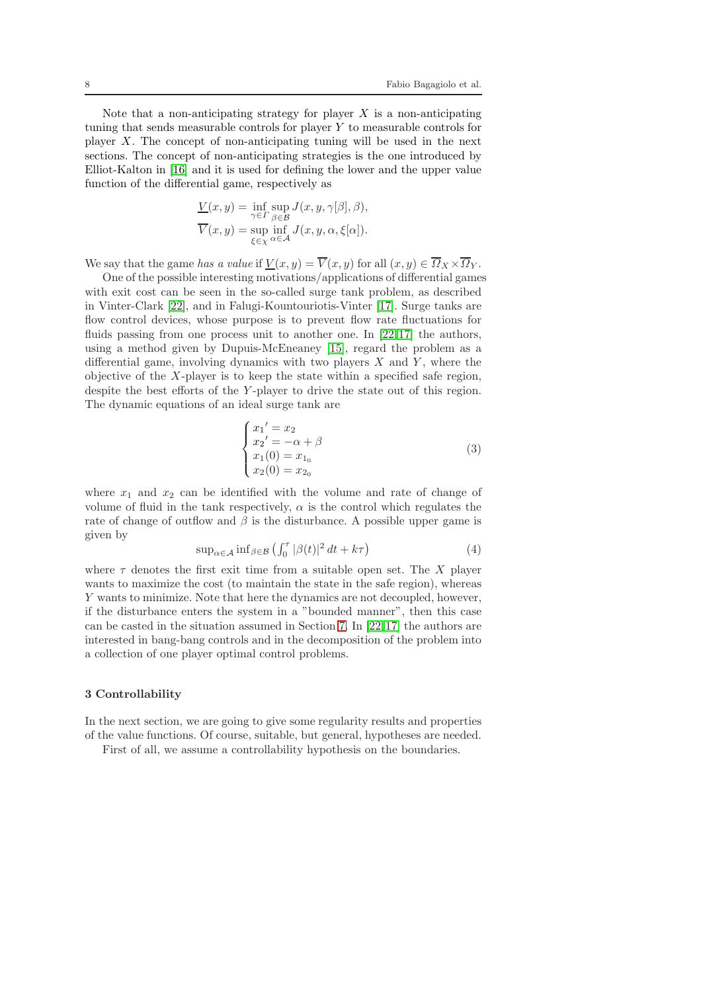Note that a non-anticipating strategy for player  $X$  is a non-anticipating tuning that sends measurable controls for player Y to measurable controls for player X. The concept of non-anticipating tuning will be used in the next sections. The concept of non-anticipating strategies is the one introduced by Elliot-Kalton in [16] and it is used for defining the lower and the upper value function of the differential game, respectively as

$$
\frac{V(x,y)}{V(x,y)} = \inf_{\gamma \in \Gamma} \sup_{\beta \in \mathcal{B}} J(x,y,\gamma[\beta],\beta),
$$
  

$$
\overline{V}(x,y) = \sup_{\xi \in \chi} \inf_{\alpha \in \mathcal{A}} J(x,y,\alpha,\xi[\alpha]).
$$

We say that the game has a value if  $\underline{V}(x, y) = \overline{V}(x, y)$  for all  $(x, y) \in \overline{\Omega}_X \times \overline{\Omega}_Y$ .

One of the possible interesting motivations/applications of differential games with exit cost can be seen in the so-called surge tank problem, as described in Vinter-Clark [22], and in Falugi-Kountouriotis-Vinter [17]. Surge tanks are flow control devices, whose purpose is to prevent flow rate fluctuations for fluids passing from one process unit to another one. In [22,17] the authors, using a method given by Dupuis-McEneaney [15], regard the problem as a differential game, involving dynamics with two players  $X$  and  $Y$ , where the objective of the  $X$ -player is to keep the state within a specified safe region, despite the best efforts of the Y-player to drive the state out of this region. The dynamic equations of an ideal surge tank are

$$
\begin{cases}\nx_1' = x_2 \\
x_2' = -\alpha + \beta \\
x_1(0) = x_{1_0} \\
x_2(0) = x_{2_0}\n\end{cases}
$$
\n(3)

where  $x_1$  and  $x_2$  can be identified with the volume and rate of change of volume of fluid in the tank respectively,  $\alpha$  is the control which regulates the rate of change of outflow and  $\beta$  is the disturbance. A possible upper game is given by

$$
\sup_{\alpha \in \mathcal{A}} \inf_{\beta \in \mathcal{B}} \left( \int_0^{\tau} |\beta(t)|^2 dt + k\tau \right) \tag{4}
$$

where  $\tau$  denotes the first exit time from a suitable open set. The X player wants to maximize the cost (to maintain the state in the safe region), whereas Y wants to minimize. Note that here the dynamics are not decoupled, however, if the disturbance enters the system in a "bounded manner", then this case can be casted in the situation assumed in Section 7. In [22,17] the authors are interested in bang-bang controls and in the decomposition of the problem into a collection of one player optimal control problems.

#### 3 Controllability

In the next section, we are going to give some regularity results and properties of the value functions. Of course, suitable, but general, hypotheses are needed.

First of all, we assume a controllability hypothesis on the boundaries.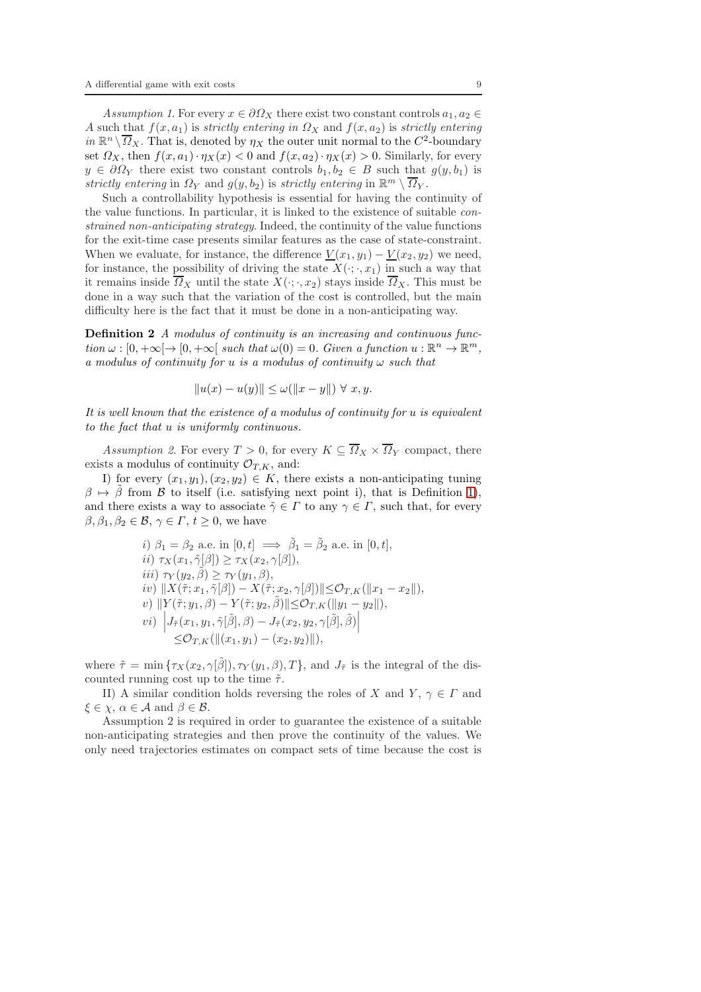Assumption 1. For every  $x \in \partial \Omega_X$  there exist two constant controls  $a_1, a_2 \in$ A such that  $f(x, a_1)$  is strictly entering in  $\Omega_X$  and  $f(x, a_2)$  is strictly entering in  $\mathbb{R}^n \setminus \overline{\Omega}_X$ . That is, denoted by  $\eta_X$  the outer unit normal to the  $C^2$ -boundary set  $\Omega_X$ , then  $f(x, a_1) \cdot \eta_X(x) < 0$  and  $f(x, a_2) \cdot \eta_X(x) > 0$ . Similarly, for every  $y \in \partial \Omega_Y$  there exist two constant controls  $b_1, b_2 \in B$  such that  $g(y, b_1)$  is strictly entering in  $\Omega_Y$  and  $g(y, b_2)$  is strictly entering in  $\mathbb{R}^m \setminus \overline{\Omega}_Y$ .

Such a controllability hypothesis is essential for having the continuity of the value functions. In particular, it is linked to the existence of suitable constrained non-anticipating strategy. Indeed, the continuity of the value functions for the exit-time case presents similar features as the case of state-constraint. When we evaluate, for instance, the difference  $V(x_1, y_1) - V(x_2, y_2)$  we need, for instance, the possibility of driving the state  $X(\cdot; \cdot, x_1)$  in such a way that it remains inside  $\overline{\Omega}_X$  until the state  $X(\cdot; \cdot, x_2)$  stays inside  $\overline{\Omega}_X$ . This must be done in a way such that the variation of the cost is controlled, but the main difficulty here is the fact that it must be done in a non-anticipating way.

Definition 2 A modulus of continuity is an increasing and continuous func- $\text{tion } \omega : [0, +\infty[ \to [0, +\infty[ \text{ such that } \omega(0) = 0. \text{ Given a function } u : \mathbb{R}^n \to \mathbb{R}^m,$ a modulus of continuity for u is a modulus of continuity  $\omega$  such that

$$
||u(x) - u(y)|| \le \omega(||x - y||) \ \forall \ x, y.
$$

It is well known that the existence of a modulus of continuity for u is equivalent to the fact that u is uniformly continuous.

Assumption 2. For every  $T > 0$ , for every  $K \subseteq \overline{\Omega}_X \times \overline{\Omega}_Y$  compact, there exists a modulus of continuity  $\mathcal{O}_{T,K}$ , and:

I) for every  $(x_1, y_1), (x_2, y_2) \in K$ , there exists a non-anticipating tuning  $\beta \mapsto \beta$  from B to itself (i.e. satisfying next point i), that is Definition 1), and there exists a way to associate  $\tilde{\gamma} \in \Gamma$  to any  $\gamma \in \Gamma$ , such that, for every  $\beta, \beta_1, \beta_2 \in \mathcal{B}, \gamma \in \Gamma, t \geq 0$ , we have

$$
i) \ \beta_1 = \beta_2 \text{ a.e. in } [0, t] \implies \tilde{\beta}_1 = \tilde{\beta}_2 \text{ a.e. in } [0, t],
$$
  
\n
$$
ii) \ \tau_X(x_1, \tilde{\gamma}[\beta]) \ge \tau_X(x_2, \gamma[\beta]),
$$
  
\n
$$
iii) \ \tau_Y(y_2, \tilde{\beta}) \ge \tau_Y(y_1, \beta),
$$
  
\n
$$
iv) \ \|X(\tilde{\tau}; x_1, \tilde{\gamma}[\beta]) - X(\tilde{\tau}; x_2, \gamma[\beta])\| \le \mathcal{O}_{T,K}(\|x_1 - x_2\|),
$$
  
\n
$$
v) \ \|Y(\tilde{\tau}; y_1, \beta) - Y(\tilde{\tau}; y_2, \tilde{\beta})\| \le \mathcal{O}_{T,K}(\|y_1 - y_2\|),
$$
  
\n
$$
vi) \ \Big| J_{\tilde{\tau}}(x_1, y_1, \tilde{\gamma}[\tilde{\beta}], \beta) - J_{\tilde{\tau}}(x_2, y_2, \gamma[\tilde{\beta}], \tilde{\beta}) \Big|
$$
  
\n
$$
\le \mathcal{O}_{T,K}(\|(x_1, y_1) - (x_2, y_2)\|),
$$

where  $\tilde{\tau} = \min \{ \tau_X(x_2, \gamma[\tilde{\beta}]), \tau_Y(y_1, \beta), T \}$ , and  $J_{\tilde{\tau}}$  is the integral of the discounted running cost up to the time  $\tilde{\tau}$ .

II) A similar condition holds reversing the roles of X and Y,  $\gamma \in \Gamma$  and  $\xi \in \chi, \, \alpha \in \mathcal{A}$  and  $\beta \in \mathcal{B}$ .

Assumption 2 is required in order to guarantee the existence of a suitable non-anticipating strategies and then prove the continuity of the values. We only need trajectories estimates on compact sets of time because the cost is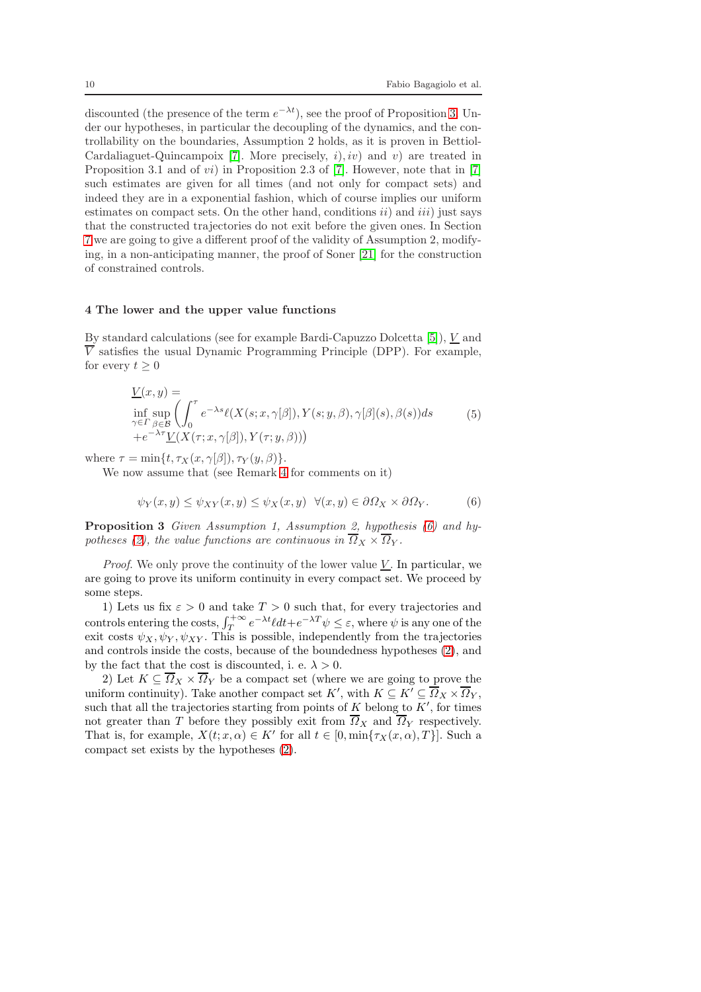discounted (the presence of the term  $e^{-\lambda t}$ ), see the proof of Proposition 3. Under our hypotheses, in particular the decoupling of the dynamics, and the controllability on the boundaries, Assumption 2 holds, as it is proven in Bettiol-Cardaliaguet-Quincampoix [7]. More precisely,  $i$ ,  $iv$ ) and v) are treated in Proposition 3.1 and of *vi*) in Proposition 2.3 of [7]. However, note that in [7] such estimates are given for all times (and not only for compact sets) and indeed they are in a exponential fashion, which of course implies our uniform estimates on compact sets. On the other hand, conditions  $ii)$  and  $iii)$  just says that the constructed trajectories do not exit before the given ones. In Section 7 we are going to give a different proof of the validity of Assumption 2, modifying, in a non-anticipating manner, the proof of Soner [21] for the construction of constrained controls.

#### 4 The lower and the upper value functions

By standard calculations (see for example Bardi-Capuzzo Dolcetta [5]),  $\underline{V}$  and  $\overline{V}$  satisfies the usual Dynamic Programming Principle (DPP). For example, for every  $t > 0$ 

$$
\underline{V}(x,y) = \inf_{\gamma \in \Gamma} \sup_{\beta \in B} \left( \int_0^{\tau} e^{-\lambda s} \ell(X(s; x, \gamma[\beta]), Y(s; y, \beta), \gamma[\beta](s), \beta(s)) ds \right) + e^{-\lambda \tau} \underline{V}(X(\tau; x, \gamma[\beta]), Y(\tau; y, \beta))
$$
\n(5)

where  $\tau = \min\{t, \tau_X(x, \gamma[\beta]), \tau_Y(y, \beta)\}.$ 

We now assume that (see Remark 4 for comments on it)

$$
\psi_Y(x, y) \le \psi_{XY}(x, y) \le \psi_X(x, y) \quad \forall (x, y) \in \partial \Omega_X \times \partial \Omega_Y. \tag{6}
$$

Proposition 3 Given Assumption 1, Assumption 2, hypothesis (6) and hypotheses (2), the value functions are continuous in  $\overline{\Omega}_X \times \overline{\Omega}_Y$ .

*Proof.* We only prove the continuity of the lower value  $\overline{V}$ . In particular, we are going to prove its uniform continuity in every compact set. We proceed by some steps.

1) Lets us fix  $\varepsilon > 0$  and take  $T > 0$  such that, for every trajectories and controls entering the costs,  $\int_T^{+\infty} e^{-\lambda t} \ell dt + e^{-\lambda T} \psi \leq \varepsilon$ , where  $\psi$  is any one of the exit costs  $\psi_X, \psi_Y, \psi_{XY}$ . This is possible, independently from the trajectories and controls inside the costs, because of the boundedness hypotheses (2), and by the fact that the cost is discounted, i. e.  $\lambda > 0$ .

2) Let  $K \subseteq \overline{\Omega}_X \times \overline{\Omega}_Y$  be a compact set (where we are going to prove the uniform continuity). Take another compact set  $K'$ , with  $K \subseteq K' \subseteq \overline{\Omega}_X \times \overline{\Omega}_Y$ , such that all the trajectories starting from points of  $K$  belong to  $K'$ , for times not greater than T before they possibly exit from  $\overline{\Omega}_X$  and  $\overline{\Omega}_Y$  respectively. That is, for example,  $X(t; x, \alpha) \in K'$  for all  $t \in [0, \min\{\tau_X(x, \alpha), T\}]$ . Such a compact set exists by the hypotheses (2).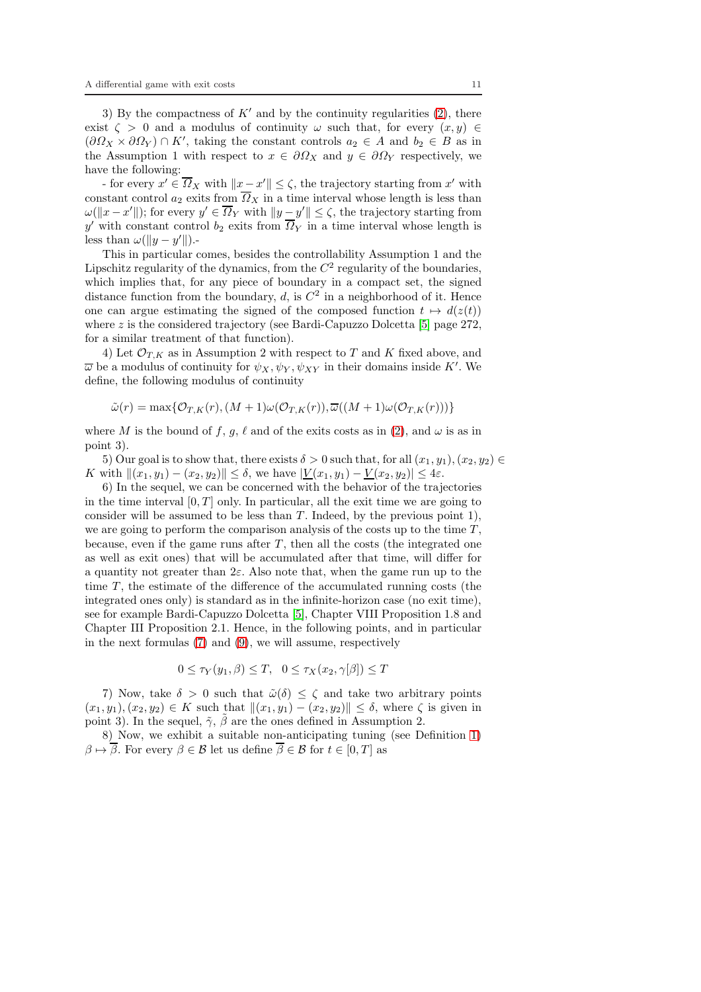3) By the compactness of  $K'$  and by the continuity regularities (2), there exist  $\zeta > 0$  and a modulus of continuity  $\omega$  such that, for every  $(x, y) \in$  $(\partial \Omega_X \times \partial \Omega_Y) \cap K'$ , taking the constant controls  $a_2 \in A$  and  $b_2 \in B$  as in the Assumption 1 with respect to  $x \in \partial \Omega_X$  and  $y \in \partial \Omega_Y$  respectively, we have the following:

- for every  $x' \in \overline{\Omega}_X$  with  $||x - x'|| \le \zeta$ , the trajectory starting from  $x'$  with constant control  $a_2$  exits from  $\overline{\Omega}_X$  in a time interval whose length is less than  $\omega(\Vert x - x' \Vert)$ ; for every  $y' \in \overline{\Omega}_Y$  with  $\Vert y - y' \Vert \leq \zeta$ , the trajectory starting from y' with constant control  $b_2$  exits from  $\overline{\Omega}_Y$  in a time interval whose length is less than  $\omega(\Vert y - y' \Vert)$ .-

This in particular comes, besides the controllability Assumption 1 and the Lipschitz regularity of the dynamics, from the  $C<sup>2</sup>$  regularity of the boundaries, which implies that, for any piece of boundary in a compact set, the signed distance function from the boundary,  $d$ , is  $C^2$  in a neighborhood of it. Hence one can argue estimating the signed of the composed function  $t \mapsto d(z(t))$ where  $z$  is the considered trajectory (see Bardi-Capuzzo Dolcetta [5] page 272, for a similar treatment of that function).

4) Let  $\mathcal{O}_{T,K}$  as in Assumption 2 with respect to T and K fixed above, and  $\overline{\omega}$  be a modulus of continuity for  $\psi_X, \psi_Y, \psi_{XY}$  in their domains inside K'. We define, the following modulus of continuity

$$
\tilde{\omega}(r) = \max\{\mathcal{O}_{T,K}(r), (M+1)\omega(\mathcal{O}_{T,K}(r)), \overline{\omega}((M+1)\omega(\mathcal{O}_{T,K}(r)))\}
$$

where M is the bound of f, g,  $\ell$  and of the exits costs as in (2), and  $\omega$  is as in point 3).

5) Our goal is to show that, there exists  $\delta > 0$  such that, for all  $(x_1, y_1), (x_2, y_2) \in$ K with  $||(x_1, y_1) - (x_2, y_2)|| \le \delta$ , we have  $|V(x_1, y_1) - V(x_2, y_2)|| \le 4\varepsilon$ .

6) In the sequel, we can be concerned with the behavior of the trajectories in the time interval  $[0, T]$  only. In particular, all the exit time we are going to consider will be assumed to be less than  $T$ . Indeed, by the previous point 1), we are going to perform the comparison analysis of the costs up to the time  $T$ , because, even if the game runs after  $T$ , then all the costs (the integrated one as well as exit ones) that will be accumulated after that time, will differ for a quantity not greater than  $2\varepsilon$ . Also note that, when the game run up to the time  $T$ , the estimate of the difference of the accumulated running costs (the integrated ones only) is standard as in the infinite-horizon case (no exit time), see for example Bardi-Capuzzo Dolcetta [5], Chapter VIII Proposition 1.8 and Chapter III Proposition 2.1. Hence, in the following points, and in particular in the next formulas (7) and (9), we will assume, respectively

$$
0 \le \tau_Y(y_1, \beta) \le T, \quad 0 \le \tau_X(x_2, \gamma[\beta]) \le T
$$

7) Now, take  $\delta > 0$  such that  $\tilde{\omega}(\delta) \leq \zeta$  and take two arbitrary points  $(x_1, y_1), (x_2, y_2) \in K$  such that  $\|(x_1, y_1) - (x_2, y_2)\| \leq \delta$ , where  $\zeta$  is given in point 3). In the sequel,  $\tilde{\gamma}$ ,  $\tilde{\beta}$  are the ones defined in Assumption 2.

8) Now, we exhibit a suitable non-anticipating tuning (see Definition 1)  $\beta \mapsto \overline{\beta}$ . For every  $\beta \in \mathcal{B}$  let us define  $\overline{\beta} \in \mathcal{B}$  for  $t \in [0, T]$  as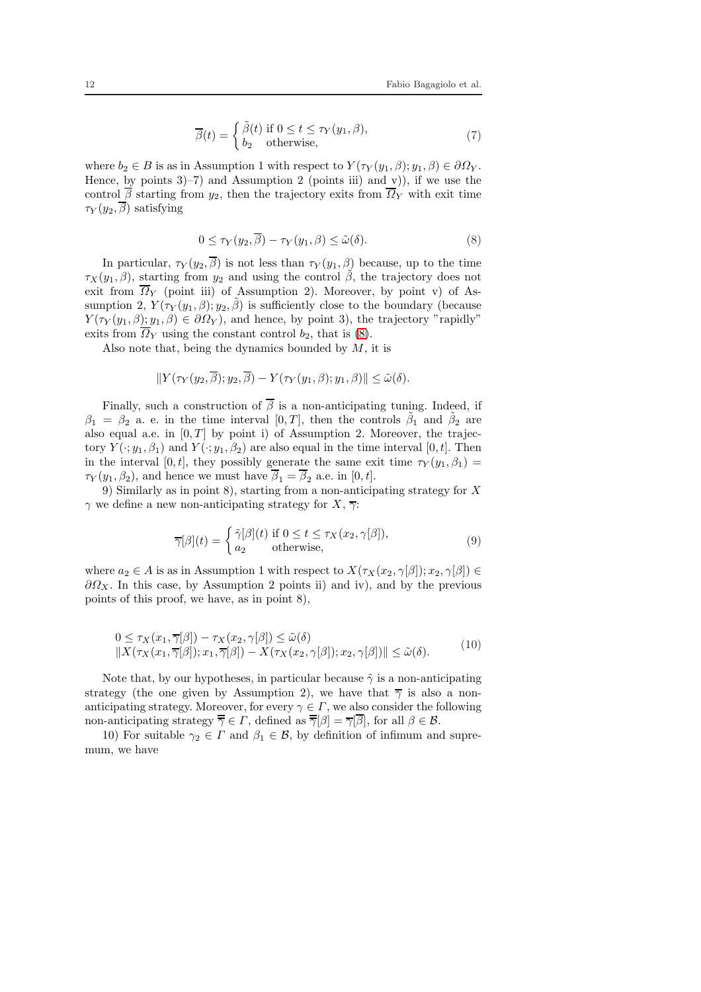$$
\overline{\beta}(t) = \begin{cases} \tilde{\beta}(t) & \text{if } 0 \le t \le \tau_Y(y_1, \beta), \\ b_2 & \text{otherwise,} \end{cases}
$$
\n(7)

where  $b_2 \in B$  is as in Assumption 1 with respect to  $Y(\tau_Y(y_1, \beta); y_1, \beta) \in \partial \Omega_Y$ . Hence, by points  $3$ –7) and Assumption 2 (points iii) and v)), if we use the control  $\overline{\beta}$  starting from  $y_2$ , then the trajectory exits from  $\overline{\Omega}_Y$  with exit time  $\tau_Y(y_2, \overline{\beta})$  satisfying

$$
0 \le \tau_Y(y_2, \overline{\beta}) - \tau_Y(y_1, \beta) \le \tilde{\omega}(\delta). \tag{8}
$$

In particular,  $\tau_Y(y_2, \overline{\beta})$  is not less than  $\tau_Y(y_1, \beta)$  because, up to the time  $\tau_X(y_1,\beta)$ , starting from  $y_2$  and using the control  $\tilde{\beta}$ , the trajectory does not exit from  $\overline{\Omega}_Y$  (point iii) of Assumption 2). Moreover, by point v) of Assumption 2,  $Y(\tau_Y(y_1,\beta); y_2, \tilde{\beta})$  is sufficiently close to the boundary (because  $Y(\tau_Y(y_1,\beta); y_1,\beta) \in \partial \Omega_Y$ , and hence, by point 3), the trajectory "rapidly" exits from  $\overline{\Omega}_Y$  using the constant control  $b_2$ , that is (8).

Also note that, being the dynamics bounded by  $M$ , it is

$$
||Y(\tau_Y(y_2,\overline{\beta});y_2,\overline{\beta}) - Y(\tau_Y(y_1,\beta);y_1,\beta)|| \leq \tilde{\omega}(\delta).
$$

Finally, such a construction of  $\overline{\beta}$  is a non-anticipating tuning. Indeed, if  $\beta_1 = \beta_2$  a. e. in the time interval [0, T], then the controls  $\tilde{\beta}_1$  and  $\tilde{\beta}_2$  are also equal a.e. in  $[0, T]$  by point i) of Assumption 2. Moreover, the trajectory  $Y(\cdot; y_1, \beta_1)$  and  $Y(\cdot; y_1, \beta_2)$  are also equal in the time interval [0, t]. Then in the interval [0, t], they possibly generate the same exit time  $\tau_Y(y_1, \beta_1)$  =  $\tau_Y(y_1, \beta_2)$ , and hence we must have  $\overline{\beta}_1 = \overline{\beta}_2$  a.e. in [0, t].

9) Similarly as in point 8), starting from a non-anticipating strategy for X  $\gamma$  we define a new non-anticipating strategy for X,  $\overline{\gamma}$ :

$$
\overline{\gamma}[\beta](t) = \begin{cases} \tilde{\gamma}[\beta](t) \text{ if } 0 \le t \le \tau_X(x_2, \gamma[\beta]), \\ a_2 \text{ otherwise,} \end{cases}
$$
(9)

where  $a_2 \in A$  is as in Assumption 1 with respect to  $X(\tau_X(x_2, \gamma[\beta]); x_2, \gamma[\beta]) \in$  $\partial \Omega_X$ . In this case, by Assumption 2 points ii) and iv), and by the previous points of this proof, we have, as in point 8),

$$
0 \leq \tau_X(x_1, \overline{\gamma}[\beta]) - \tau_X(x_2, \gamma[\beta]) \leq \tilde{\omega}(\delta)
$$
  
 
$$
||X(\tau_X(x_1, \overline{\gamma}[\beta]); x_1, \overline{\gamma}[\beta]) - X(\tau_X(x_2, \gamma[\beta]); x_2, \gamma[\beta])|| \leq \tilde{\omega}(\delta).
$$
 (10)

Note that, by our hypotheses, in particular because  $\tilde{\gamma}$  is a non-anticipating strategy (the one given by Assumption 2), we have that  $\overline{\gamma}$  is also a nonanticipating strategy. Moreover, for every  $\gamma \in \Gamma$ , we also consider the following non-anticipating strategy  $\overline{\overline{\gamma}} \in \Gamma$ , defined as  $\overline{\overline{\gamma}}[\beta] = \overline{\gamma}[\overline{\beta}]$ , for all  $\beta \in \mathcal{B}$ .

10) For suitable  $\gamma_2 \in \Gamma$  and  $\beta_1 \in \mathcal{B}$ , by definition of infimum and supremum, we have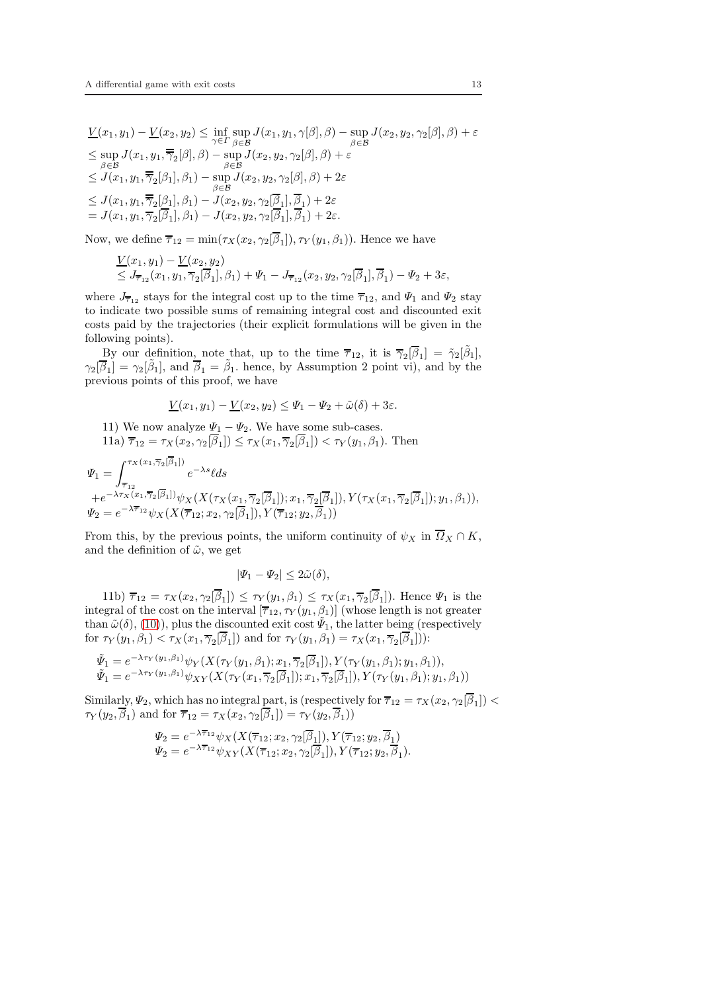$$
\underline{V}(x_1, y_1) - \underline{V}(x_2, y_2) \le \inf_{\gamma \in \Gamma} \sup_{\beta \in \mathcal{B}} J(x_1, y_1, \gamma[\beta], \beta) - \sup_{\beta \in \mathcal{B}} J(x_2, y_2, \gamma_2[\beta], \beta) + \varepsilon
$$
\n
$$
\le \sup_{\beta \in \mathcal{B}} J(x_1, y_1, \overline{\overline{\gamma}}_2[\beta], \beta) - \sup_{\beta \in \mathcal{B}} J(x_2, y_2, \gamma_2[\beta], \beta) + \varepsilon
$$
\n
$$
\le J(x_1, y_1, \overline{\overline{\gamma}}_2[\beta_1], \beta_1) - \sup_{\beta \in \mathcal{B}} J(x_2, y_2, \gamma_2[\beta], \beta) + 2\varepsilon
$$
\n
$$
\le J(x_1, y_1, \overline{\overline{\gamma}}_2[\beta_1], \beta_1) - J(x_2, y_2, \gamma_2[\overline{\beta}_1], \overline{\beta}_1) + 2\varepsilon
$$
\n
$$
= J(x_1, y_1, \overline{\gamma}_2[\overline{\beta}_1], \beta_1) - J(x_2, y_2, \gamma_2[\overline{\beta}_1], \overline{\beta}_1) + 2\varepsilon.
$$

Now, we define  $\overline{\tau}_{12} = \min(\tau_X(x_2, \gamma_2[\beta_1]), \tau_Y(y_1, \beta_1)).$  Hence we have

$$
\frac{V(x_1,y_1)-V(x_2,y_2)}{\leq J_{\overline{\tau}_{12}}(x_1,y_1,\overline{\gamma}_2[\overline{\beta}_1],\beta_1)+\Psi_1-J_{\overline{\tau}_{12}}(x_2,y_2,\gamma_2[\overline{\beta}_1],\overline{\beta}_1)-\Psi_2+3\varepsilon,
$$

where  $J_{\overline{\tau}_{12}}$  stays for the integral cost up to the time  $\overline{\tau}_{12}$ , and  $\Psi_1$  and  $\Psi_2$  stay to indicate two possible sums of remaining integral cost and discounted exit costs paid by the trajectories (their explicit formulations will be given in the following points).

By our definition, note that, up to the time  $\overline{\tau}_{12}$ , it is  $\overline{\gamma}_{2}[\overline{\beta}_{1}] = \tilde{\gamma}_{2}[\tilde{\beta}_{1}],$  $\gamma_2[\overline{\beta}_1] = \gamma_2[\tilde{\beta}_1]$ , and  $\overline{\beta}_1 = \tilde{\beta}_1$ . hence, by Assumption 2 point vi), and by the previous points of this proof, we have

$$
\underline{V}(x_1, y_1) - \underline{V}(x_2, y_2) \le \Psi_1 - \Psi_2 + \tilde{\omega}(\delta) + 3\varepsilon.
$$

11) We now analyze  $\Psi_1 - \Psi_2$ . We have some sub-cases. 11a)  $\overline{\tau}_{12} = \tau_X(x_2, \gamma_2[\beta_1]) \leq \tau_X(x_1, \overline{\gamma}_2[\beta_1]) < \tau_Y(y_1, \beta_1)$ . Then

$$
\begin{array}{l} \Psi_1=\int_{\overline{\tau}_{12}}^{\tau_X(x_1,\overline{\gamma}_2[\overline{\beta}_1])}e^{-\lambda s}\ell ds\\ +e^{-\lambda\tau_X(x_1,\overline{\gamma}_2[\overline{\beta}_1])}\psi_X\big(X\big(\tau_X(x_1,\overline{\gamma}_2[\overline{\beta}_1]) ;x_1,\overline{\gamma}_2[\overline{\beta}_1]\big), Y\big(\tau_X(x_1,\overline{\gamma}_2[\overline{\beta}_1]) ;y_1,\beta_1\big)\big),\\ \Psi_2=e^{-\lambda\overline{\tau}_{12}}\psi_X\big(X\big(\overline{\tau}_{12};x_2,\gamma_2[\overline{\beta}_1]\big), Y\big(\overline{\tau}_{12};y_2,\overline{\beta}_1\big)\big) \end{array}
$$

From this, by the previous points, the uniform continuity of  $\psi_X$  in  $\overline{\Omega}_X \cap K$ , and the definition of  $\tilde{\omega}$ , we get

$$
|\Psi_1 - \Psi_2| \le 2\tilde{\omega}(\delta),
$$

11b)  $\overline{\tau}_{12} = \tau_X(x_2, \gamma_2[\beta_1]) \leq \tau_Y(y_1, \beta_1) \leq \tau_X(x_1, \overline{\gamma}_2[\beta_1])$ . Hence  $\Psi_1$  is the integral of the cost on the interval  $[\overline{\tau}_{12}, \tau_Y(y_1, \beta_1)]$  (whose length is not greater than  $\tilde{\omega}(\delta)$ , (10)), plus the discounted exit cost  $\tilde{\Psi}_1$ , the latter being (respectively for  $\tau_Y(y_1, \beta_1) < \tau_X(x_1, \overline{\gamma}_2[\beta_1])$  and for  $\tau_Y(y_1, \beta_1) = \tau_X(x_1, \overline{\gamma}_2[\beta_1])$ :

$$
\tilde{\Psi}_1 = e^{-\lambda \tau_Y(y_1, \beta_1)} \psi_Y(X(\tau_Y(y_1, \beta_1); x_1, \overline{\gamma}_2[\overline{\beta}_1]), Y(\tau_Y(y_1, \beta_1); y_1, \beta_1)), \n\tilde{\Psi}_1 = e^{-\lambda \tau_Y(y_1, \beta_1)} \psi_{XY}(X(\tau_Y(x_1, \overline{\gamma}_2[\overline{\beta}_1]); x_1, \overline{\gamma}_2[\overline{\beta}_1]), Y(\tau_Y(y_1, \beta_1); y_1, \beta_1))
$$

Similarly,  $\Psi_2$ , which has no integral part, is (respectively for  $\overline{\tau}_{12} = \tau_X(x_2, \gamma_2[\beta_1])$  $\tau_Y(y_2, \beta_1)$  and for  $\overline{\tau}_{12} = \tau_X(x_2, \gamma_2[\beta_1]) = \tau_Y(y_2, \beta_1)$ 

$$
\Psi_2 = e^{-\lambda \overline{\tau}_{12}} \psi_X(X(\overline{\tau}_{12}; x_2, \gamma_2[\overline{\beta}_1]), Y(\overline{\tau}_{12}; y_2, \overline{\beta}_1)) \n\Psi_2 = e^{-\lambda \overline{\tau}_{12}} \psi_{XY}(X(\overline{\tau}_{12}; x_2, \gamma_2[\overline{\beta}_1]), Y(\overline{\tau}_{12}; y_2, \overline{\beta}_1).
$$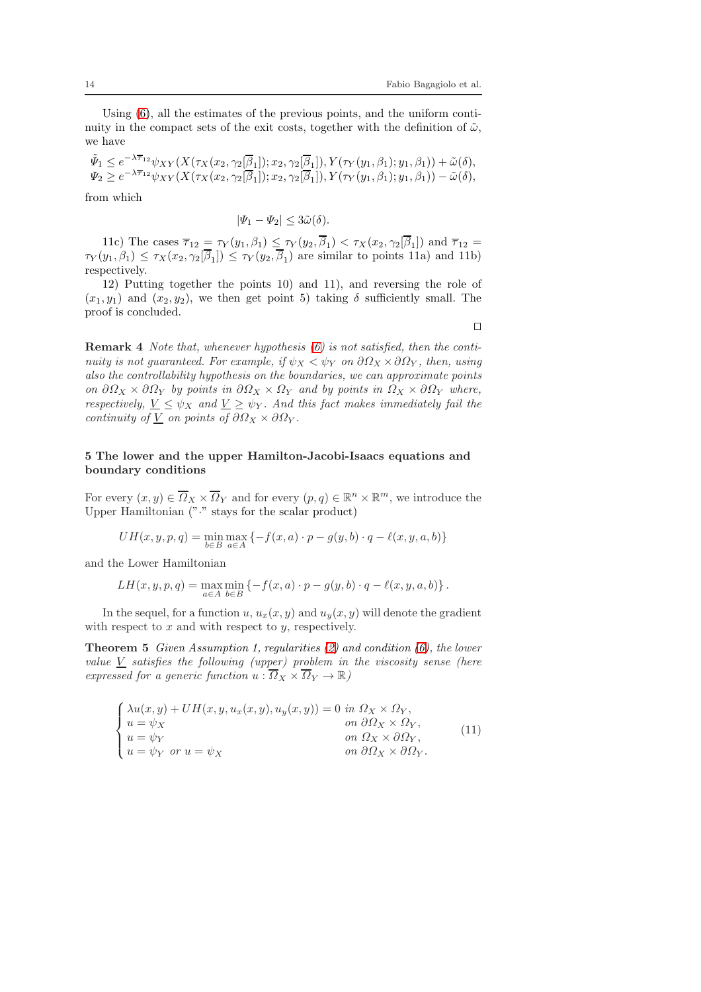Using  $(6)$ , all the estimates of the previous points, and the uniform continuity in the compact sets of the exit costs, together with the definition of  $\tilde{\omega}$ , we have

$$
\tilde{\Psi}_1 \leq e^{-\lambda \overline{\tau}_{12}} \psi_{XY}(X(\tau_X(x_2, \gamma_2[\overline{\beta}_1]); x_2, \gamma_2[\overline{\beta}_1]), Y(\tau_Y(y_1, \beta_1); y_1, \beta_1)) + \tilde{\omega}(\delta),
$$
  

$$
\Psi_2 \geq e^{-\lambda \overline{\tau}_{12}} \psi_{XY}(X(\tau_X(x_2, \gamma_2[\overline{\beta}_1]); x_2, \gamma_2[\overline{\beta}_1]), Y(\tau_Y(y_1, \beta_1); y_1, \beta_1)) - \tilde{\omega}(\delta),
$$

from which

 $|\Psi_1 - \Psi_2| \leq 3\tilde{\omega}(\delta).$ 

11c) The cases  $\overline{\tau}_{12} = \tau_Y(y_1, \beta_1) \leq \tau_Y(y_2, \beta_1) < \tau_X(x_2, \gamma_2[\beta_1])$  and  $\overline{\tau}_{12} =$  $\tau_Y(y_1, \beta_1) \leq \tau_X(x_2, \gamma_2[\beta_1]) \leq \tau_Y(y_2, \beta_1)$  are similar to points 11a) and 11b) respectively.

12) Putting together the points 10) and 11), and reversing the role of  $(x_1, y_1)$  and  $(x_2, y_2)$ , we then get point 5) taking  $\delta$  sufficiently small. The proof is concluded.

⊓⊔

Remark 4 Note that, whenever hypothesis (6) is not satisfied, then the continuity is not guaranteed. For example, if  $\psi_X < \psi_Y$  on  $\partial \Omega_X \times \partial \Omega_Y$ , then, using also the controllability hypothesis on the boundaries, we can approximate points on  $\partial \Omega_X \times \partial \Omega_Y$  by points in  $\partial \Omega_X \times \Omega_Y$  and by points in  $\Omega_X \times \partial \Omega_Y$  where, respectively,  $\underline{V} \leq \psi_X$  and  $\underline{V} \geq \psi_Y$ . And this fact makes immediately fail the continuity of  $\underline{V}$  on points of  $\partial \Omega_X \times \partial \Omega_Y$ .

## 5 The lower and the upper Hamilton-Jacobi-Isaacs equations and boundary conditions

For every  $(x, y) \in \overline{\Omega}_X \times \overline{\Omega}_Y$  and for every  $(p, q) \in \mathbb{R}^n \times \mathbb{R}^m$ , we introduce the Upper Hamiltonian ("." stays for the scalar product)

$$
UH(x, y, p, q) = \min_{b \in B} \max_{a \in A} \{ -f(x, a) \cdot p - g(y, b) \cdot q - \ell(x, y, a, b) \}
$$

and the Lower Hamiltonian

$$
LH(x, y, p, q) = \max_{a \in A} \min_{b \in B} \left\{ -f(x, a) \cdot p - g(y, b) \cdot q - \ell(x, y, a, b) \right\}.
$$

In the sequel, for a function u,  $u_x(x, y)$  and  $u_y(x, y)$  will denote the gradient with respect to  $x$  and with respect to  $y$ , respectively.

**Theorem 5** Given Assumption 1, regularities  $(2)$  and condition  $(6)$ , the lower value  $\underline{V}$  satisfies the following (upper) problem in the viscosity sense (here expressed for a generic function  $u : \overline{\Omega}_X \times \overline{\Omega}_Y \to \mathbb{R}$ )

$$
\begin{cases}\n\lambda u(x, y) + U H(x, y, u_x(x, y), u_y(x, y)) = 0 & \text{in } \Omega_X \times \Omega_Y, \\
u = \psi_X & \text{on } \partial \Omega_X \times \Omega_Y, \\
u = \psi_Y & \text{on } \Omega_X \times \partial \Omega_Y, \\
u = \psi_Y & \text{on } \partial \Omega_X \times \partial \Omega_Y,\n\end{cases}
$$
\n(11)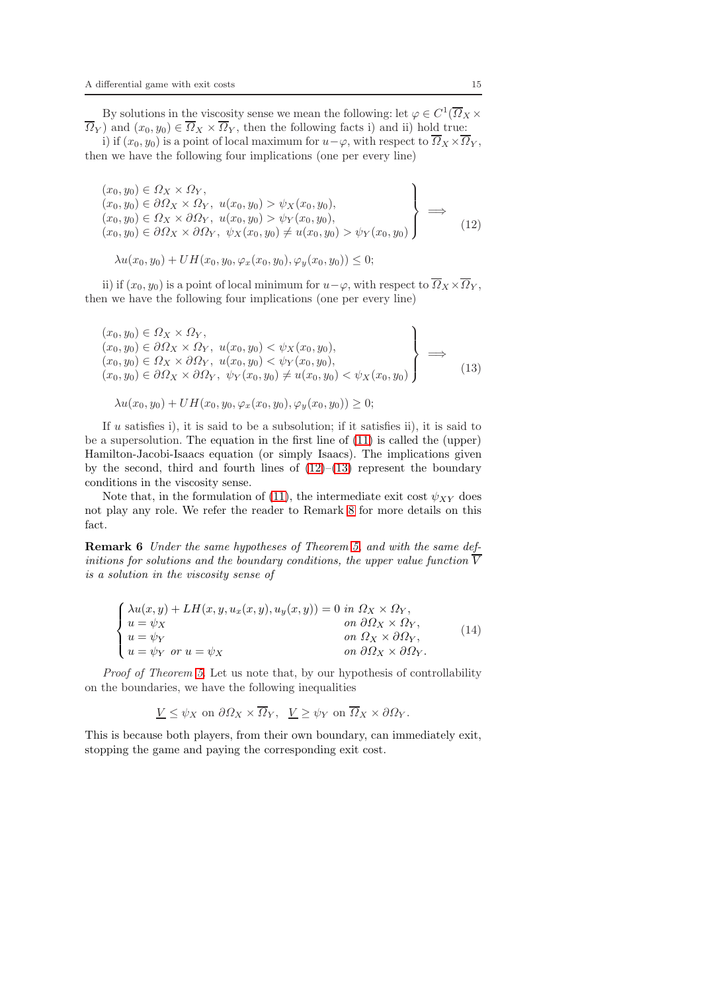By solutions in the viscosity sense we mean the following: let  $\varphi \in C^1(\overline{\Omega}_X \times$  $\overline{\Omega}_Y$ ) and  $(x_0, y_0) \in \overline{\Omega}_X \times \overline{\Omega}_Y$ , then the following facts i) and ii) hold true:

i) if  $(x_0, y_0)$  is a point of local maximum for  $u-\varphi$ , with respect to  $\overline{\Omega}_X \times \overline{\Omega}_Y$ , then we have the following four implications (one per every line)

$$
(x_0, y_0) \in \Omega_X \times \Omega_Y,
$$
  
\n
$$
(x_0, y_0) \in \partial \Omega_X \times \Omega_Y, u(x_0, y_0) > \psi_X(x_0, y_0),
$$
  
\n
$$
(x_0, y_0) \in \Omega_X \times \partial \Omega_Y, u(x_0, y_0) > \psi_Y(x_0, y_0),
$$
  
\n
$$
(x_0, y_0) \in \partial \Omega_X \times \partial \Omega_Y, \psi_X(x_0, y_0) \neq u(x_0, y_0) > \psi_Y(x_0, y_0)
$$
\n
$$
(12)
$$

$$
\lambda u(x_0, y_0) + UH(x_0, y_0, \varphi_x(x_0, y_0), \varphi_y(x_0, y_0)) \leq 0;
$$

ii) if  $(x_0, y_0)$  is a point of local minimum for  $u-\varphi$ , with respect to  $\overline{\Omega}_X \times \overline{\Omega}_Y$ , then we have the following four implications (one per every line)

 $(x_0, y_0) \in \Omega_X \times \Omega_Y$ ,  $(x_0, y_0) \in \partial \Omega_X \times \Omega_Y$ ,  $u(x_0, y_0) < \psi_X(x_0, y_0)$ ,  $(x_0, y_0) \in \Omega_X \times \partial \Omega_Y$ ,  $u(x_0, y_0) < \psi_Y(x_0, y_0)$ ,  $(x_0, y_0) \in \partial \Omega_X \times \partial \Omega_Y$ ,  $\psi_Y(x_0, y_0) \neq u(x_0, y_0) < \psi_X(x_0, y_0)$  $\mathcal{L}$  $\overline{\mathcal{L}}$  $\int$ =⇒ (13)

$$
\lambda u(x_0, y_0) + UH(x_0, y_0, \varphi_x(x_0, y_0), \varphi_y(x_0, y_0)) \ge 0;
$$

If  $u$  satisfies i), it is said to be a subsolution; if it satisfies ii), it is said to be a supersolution. The equation in the first line of (11) is called the (upper) Hamilton-Jacobi-Isaacs equation (or simply Isaacs). The implications given by the second, third and fourth lines of  $(12)$ – $(13)$  represent the boundary conditions in the viscosity sense.

Note that, in the formulation of (11), the intermediate exit cost  $\psi_{XY}$  does not play any role. We refer the reader to Remark 8 for more details on this fact.

Remark 6 Under the same hypotheses of Theorem 5, and with the same definitions for solutions and the boundary conditions, the upper value function  $\overline{V}$ is a solution in the viscosity sense of

$$
\begin{cases}\n\lambda u(x, y) + L H(x, y, u_x(x, y), u_y(x, y)) = 0 & \text{in } \Omega_X \times \Omega_Y, \\
u = \psi_X & \text{on } \partial \Omega_X \times \Omega_Y, \\
u = \psi_Y & \text{on } \Omega_X \times \partial \Omega_Y, \\
u = \psi_Y & \text{on } \partial \Omega_X \times \partial \Omega_Y,\n\end{cases}
$$
\n(14)

Proof of Theorem 5. Let us note that, by our hypothesis of controllability on the boundaries, we have the following inequalities

$$
\underline{V} \le \psi_X \text{ on } \partial \Omega_X \times \overline{\Omega}_Y, \ \ \underline{V} \ge \psi_Y \text{ on } \overline{\Omega}_X \times \partial \Omega_Y.
$$

This is because both players, from their own boundary, can immediately exit, stopping the game and paying the corresponding exit cost.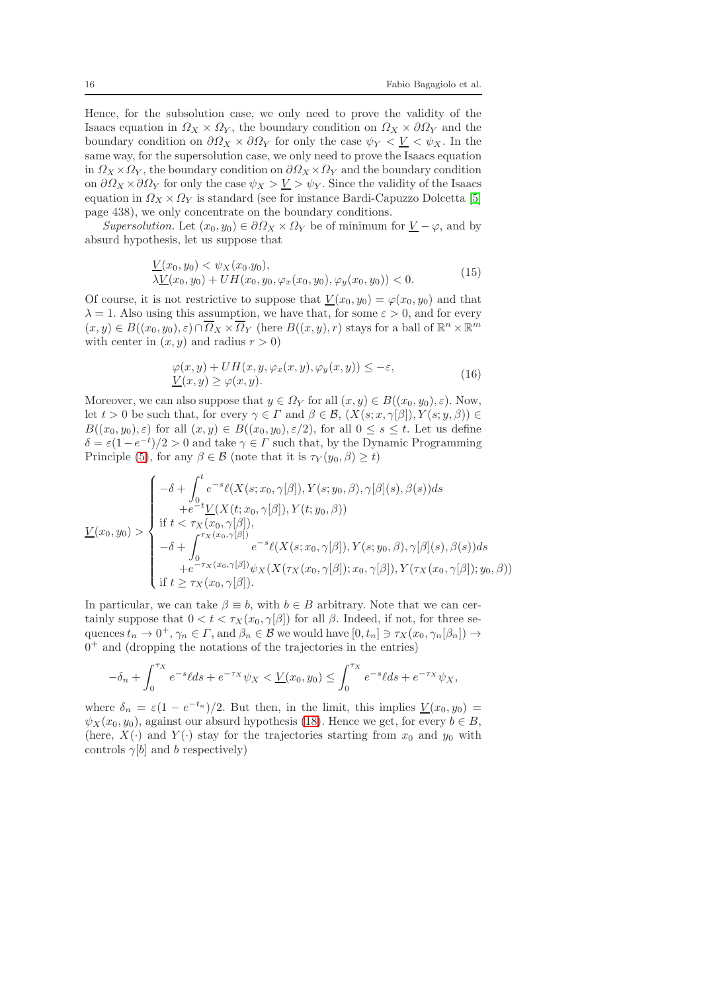Hence, for the subsolution case, we only need to prove the validity of the Isaacs equation in  $\Omega_X \times \Omega_Y$ , the boundary condition on  $\Omega_X \times \partial \Omega_Y$  and the boundary condition on  $\partial \Omega_X \times \partial \Omega_Y$  for only the case  $\psi_Y \leq \underline{V} \leq \psi_X$ . In the same way, for the supersolution case, we only need to prove the Isaacs equation in  $\Omega_X \times \Omega_Y$ , the boundary condition on  $\partial \Omega_X \times \Omega_Y$  and the boundary condition on  $\partial \Omega_X \times \partial \Omega_Y$  for only the case  $\psi_X > V > \psi_Y$ . Since the validity of the Isaacs equation in  $\Omega_X \times \Omega_Y$  is standard (see for instance Bardi-Capuzzo Dolcetta [5] page 438), we only concentrate on the boundary conditions.

Supersolution. Let  $(x_0, y_0) \in \partial \Omega_X \times \Omega_Y$  be of minimum for  $\underline{V} - \varphi$ , and by absurd hypothesis, let us suppose that

$$
\underline{V}(x_0, y_0) < \psi_X(x_0, y_0), \n\lambda \underline{V}(x_0, y_0) + UH(x_0, y_0, \varphi_x(x_0, y_0), \varphi_y(x_0, y_0)) < 0. \tag{15}
$$

Of course, it is not restrictive to suppose that  $\underline{V}(x_0, y_0) = \varphi(x_0, y_0)$  and that  $\lambda = 1$ . Also using this assumption, we have that, for some  $\varepsilon > 0$ , and for every  $(x, y) \in B((x_0, y_0), \varepsilon) \cap \overline{\Omega}_X \times \overline{\Omega}_Y$  (here  $B((x, y), r)$  stays for a ball of  $\mathbb{R}^n \times \mathbb{R}^m$ with center in  $(x, y)$  and radius  $r > 0$ )

$$
\varphi(x, y) + UH(x, y, \varphi_x(x, y), \varphi_y(x, y)) \le -\varepsilon,
$$
  

$$
\underline{V}(x, y) \ge \varphi(x, y).
$$
 (16)

Moreover, we can also suppose that  $y \in \Omega_Y$  for all  $(x, y) \in B((x_0, y_0), \varepsilon)$ . Now, let  $t > 0$  be such that, for every  $\gamma \in \Gamma$  and  $\beta \in \mathcal{B}, (X(s; x, \gamma[\beta]), Y(s; y, \beta)) \in$  $B((x_0, y_0), \varepsilon)$  for all  $(x, y) \in B((x_0, y_0), \varepsilon/2)$ , for all  $0 \le s \le t$ . Let us define  $\delta = \varepsilon (1 - e^{-t})/2 > 0$  and take  $\gamma \in \Gamma$  such that, by the Dynamic Programming Principle (5), for any  $\beta \in \mathcal{B}$  (note that it is  $\tau_Y(y_0, \beta) \ge t$ )

$$
\underline{V}(x_0, y_0) > \begin{cases}\n-\delta + \int_0^t e^{-s} \ell(X(s; x_0, \gamma[\beta]), Y(s; y_0, \beta), \gamma[\beta](s), \beta(s)) ds \\
+ e^{-t} \underline{V}(X(t; x_0, \gamma[\beta]), Y(t; y_0, \beta)) \\
\text{if } t < \tau_X(x_0, \gamma[\beta]), \\
-\delta + \int_0^{\tau_X(x_0, \gamma[\beta])} e^{-s} \ell(X(s; x_0, \gamma[\beta]), Y(s; y_0, \beta), \gamma[\beta](s), \beta(s)) ds \\
+ e^{-\tau_X(x_0, \gamma[\beta])} \psi_X(X(\tau_X(x_0, \gamma[\beta]); x_0, \gamma[\beta]), Y(\tau_X(x_0, \gamma[\beta]); y_0, \beta)) \\
\text{if } t \ge \tau_X(x_0, \gamma[\beta]).\n\end{cases}
$$

In particular, we can take  $\beta \equiv b$ , with  $b \in B$  arbitrary. Note that we can certainly suppose that  $0 < t < \tau_X(x_0, \gamma[\beta])$  for all  $\beta$ . Indeed, if not, for three sequences  $t_n \to 0^+, \gamma_n \in \Gamma$ , and  $\beta_n \in \mathcal{B}$  we would have  $[0, t_n] \ni \tau_X(x_0, \gamma_n[\beta_n]) \to$ 0 <sup>+</sup> and (dropping the notations of the trajectories in the entries)

$$
-\delta_n + \int_0^{\tau_X} e^{-s} \ell ds + e^{-\tau_X} \psi_X < \underline{V}(x_0, y_0) \le \int_0^{\tau_X} e^{-s} \ell ds + e^{-\tau_X} \psi_X,
$$

where  $\delta_n = \varepsilon (1 - e^{-t_n})/2$ . But then, in the limit, this implies  $\underline{V}(x_0, y_0) =$  $\psi_X(x_0, y_0)$ , against our absurd hypothesis (18). Hence we get, for every  $b \in B$ , (here,  $X(\cdot)$  and  $Y(\cdot)$  stay for the trajectories starting from  $x_0$  and  $y_0$  with controls  $\gamma[b]$  and b respectively)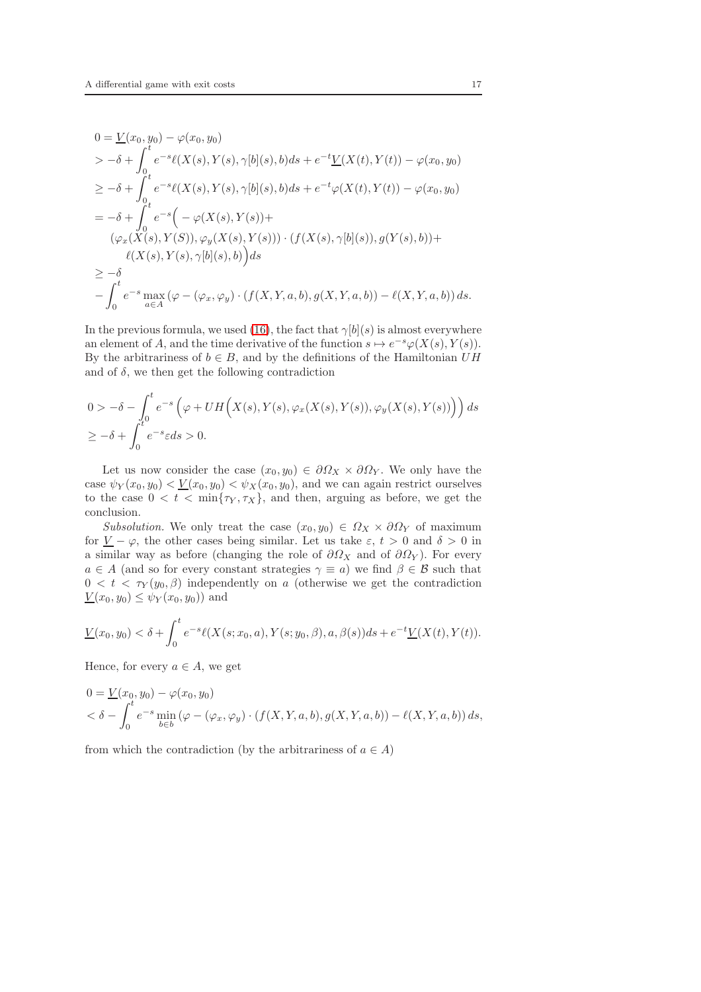$$
0 = \underline{V}(x_0, y_0) - \varphi(x_0, y_0)
$$
  
\n
$$
> -\delta + \int_0^t e^{-s} \ell(X(s), Y(s), \gamma[b](s), b) ds + e^{-t} \underline{V}(X(t), Y(t)) - \varphi(x_0, y_0)
$$
  
\n
$$
\geq -\delta + \int_0^t e^{-s} \ell(X(s), Y(s), \gamma[b](s), b) ds + e^{-t} \varphi(X(t), Y(t)) - \varphi(x_0, y_0)
$$
  
\n
$$
= -\delta + \int_0^t e^{-s} \left( -\varphi(X(s), Y(s)) + \varphi(X(s), Y(s)) \right) \cdot (f(X(s), \gamma[b](s)), g(Y(s), b)) + \ell(X(s), Y(s), \gamma[b](s), b) ds
$$
  
\n
$$
\geq -\delta
$$
  
\n
$$
- \int_0^t e^{-s} \max_{a \in A} (\varphi - (\varphi_x, \varphi_y) \cdot (f(X, Y, a, b), g(X, Y, a, b)) - \ell(X, Y, a, b)) ds.
$$

In the previous formula, we used (16), the fact that  $\gamma[b](s)$  is almost everywhere an element of A, and the time derivative of the function  $s \mapsto e^{-s}\varphi(X(s), Y(s))$ . By the arbitrariness of  $b \in B$ , and by the definitions of the Hamiltonian  $UH$ and of  $\delta$ , we then get the following contradiction

$$
0 > -\delta - \int_0^t e^{-s} \left( \varphi + UH\Big(X(s), Y(s), \varphi_x(X(s), Y(s)), \varphi_y(X(s), Y(s))\Big) \right) ds
$$
  
\n
$$
\geq -\delta + \int_0^t e^{-s} \varepsilon ds > 0.
$$

Let us now consider the case  $(x_0, y_0) \in \partial \Omega_X \times \partial \Omega_Y$ . We only have the case  $\psi_Y(x_0, y_0) < \underline{V}(x_0, y_0) < \psi_X(x_0, y_0)$ , and we can again restrict ourselves to the case  $0 < t < \min{\tau_Y, \tau_X}$ , and then, arguing as before, we get the conclusion.

Subsolution. We only treat the case  $(x_0, y_0) \in \Omega_X \times \partial \Omega_Y$  of maximum for  $\underline{V} - \varphi$ , the other cases being similar. Let us take  $\varepsilon$ ,  $t > 0$  and  $\delta > 0$  in a similar way as before (changing the role of  $\partial \Omega_X$  and of  $\partial \Omega_Y$ ). For every  $a \in A$  (and so for every constant strategies  $\gamma \equiv a$ ) we find  $\beta \in \mathcal{B}$  such that  $0 < t < \tau_Y(y_0, \beta)$  independently on a (otherwise we get the contradiction  $\underline{V}(x_0, y_0) \leq \psi_Y(x_0, y_0)$  and

$$
\underline{V}(x_0, y_0) < \delta + \int_0^t e^{-s} \ell(X(s; x_0, a), Y(s; y_0, \beta), a, \beta(s)) ds + e^{-t} \underline{V}(X(t), Y(t)).
$$

Hence, for every  $a \in A$ , we get

$$
0 = \underline{V}(x_0, y_0) - \varphi(x_0, y_0)
$$
  
< 
$$
< \delta - \int_0^t e^{-s} \min_{b \in b} (\varphi - (\varphi_x, \varphi_y) \cdot (f(X, Y, a, b), g(X, Y, a, b)) - \ell(X, Y, a, b)) ds,
$$

from which the contradiction (by the arbitrariness of  $a \in A$ )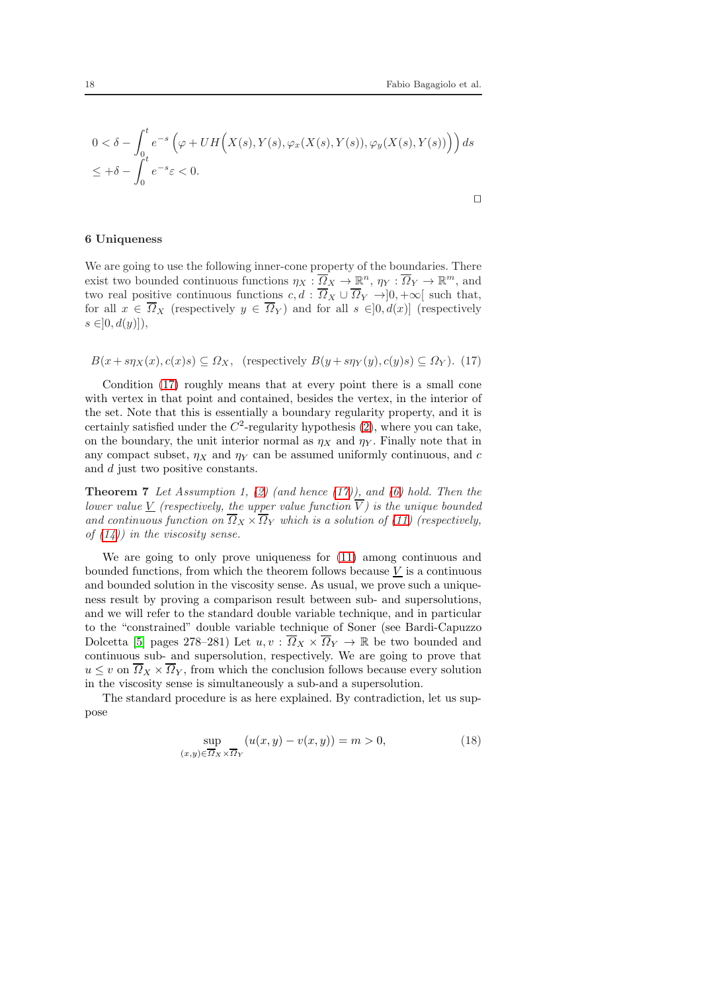$$
0 < \delta - \int_0^t e^{-s} \left( \varphi + UH\Big(X(s), Y(s), \varphi_x(X(s), Y(s)), \varphi_y(X(s), Y(s)) \Big) \right) ds
$$
  

$$
\leq +\delta - \int_0^t e^{-s} \varepsilon < 0.
$$

⊓⊔

### 6 Uniqueness

We are going to use the following inner-cone property of the boundaries. There exist two bounded continuous functions  $\eta_X : \overline{\Omega}_X \to \mathbb{R}^n$ ,  $\eta_Y : \overline{\Omega}_Y \to \mathbb{R}^m$ , and two real positive continuous functions  $c, d : \Omega_X \cup \Omega_Y \to ]0, +\infty[$  such that, for all  $x \in \Omega_X$  (respectively  $y \in \Omega_Y$ ) and for all  $s \in ]0, d(x)]$  (respectively  $s \in ]0, d(y)|$ ,

 $B(x + s\eta_X(x), c(x)s) \subseteq \Omega_X$ , (respectively  $B(y + s\eta_Y(y), c(y)s) \subseteq \Omega_Y$ ). (17)

Condition (17) roughly means that at every point there is a small cone with vertex in that point and contained, besides the vertex, in the interior of the set. Note that this is essentially a boundary regularity property, and it is certainly satisfied under the  $C^2$ -regularity hypothesis (2), where you can take, on the boundary, the unit interior normal as  $\eta_X$  and  $\eta_Y$ . Finally note that in any compact subset,  $\eta_X$  and  $\eta_Y$  can be assumed uniformly continuous, and c and d just two positive constants.

**Theorem 7** Let Assumption 1, (2) (and hence  $(17)$ ), and (6) hold. Then the lower value  $\underline{V}$  (respectively, the upper value function  $\overline{V}$ ) is the unique bounded and continuous function on  $\overline{\Omega}_X \times \overline{\Omega}_Y$  which is a solution of (11) (respectively, of  $(14)$ ) in the viscosity sense.

We are going to only prove uniqueness for (11) among continuous and bounded functions, from which the theorem follows because  $V$  is a continuous and bounded solution in the viscosity sense. As usual, we prove such a uniqueness result by proving a comparison result between sub- and supersolutions, and we will refer to the standard double variable technique, and in particular to the "constrained" double variable technique of Soner (see Bardi-Capuzzo Dolcetta [5] pages 278–281) Let  $u, v : \overline{\Omega}_X \times \overline{\Omega}_Y \to \mathbb{R}$  be two bounded and continuous sub- and supersolution, respectively. We are going to prove that  $u \leq v$  on  $\overline{\Omega}_X \times \overline{\Omega}_Y$ , from which the conclusion follows because every solution in the viscosity sense is simultaneously a sub-and a supersolution.

The standard procedure is as here explained. By contradiction, let us suppose

$$
\sup_{(x,y)\in\overline{\Omega}_X\times\overline{\Omega}_Y} (u(x,y)-v(x,y))=m>0,\tag{18}
$$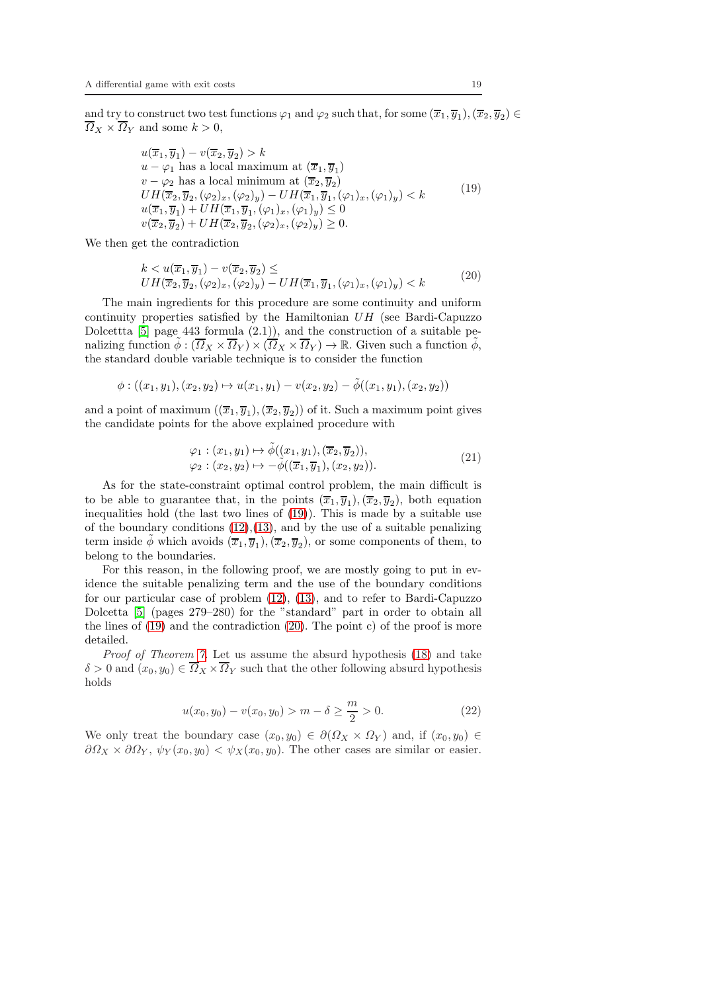and try to construct two test functions  $\varphi_1$  and  $\varphi_2$  such that, for some  $(\overline{x}_1, \overline{y}_1), (\overline{x}_2, \overline{y}_2) \in$  $\overline{\Omega}_X \times \overline{\Omega}_Y$  and some  $k > 0$ ,

$$
u(\overline{x}_1, \overline{y}_1) - v(\overline{x}_2, \overline{y}_2) > k
$$
  
 
$$
u - \varphi_1 \text{ has a local maximum at } (\overline{x}_1, \overline{y}_1)
$$
  
 
$$
v - \varphi_2 \text{ has a local minimum at } (\overline{x}_2, \overline{y}_2)
$$
  
 
$$
UH(\overline{x}_2, \overline{y}_2, (\varphi_2)_x, (\varphi_2)_y) - UH(\overline{x}_1, \overline{y}_1, (\varphi_1)_x, (\varphi_1)_y) < k
$$
  
 
$$
u(\overline{x}_1, \overline{y}_1) + UH(\overline{x}_1, \overline{y}_1, (\varphi_1)_x, (\varphi_1)_y) \le 0
$$
  
 
$$
v(\overline{x}_2, \overline{y}_2) + UH(\overline{x}_2, \overline{y}_2, (\varphi_2)_x, (\varphi_2)_y) \ge 0.
$$
 (19)

We then get the contradiction

$$
k < u(\overline{x}_1, \overline{y}_1) - v(\overline{x}_2, \overline{y}_2) \le
$$
  
\n
$$
UH(\overline{x}_2, \overline{y}_2, (\varphi_2)_x, (\varphi_2)_y) - UH(\overline{x}_1, \overline{y}_1, (\varphi_1)_x, (\varphi_1)_y) < k
$$
\n
$$
(20)
$$

The main ingredients for this procedure are some continuity and uniform continuity properties satisfied by the Hamiltonian  $UH$  (see Bardi-Capuzzo Dolcettta [5] page 443 formula (2.1)), and the construction of a suitable penalizing function  $\tilde{\phi}: (\overline{\Omega}_X \times \overline{\Omega}_Y) \times (\overline{\Omega}_X \times \overline{\Omega}_Y) \to \mathbb{R}$ . Given such a function  $\tilde{\phi}$ , the standard double variable technique is to consider the function

$$
\phi: ((x_1, y_1), (x_2, y_2) \mapsto u(x_1, y_1) - v(x_2, y_2) - \tilde{\phi}((x_1, y_1), (x_2, y_2))
$$

and a point of maximum  $((\overline{x}_1, \overline{y}_1), (\overline{x}_2, \overline{y}_2))$  of it. Such a maximum point gives the candidate points for the above explained procedure with

$$
\varphi_1: (x_1, y_1) \mapsto \tilde{\phi}((x_1, y_1), (\overline{x}_2, \overline{y}_2)),\n\varphi_2: (x_2, y_2) \mapsto -\tilde{\phi}((\overline{x}_1, \overline{y}_1), (x_2, y_2)).
$$
\n(21)

As for the state-constraint optimal control problem, the main difficult is to be able to guarantee that, in the points  $(\overline{x}_1, \overline{y}_1), (\overline{x}_2, \overline{y}_2)$ , both equation inequalities hold (the last two lines of (19)). This is made by a suitable use of the boundary conditions  $(12),(13)$ , and by the use of a suitable penalizing term inside  $\tilde{\phi}$  which avoids  $(\overline{x}_1, \overline{y}_1), (\overline{x}_2, \overline{y}_2)$ , or some components of them, to belong to the boundaries.

For this reason, in the following proof, we are mostly going to put in evidence the suitable penalizing term and the use of the boundary conditions for our particular case of problem (12), (13), and to refer to Bardi-Capuzzo Dolcetta [5] (pages 279–280) for the "standard" part in order to obtain all the lines of  $(19)$  and the contradiction  $(20)$ . The point c) of the proof is more detailed.

Proof of Theorem 7. Let us assume the absurd hypothesis (18) and take  $\delta > 0$  and  $(x_0, y_0) \in \overline{\Omega}_X \times \overline{\Omega}_Y$  such that the other following absurd hypothesis holds

$$
u(x_0, y_0) - v(x_0, y_0) > m - \delta \ge \frac{m}{2} > 0.
$$
 (22)

We only treat the boundary case  $(x_0, y_0) \in \partial(\Omega_X \times \Omega_Y)$  and, if  $(x_0, y_0) \in$  $\partial \Omega_X \times \partial \Omega_Y$ ,  $\psi_Y(x_0, y_0) < \psi_X(x_0, y_0)$ . The other cases are similar or easier.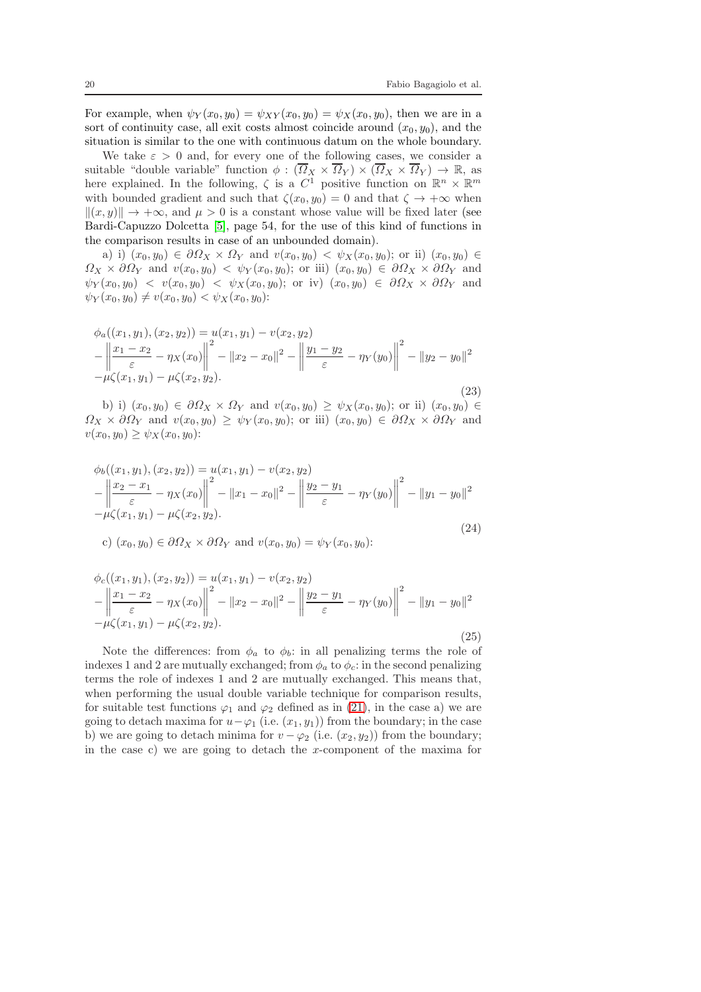For example, when  $\psi_Y(x_0, y_0) = \psi_{XY}(x_0, y_0) = \psi_X(x_0, y_0)$ , then we are in a sort of continuity case, all exit costs almost coincide around  $(x_0, y_0)$ , and the situation is similar to the one with continuous datum on the whole boundary.

We take  $\varepsilon > 0$  and, for every one of the following cases, we consider a suitable "double variable" function  $\phi : (\overline{\Omega}_X \times \overline{\Omega}_Y) \times (\overline{\Omega}_X \times \overline{\Omega}_Y) \to \mathbb{R}$ , as here explained. In the following,  $\zeta$  is a  $C^1$  positive function on  $\mathbb{R}^n \times \mathbb{R}^m$ with bounded gradient and such that  $\zeta(x_0, y_0) = 0$  and that  $\zeta \to +\infty$  when  $||(x, y)|| \rightarrow +\infty$ , and  $\mu > 0$  is a constant whose value will be fixed later (see Bardi-Capuzzo Dolcetta [5], page 54, for the use of this kind of functions in the comparison results in case of an unbounded domain).

a) i)  $(x_0, y_0) \in \partial \Omega_X \times \Omega_Y$  and  $v(x_0, y_0) < \psi_X(x_0, y_0)$ ; or ii)  $(x_0, y_0) \in$  $\Omega_X \times \partial \Omega_Y$  and  $v(x_0, y_0) < \psi_Y(x_0, y_0)$ ; or iii)  $(x_0, y_0) \in \partial \Omega_X \times \partial \Omega_Y$  and  $\psi_Y(x_0, y_0) < v(x_0, y_0) < \psi_X(x_0, y_0)$ ; or iv)  $(x_0, y_0) \in \partial \Omega_X \times \partial \Omega_Y$  and  $\psi_Y(x_0, y_0) \neq v(x_0, y_0) < \psi_X(x_0, y_0)$ :

$$
\phi_a((x_1, y_1), (x_2, y_2)) = u(x_1, y_1) - v(x_2, y_2)
$$
  

$$
-\left\|\frac{x_1 - x_2}{\varepsilon} - \eta_X(x_0)\right\|^2 - \|x_2 - x_0\|^2 - \left\|\frac{y_1 - y_2}{\varepsilon} - \eta_Y(y_0)\right\|^2 - \|y_2 - y_0\|^2
$$
  

$$
-\mu\zeta(x_1, y_1) - \mu\zeta(x_2, y_2).
$$
\n(23)

b) i)  $(x_0, y_0) \in \partial \Omega_X \times \Omega_Y$  and  $v(x_0, y_0) \ge \psi_X(x_0, y_0)$ ; or ii)  $(x_0, y_0) \in$  $\Omega_X \times \partial \Omega_Y$  and  $v(x_0, y_0) \ge \psi_Y(x_0, y_0)$ ; or iii)  $(x_0, y_0) \in \partial \Omega_X \times \partial \Omega_Y$  and  $v(x_0, y_0) \geq \psi_X(x_0, y_0)$ :

$$
\phi_b((x_1, y_1), (x_2, y_2)) = u(x_1, y_1) - v(x_2, y_2)
$$
\n
$$
-\left\|\frac{x_2 - x_1}{\varepsilon} - \eta_X(x_0)\right\|^2 - \|x_1 - x_0\|^2 - \left\|\frac{y_2 - y_1}{\varepsilon} - \eta_Y(y_0)\right\|^2 - \|y_1 - y_0\|^2
$$
\n
$$
-\mu\zeta(x_1, y_1) - \mu\zeta(x_2, y_2).
$$
\n(24)

c) 
$$
(x_0, y_0) \in \partial \Omega_X \times \partial \Omega_Y
$$
 and  $v(x_0, y_0) = \psi_Y(x_0, y_0)$ :

$$
\phi_c((x_1, y_1), (x_2, y_2)) = u(x_1, y_1) - v(x_2, y_2)
$$
\n
$$
-\left\|\frac{x_1 - x_2}{\varepsilon} - \eta_X(x_0)\right\|^2 - \|x_2 - x_0\|^2 - \left\|\frac{y_2 - y_1}{\varepsilon} - \eta_Y(y_0)\right\|^2 - \|y_1 - y_0\|^2
$$
\n
$$
-\mu\zeta(x_1, y_1) - \mu\zeta(x_2, y_2).
$$
\n(25)

Note the differences: from  $\phi_a$  to  $\phi_b$ : in all penalizing terms the role of indexes 1 and 2 are mutually exchanged; from  $\phi_a$  to  $\phi_c$ : in the second penalizing terms the role of indexes 1 and 2 are mutually exchanged. This means that, when performing the usual double variable technique for comparison results, for suitable test functions  $\varphi_1$  and  $\varphi_2$  defined as in (21), in the case a) we are going to detach maxima for  $u-\varphi_1$  (i.e.  $(x_1, y_1)$ ) from the boundary; in the case b) we are going to detach minima for  $v - \varphi_2$  (i.e.  $(x_2, y_2)$ ) from the boundary; in the case c) we are going to detach the x-component of the maxima for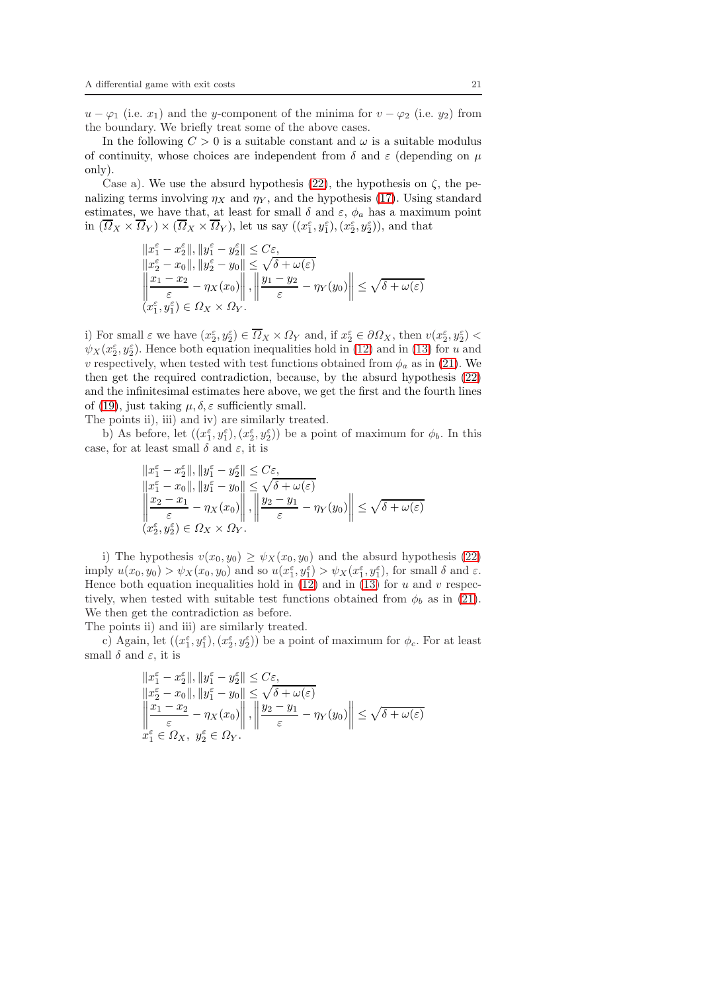$u - \varphi_1$  (i.e.  $x_1$ ) and the y-component of the minima for  $v - \varphi_2$  (i.e.  $y_2$ ) from the boundary. We briefly treat some of the above cases.

In the following  $C > 0$  is a suitable constant and  $\omega$  is a suitable modulus of continuity, whose choices are independent from  $\delta$  and  $\varepsilon$  (depending on  $\mu$ only).

Case a). We use the absurd hypothesis (22), the hypothesis on  $\zeta$ , the penalizing terms involving  $\eta_X$  and  $\eta_Y$ , and the hypothesis (17). Using standard estimates, we have that, at least for small  $\delta$  and  $\varepsilon$ ,  $\phi_a$  has a maximum point in  $(\overline{\Omega}_X \times \overline{\Omega}_Y) \times (\overline{\Omega}_X \times \overline{\Omega}_Y)$ , let us say  $((x_1^{\varepsilon}, y_1^{\varepsilon}), (x_2^{\varepsilon}, y_2^{\varepsilon}))$ , and that

$$
\begin{aligned} &\|x_1^\varepsilon-x_2^\varepsilon\|, \|y_1^\varepsilon-y_2^\varepsilon\|\leq C\varepsilon,\\ &\|x_2^\varepsilon-x_0\|, \|y_2^\varepsilon-y_0\|\leq \sqrt{\delta+\omega(\varepsilon)}\\ &\left\|\frac{x_1-x_2}{\varepsilon}-\eta_X(x_0)\right\|, \left\|\frac{y_1-y_2}{\varepsilon}-\eta_Y(y_0)\right\|\leq \sqrt{\delta+\omega(\varepsilon)}\\ & (x_1^\varepsilon,y_1^\varepsilon)\in \varOmega_X\times \varOmega_Y. \end{aligned}
$$

i) For small  $\varepsilon$  we have  $(x_2^{\varepsilon}, y_2^{\varepsilon}) \in \overline{\Omega}_X \times \Omega_Y$  and, if  $x_2^{\varepsilon} \in \partial \Omega_X$ , then  $v(x_2^{\varepsilon}, y_2^{\varepsilon})$  $\psi_X(x_2^{\varepsilon}, y_2^{\varepsilon})$ . Hence both equation inequalities hold in (12) and in (13) for u and v respectively, when tested with test functions obtained from  $\phi_a$  as in (21). We then get the required contradiction, because, by the absurd hypothesis (22) and the infinitesimal estimates here above, we get the first and the fourth lines of (19), just taking  $\mu$ ,  $\delta$ ,  $\varepsilon$  sufficiently small.

The points ii), iii) and iv) are similarly treated.

b) As before, let  $((x_1^{\varepsilon}, y_1^{\varepsilon}), (x_2^{\varepsilon}, y_2^{\varepsilon}))$  be a point of maximum for  $\phi_b$ . In this case, for at least small  $\delta$  and  $\varepsilon$ , it is

$$
\begin{aligned} &\|x_1^\varepsilon-x_2^\varepsilon\|,\|y_1^\varepsilon-y_2^\varepsilon\|\leq C\varepsilon,\\ &\|x_1^\varepsilon-x_0\|,\|y_1^\varepsilon-y_0\|\leq \sqrt{\delta+\omega(\varepsilon)}\\ &\left\|\frac{x_2-x_1}{\varepsilon}-\eta_X(x_0)\right\|,\left\|\frac{y_2-y_1}{\varepsilon}-\eta_Y(y_0)\right\|\leq \sqrt{\delta+\omega(\varepsilon)}\\ & (x_2^\varepsilon,y_2^\varepsilon)\in\varOmega_X\times\varOmega_Y. \end{aligned}
$$

i) The hypothesis  $v(x_0, y_0) \ge \psi_X(x_0, y_0)$  and the absurd hypothesis (22) imply  $u(x_0, y_0) > \psi_X(x_0, y_0)$  and so  $u(x_1^{\varepsilon}, y_1^{\varepsilon}) > \psi_X(x_1^{\varepsilon}, y_1^{\varepsilon})$ , for small  $\delta$  and  $\varepsilon$ . Hence both equation inequalities hold in  $(12)$  and in  $(13)$  for u and v respectively, when tested with suitable test functions obtained from  $\phi_b$  as in (21). We then get the contradiction as before.

The points ii) and iii) are similarly treated.

c) Again, let  $((x_1^{\varepsilon}, y_1^{\varepsilon}),(x_2^{\varepsilon}, y_2^{\varepsilon}))$  be a point of maximum for  $\phi_c$ . For at least small  $\delta$  and  $\varepsilon$ , it is

$$
\begin{aligned} &\|x_1^\varepsilon-x_2^\varepsilon\|,\|y_1^\varepsilon-y_2^\varepsilon\|\leq C\varepsilon,\\ &\|x_2^\varepsilon-x_0\|,\|y_1^\varepsilon-y_0\|\leq \sqrt{\delta+\omega(\varepsilon)}\\ &\left\|\frac{x_1-x_2}{\varepsilon}-\eta_X(x_0)\right\|,\left\|\frac{y_2-y_1}{\varepsilon}-\eta_Y(y_0)\right\|\leq \sqrt{\delta+\omega(\varepsilon)}\\ &x_1^\varepsilon\in\varOmega_X,\ y_2^\varepsilon\in\varOmega_Y. \end{aligned}
$$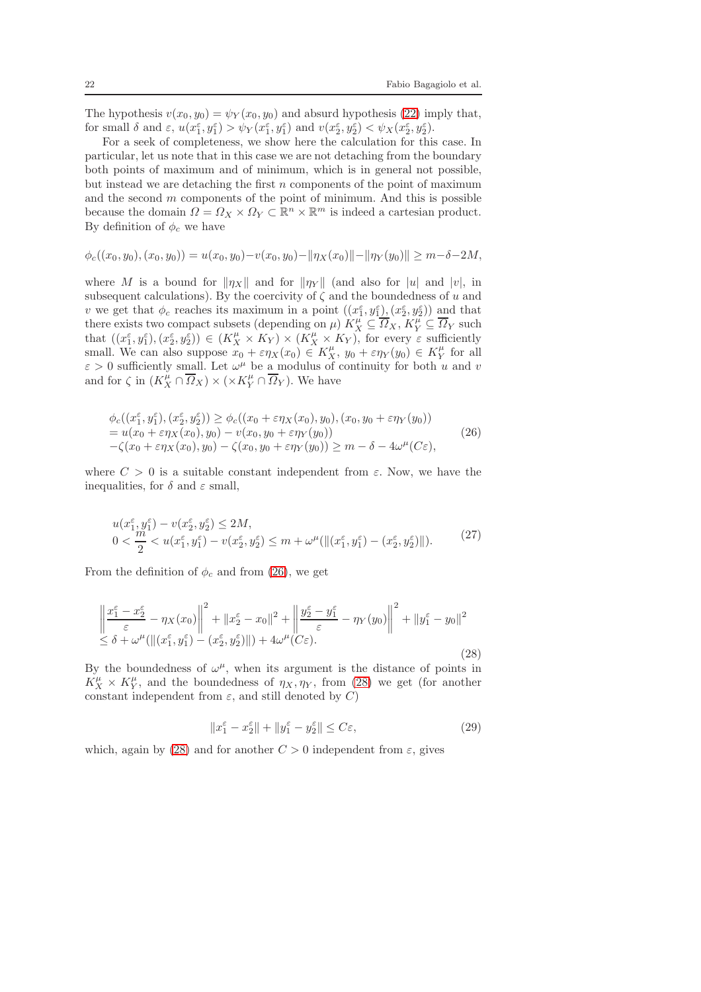The hypothesis  $v(x_0, y_0) = \psi_Y(x_0, y_0)$  and absurd hypothesis (22) imply that, for small  $\delta$  and  $\varepsilon$ ,  $u(x_1^{\varepsilon}, y_1^{\varepsilon}) > \psi_Y(x_1^{\varepsilon}, y_1^{\varepsilon})$  and  $v(x_2^{\varepsilon}, y_2^{\varepsilon}) < \psi_X(x_2^{\varepsilon}, y_2^{\varepsilon})$ .

For a seek of completeness, we show here the calculation for this case. In particular, let us note that in this case we are not detaching from the boundary both points of maximum and of minimum, which is in general not possible, but instead we are detaching the first  $n$  components of the point of maximum and the second  $m$  components of the point of minimum. And this is possible because the domain  $\Omega = \Omega_X \times \Omega_Y \subset \mathbb{R}^n \times \mathbb{R}^m$  is indeed a cartesian product. By definition of  $\phi_c$  we have

$$
\phi_c((x_0, y_0), (x_0, y_0)) = u(x_0, y_0) - v(x_0, y_0) - ||\eta_X(x_0)|| - ||\eta_Y(y_0)|| \ge m - \delta - 2M,
$$

where M is a bound for  $\|\eta_X\|$  and for  $\|\eta_Y\|$  (and also for |u| and |v|, in subsequent calculations). By the coercivity of  $\zeta$  and the boundedness of u and v we get that  $\phi_c$  reaches its maximum in a point  $((x_1^{\varepsilon}, y_1^{\varepsilon}), (x_2^{\varepsilon}, y_2^{\varepsilon}))$  and that there exists two compact subsets (depending on  $\mu$ )  $K_X^{\mu} \subseteq \overline{\Omega}_X$ ,  $K_Y^{\mu} \subseteq \overline{\Omega}_Y$  such that  $((x_1^{\varepsilon}, y_1^{\varepsilon}), (x_2^{\varepsilon}, y_2^{\varepsilon})) \in (K_X^{\mu} \times K_Y) \times (K_X^{\mu} \times K_Y)$ , for every  $\varepsilon$  sufficiently small. We can also suppose  $x_0 + \varepsilon \eta_X(x_0) \in K_X^{\mu}$ ,  $y_0 + \varepsilon \eta_Y(y_0) \in K_Y^{\mu}$  for all  $\varepsilon > 0$  sufficiently small. Let  $\omega^{\mu}$  be a modulus of continuity for both u and v and for  $\zeta$  in  $(K_X^{\mu} \cap \overline{\Omega}_X) \times (\times K_Y^{\mu} \cap \overline{\Omega}_Y)$ . We have

$$
\begin{aligned} &\phi_c((x_1^{\varepsilon}, y_1^{\varepsilon}), (x_2^{\varepsilon}, y_2^{\varepsilon})) \ge \phi_c((x_0 + \varepsilon \eta_X(x_0), y_0), (x_0, y_0 + \varepsilon \eta_Y(y_0)) \\ &= u(x_0 + \varepsilon \eta_X(x_0), y_0) - v(x_0, y_0 + \varepsilon \eta_Y(y_0)) \\ &- \zeta(x_0 + \varepsilon \eta_X(x_0), y_0) - \zeta(x_0, y_0 + \varepsilon \eta_Y(y_0)) \ge m - \delta - 4\omega^{\mu}(C\varepsilon), \end{aligned} \tag{26}
$$

where  $C > 0$  is a suitable constant independent from  $\varepsilon$ . Now, we have the inequalities, for  $\delta$  and  $\varepsilon$  small,

$$
u(x_1^{\varepsilon}, y_1^{\varepsilon}) - v(x_2^{\varepsilon}, y_2^{\varepsilon}) \le 2M,
$$
  
 
$$
0 < \frac{m}{2} < u(x_1^{\varepsilon}, y_1^{\varepsilon}) - v(x_2^{\varepsilon}, y_2^{\varepsilon}) \le m + \omega^{\mu}(\|(x_1^{\varepsilon}, y_1^{\varepsilon}) - (x_2^{\varepsilon}, y_2^{\varepsilon})\|).
$$
 (27)

From the definition of  $\phi_c$  and from (26), we get

$$
\left\| \frac{x_1^{\varepsilon} - x_2^{\varepsilon}}{\varepsilon} - \eta_X(x_0) \right\|^2 + \|x_2^{\varepsilon} - x_0\|^2 + \left\| \frac{y_2^{\varepsilon} - y_1^{\varepsilon}}{\varepsilon} - \eta_Y(y_0) \right\|^2 + \|y_1^{\varepsilon} - y_0\|^2
$$
  
\n
$$
\leq \delta + \omega^{\mu} (\|(x_1^{\varepsilon}, y_1^{\varepsilon}) - (x_2^{\varepsilon}, y_2^{\varepsilon})\|) + 4\omega^{\mu} (C\varepsilon).
$$
\n(28)

By the boundedness of  $\omega^{\mu}$ , when its argument is the distance of points in  $K_X^{\mu} \times K_Y^{\mu}$ , and the boundedness of  $\eta_X, \eta_Y$ , from (28) we get (for another constant independent from  $\varepsilon$ , and still denoted by C)

$$
||x_1^{\varepsilon} - x_2^{\varepsilon}|| + ||y_1^{\varepsilon} - y_2^{\varepsilon}|| \le C\varepsilon,
$$
\n(29)

which, again by (28) and for another  $C > 0$  independent from  $\varepsilon$ , gives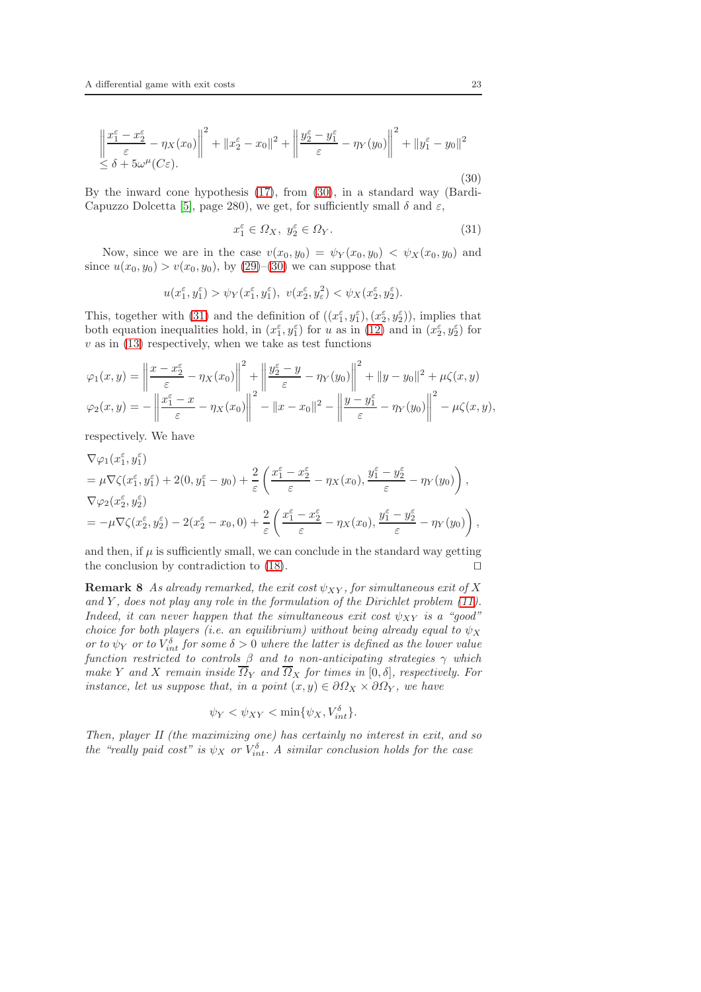$$
\left\| \frac{x_1^{\varepsilon} - x_2^{\varepsilon}}{\varepsilon} - \eta_X(x_0) \right\|^2 + \|x_2^{\varepsilon} - x_0\|^2 + \left\| \frac{y_2^{\varepsilon} - y_1^{\varepsilon}}{\varepsilon} - \eta_Y(y_0) \right\|^2 + \|y_1^{\varepsilon} - y_0\|^2
$$
  
\$\leq \delta + 5\omega^{\mu}(\mathbb{C}\varepsilon)\$.

(30)

By the inward cone hypothesis (17), from (30), in a standard way (Bardi-Capuzzo Dolcetta [5], page 280), we get, for sufficiently small  $\delta$  and  $\varepsilon$ ,

$$
x_1^{\varepsilon} \in \Omega_X, \ y_2^{\varepsilon} \in \Omega_Y. \tag{31}
$$

Now, since we are in the case  $v(x_0, y_0) = \psi_Y(x_0, y_0) < \psi_X(x_0, y_0)$  and since  $u(x_0, y_0) > v(x_0, y_0)$ , by (29)–(30) we can suppose that

$$
u(x_1^{\varepsilon}, y_1^{\varepsilon}) > \psi_Y(x_1^{\varepsilon}, y_1^{\varepsilon}), \ v(x_2^{\varepsilon}, y_2^2) < \psi_X(x_2^{\varepsilon}, y_2^{\varepsilon}).
$$

This, together with (31) and the definition of  $((x_1^{\varepsilon}, y_1^{\varepsilon}), (x_2^{\varepsilon}, y_2^{\varepsilon}))$ , implies that both equation inequalities hold, in  $(x_1^{\varepsilon}, y_1^{\varepsilon})$  for u as in (12) and in  $(x_2^{\varepsilon}, y_2^{\varepsilon})$  for  $v$  as in  $(13)$  respectively, when we take as test functions

$$
\varphi_1(x, y) = \left\| \frac{x - x_2^{\varepsilon}}{\varepsilon} - \eta_X(x_0) \right\|^2 + \left\| \frac{y_2^{\varepsilon} - y}{\varepsilon} - \eta_Y(y_0) \right\|^2 + \|y - y_0\|^2 + \mu \zeta(x, y)
$$

$$
\varphi_2(x, y) = -\left\| \frac{x_1^{\varepsilon} - x}{\varepsilon} - \eta_X(x_0) \right\|^2 - \|x - x_0\|^2 - \left\| \frac{y - y_1^{\varepsilon}}{\varepsilon} - \eta_Y(y_0) \right\|^2 - \mu \zeta(x, y),
$$

respectively. We have

$$
\nabla \varphi_1(x_1^{\varepsilon}, y_1^{\varepsilon})
$$
\n
$$
= \mu \nabla \zeta (x_1^{\varepsilon}, y_1^{\varepsilon}) + 2(0, y_1^{\varepsilon} - y_0) + \frac{2}{\varepsilon} \left( \frac{x_1^{\varepsilon} - x_2^{\varepsilon}}{\varepsilon} - \eta_X(x_0), \frac{y_1^{\varepsilon} - y_2^{\varepsilon}}{\varepsilon} - \eta_Y(y_0) \right),
$$
\n
$$
\nabla \varphi_2(x_2^{\varepsilon}, y_2^{\varepsilon})
$$
\n
$$
= -\mu \nabla \zeta (x_2^{\varepsilon}, y_2^{\varepsilon}) - 2(x_2^{\varepsilon} - x_0, 0) + \frac{2}{\varepsilon} \left( \frac{x_1^{\varepsilon} - x_2^{\varepsilon}}{\varepsilon} - \eta_X(x_0), \frac{y_1^{\varepsilon} - y_2^{\varepsilon}}{\varepsilon} - \eta_Y(y_0) \right),
$$

and then, if  $\mu$  is sufficiently small, we can conclude in the standard way getting the conclusion by contradiction to (18). □

**Remark 8** As already remarked, the exit cost  $\psi_{XY}$ , for simultaneous exit of X and Y, does not play any role in the formulation of the Dirichlet problem  $(11)$ . Indeed, it can never happen that the simultaneous exit cost  $\psi_{XY}$  is a "good" choice for both players (i.e. an equilibrium) without being already equal to  $\psi_X$ or to  $\psi_Y$  or to  $V_{int}^{\delta}$  for some  $\delta > 0$  where the latter is defined as the lower value function restricted to controls  $\beta$  and to non-anticipating strategies  $\gamma$  which make Y and X remain inside  $\overline{\Omega}_Y$  and  $\overline{\Omega}_X$  for times in [0,  $\delta$ ], respectively. For instance, let us suppose that, in a point  $(x, y) \in \partial \Omega_X \times \partial \Omega_Y$ , we have

$$
\psi_Y < \psi_{XY} < \min\{\psi_X, V_{int}^\delta\}.
$$

Then, player II (the maximizing one) has certainly no interest in exit, and so the "really paid cost" is  $\psi_X$  or  $V_{int}^{\delta}$ . A similar conclusion holds for the case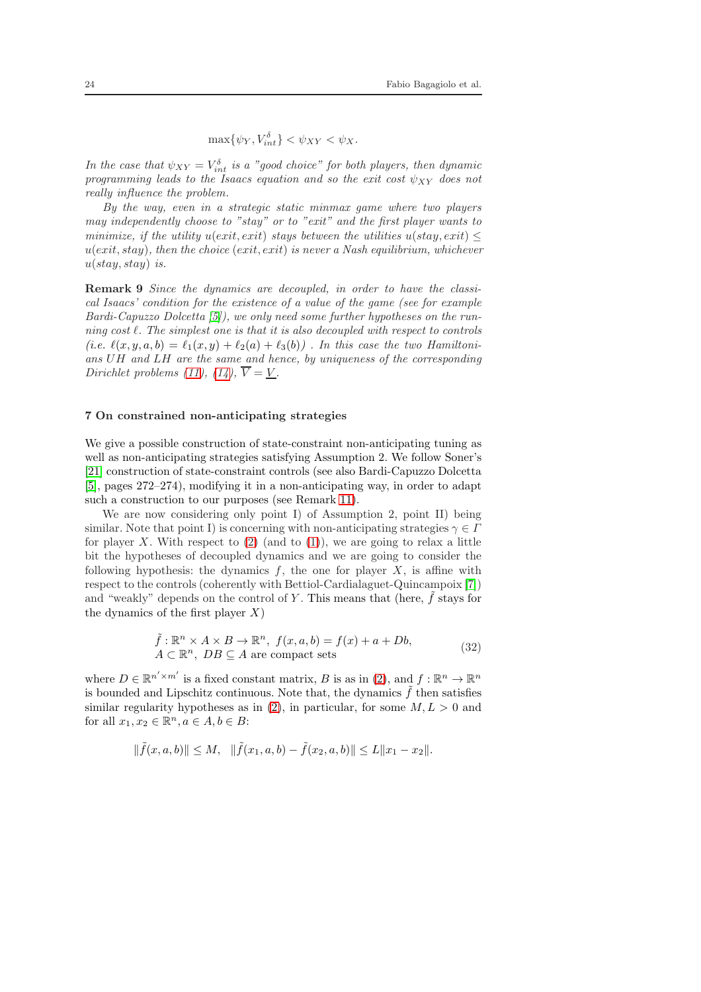$\max\{\psi_Y, V_{int}^{\delta}\} < \psi_{XY} < \psi_X.$ 

In the case that  $\psi_{XY} = V_{int}^{\delta}$  is a "good choice" for both players, then dynamic programming leads to the Isaacs equation and so the exit cost  $\psi_{XY}$  does not really influence the problem.

By the way, even in a strategic static minmax game where two players may independently choose to "stay" or to "exit" and the first player wants to minimize, if the utility u(exit, exit) stays between the utilities u(stay, exit)  $\leq$  $u(exit, stay)$ , then the choice (exit, exit) is never a Nash equilibrium, whichever  $u(stay, stay)$  is.

Remark 9 Since the dynamics are decoupled, in order to have the classical Isaacs' condition for the existence of a value of the game (see for example Bardi-Capuzzo Dolcetta [5]), we only need some further hypotheses on the running cost  $\ell$ . The simplest one is that it is also decoupled with respect to controls (i.e.  $\ell(x, y, a, b) = \ell_1(x, y) + \ell_2(a) + \ell_3(b)$ ). In this case the two Hamiltonians UH and LH are the same and hence, by uniqueness of the corresponding Dirichlet problems (11), (14),  $\overline{V} = V$ .

#### 7 On constrained non-anticipating strategies

We give a possible construction of state-constraint non-anticipating tuning as well as non-anticipating strategies satisfying Assumption 2. We follow Soner's [21] construction of state-constraint controls (see also Bardi-Capuzzo Dolcetta [5], pages 272–274), modifying it in a non-anticipating way, in order to adapt such a construction to our purposes (see Remark 11).

We are now considering only point I) of Assumption 2, point II) being similar. Note that point I) is concerning with non-anticipating strategies  $\gamma \in \Gamma$ for player X. With respect to  $(2)$  (and to  $(1)$ ), we are going to relax a little bit the hypotheses of decoupled dynamics and we are going to consider the following hypothesis: the dynamics  $f$ , the one for player  $X$ , is affine with respect to the controls (coherently with Bettiol-Cardialaguet-Quincampoix [7]) and "weakly" depends on the control of Y. This means that (here,  $\tilde{f}$  stays for the dynamics of the first player  $X$ )

$$
\tilde{f}: \mathbb{R}^n \times A \times B \to \mathbb{R}^n, \ f(x, a, b) = f(x) + a + Db,
$$
  
\n
$$
A \subset \mathbb{R}^n, \ DB \subseteq A \text{ are compact sets}
$$
\n(32)

where  $D \in \mathbb{R}^{n' \times m'}$  is a fixed constant matrix, B is as in (2), and  $f : \mathbb{R}^n \to \mathbb{R}^n$ is bounded and Lipschitz continuous. Note that, the dynamics  $\tilde{f}$  then satisfies similar regularity hypotheses as in (2), in particular, for some  $M, L > 0$  and for all  $x_1, x_2 \in \mathbb{R}^n, a \in A, b \in B$ :

$$
\|\tilde{f}(x,a,b)\| \le M, \quad \|\tilde{f}(x_1,a,b) - \tilde{f}(x_2,a,b)\| \le L\|x_1 - x_2\|.
$$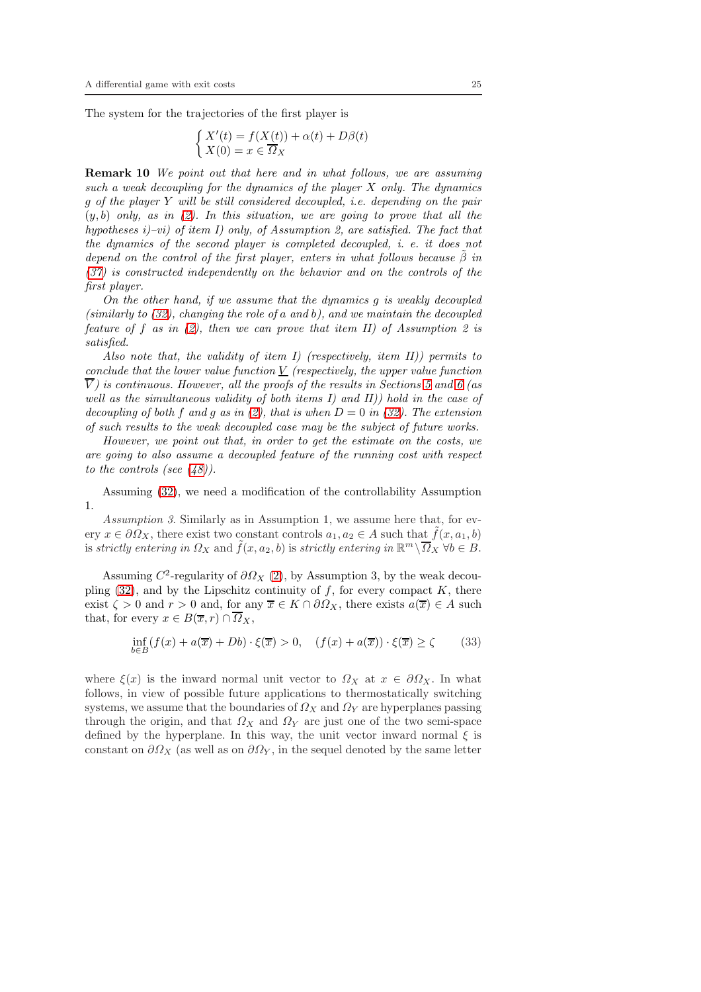The system for the trajectories of the first player is

$$
\left\{\begin{aligned}&X'(t)=f(X(t))+\alpha(t)+D\beta(t)\\&X(0)=x\in\overline{\varOmega}_X\end{aligned}\right.
$$

Remark 10 We point out that here and in what follows, we are assuming such a weak decoupling for the dynamics of the player  $X$  only. The dynamics g of the player Y will be still considered decoupled, i.e. depending on the pair  $(y, b)$  only, as in (2). In this situation, we are going to prove that all the hypotheses  $i$ )–vi) of item I) only, of Assumption 2, are satisfied. The fact that the dynamics of the second player is completed decoupled, i. e. it does not depend on the control of the first player, enters in what follows because  $\beta$  in (37) is constructed independently on the behavior and on the controls of the first player.

On the other hand, if we assume that the dynamics g is weakly decoupled (similarly to (32), changing the role of a and b), and we maintain the decoupled feature of f as in  $(2)$ , then we can prove that item II) of Assumption 2 is satisfied.

Also note that, the validity of item I) (respectively, item II)) permits to conclude that the lower value function  $\underline{V}$  (respectively, the upper value function  $\overline{V}$ ) is continuous. However, all the proofs of the results in Sections 5 and 6 (as well as the simultaneous validity of both items I) and II)) hold in the case of decoupling of both f and q as in (2), that is when  $D = 0$  in (32). The extension of such results to the weak decoupled case may be the subject of future works.

However, we point out that, in order to get the estimate on the costs, we are going to also assume a decoupled feature of the running cost with respect to the controls (see  $(48)$ ).

Assuming (32), we need a modification of the controllability Assumption 1.

Assumption 3. Similarly as in Assumption 1, we assume here that, for every  $x \in \partial \Omega_X$ , there exist two constant controls  $a_1, a_2 \in A$  such that  $\hat{f}(x, a_1, b)$ is strictly entering in  $\Omega_X$  and  $\tilde{f}(x, a_2, b)$  is strictly entering in  $\mathbb{R}^m \setminus \overline{\Omega}_X \ \forall b \in B$ .

Assuming  $C^2$ -regularity of  $\partial \Omega_X (2)$ , by Assumption 3, by the weak decoupling  $(32)$ , and by the Lipschitz continuity of f, for every compact K, there exist  $\zeta > 0$  and  $r > 0$  and, for any  $\overline{x} \in K \cap \partial \Omega_X$ , there exists  $a(\overline{x}) \in A$  such that, for every  $x \in B(\overline{x}, r) \cap \overline{\Omega}_X$ ,

$$
\inf_{b \in B} (f(x) + a(\overline{x}) + Db) \cdot \xi(\overline{x}) > 0, \quad (f(x) + a(\overline{x})) \cdot \xi(\overline{x}) \ge \zeta \tag{33}
$$

where  $\xi(x)$  is the inward normal unit vector to  $\Omega_X$  at  $x \in \partial \Omega_X$ . In what follows, in view of possible future applications to thermostatically switching systems, we assume that the boundaries of  $\Omega_X$  and  $\Omega_Y$  are hyperplanes passing through the origin, and that  $\Omega_X$  and  $\Omega_Y$  are just one of the two semi-space defined by the hyperplane. In this way, the unit vector inward normal  $\xi$  is constant on  $\partial \Omega_X$  (as well as on  $\partial \Omega_Y$ , in the sequel denoted by the same letter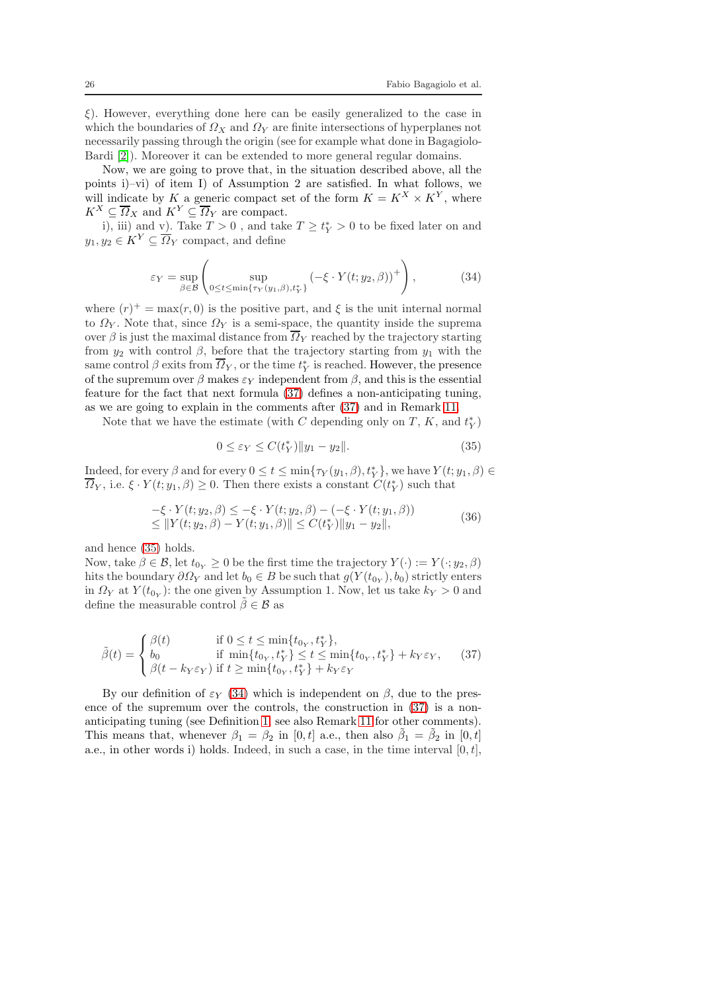$\xi$ ). However, everything done here can be easily generalized to the case in which the boundaries of  $\Omega_X$  and  $\Omega_Y$  are finite intersections of hyperplanes not necessarily passing through the origin (see for example what done in Bagagiolo-Bardi [2]). Moreover it can be extended to more general regular domains.

Now, we are going to prove that, in the situation described above, all the points i)–vi) of item I) of Assumption 2 are satisfied. In what follows, we will indicate by K a generic compact set of the form  $K = K^X \times K^Y$ , where  $K^X \subseteq \overline{\Omega}_X$  and  $K^Y \subseteq \overline{\Omega}_Y$  are compact.

i), iii) and v). Take  $T > 0$ , and take  $T \ge t_Y^* > 0$  to be fixed later on and  $y_1, y_2 \in K^Y \subseteq \overline{\Omega}_Y$  compact, and define

$$
\varepsilon_Y = \sup_{\beta \in \mathcal{B}} \left( \sup_{0 \le t \le \min\{\tau_Y(y_1,\beta), t_Y^*\}} (-\xi \cdot Y(t; y_2, \beta))^+ \right),\tag{34}
$$

where  $(r)^{+} = \max(r, 0)$  is the positive part, and  $\xi$  is the unit internal normal to  $\Omega_Y$ . Note that, since  $\Omega_Y$  is a semi-space, the quantity inside the suprema over  $\beta$  is just the maximal distance from  $\overline{\Omega}_Y$  reached by the trajectory starting from  $y_2$  with control  $\beta$ , before that the trajectory starting from  $y_1$  with the same control  $\beta$  exits from  $\overline{\Omega}_Y$ , or the time  $t_Y^*$  is reached. However, the presence of the supremum over  $\beta$  makes  $\varepsilon_Y$  independent from  $\beta$ , and this is the essential feature for the fact that next formula (37) defines a non-anticipating tuning, as we are going to explain in the comments after (37) and in Remark 11.

Note that we have the estimate (with  $C$  depending only on  $T$ ,  $K$ , and  $t_Y^*$ )

$$
0 \le \varepsilon_Y \le C(t_Y^*) \|y_1 - y_2\|. \tag{35}
$$

Indeed, for every  $\beta$  and for every  $0 \le t \le \min\{\tau_Y(y_1,\beta),t_Y^*\}$ , we have  $Y(t; y_1,\beta) \in$  $\overline{\Omega}_Y$ , i.e.  $\xi \cdot Y(t; y_1, \beta) \geq 0$ . Then there exists a constant  $C(t^*_Y)$  such that

$$
-\xi \cdot Y(t; y_2, \beta) \le -\xi \cdot Y(t; y_2, \beta) - (-\xi \cdot Y(t; y_1, \beta))
$$
  
\n
$$
\le ||Y(t; y_2, \beta) - Y(t; y_1, \beta)|| \le C(t^*_Y) ||y_1 - y_2||,
$$
\n(36)

and hence (35) holds.

Now, take  $\beta \in \mathcal{B}$ , let  $t_{0_Y} \geq 0$  be the first time the trajectory  $Y(\cdot) := Y(\cdot; y_2, \beta)$ hits the boundary  $\partial \Omega_Y$  and let  $b_0 \in B$  be such that  $g(Y(t_{0_Y}), b_0)$  strictly enters in  $\Omega_Y$  at  $Y(t_{0_Y})$ : the one given by Assumption 1. Now, let us take  $k_Y > 0$  and define the measurable control  $\beta \in \mathcal{B}$  as

$$
\tilde{\beta}(t) = \begin{cases}\n\beta(t) & \text{if } 0 \le t \le \min\{t_{0_Y}, t_Y^*\}, \\
b_0 & \text{if } \min\{t_{0_Y}, t_Y^*\} \le t \le \min\{t_{0_Y}, t_Y^*\} + k_Y \varepsilon_Y, \\
\beta(t - k_Y \varepsilon_Y) & \text{if } t \ge \min\{t_{0_Y}, t_Y^*\} + k_Y \varepsilon_Y\n\end{cases}
$$
\n(37)

By our definition of  $\varepsilon_Y$  (34) which is independent on  $\beta$ , due to the presence of the supremum over the controls, the construction in (37) is a nonanticipating tuning (see Definition 1, see also Remark 11 for other comments). This means that, whenever  $\beta_1 = \beta_2$  in [0, t] a.e., then also  $\tilde{\beta}_1 = \tilde{\beta}_2$  in [0, t] a.e., in other words i) holds. Indeed, in such a case, in the time interval  $[0, t]$ ,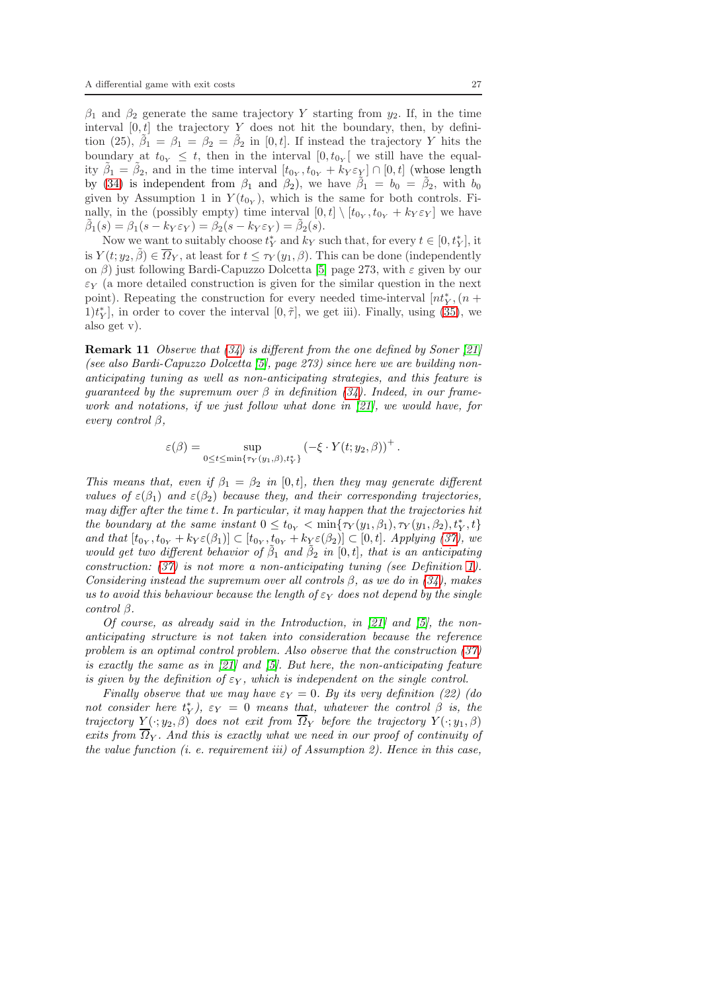$\beta_1$  and  $\beta_2$  generate the same trajectory Y starting from  $y_2$ . If, in the time interval  $[0, t]$  the trajectory Y does not hit the boundary, then, by definition (25),  $\tilde{\beta}_1 = \beta_1 = \beta_2 = \tilde{\beta}_2$  in [0, t]. If instead the trajectory Y hits the boundary at  $t_{0_Y} \leq t$ , then in the interval  $[0, t_{0_Y}]$  we still have the equality  $\tilde{\beta}_1 = \tilde{\beta}_2$ , and in the time interval  $[t_{0_Y}, t_{0_Y} + k_Y \varepsilon_Y] \cap [0, t]$  (whose length by (34) is independent from  $\beta_1$  and  $\beta_2$ ), we have  $\tilde{\beta}_1 = b_0 = \tilde{\beta}_2$ , with  $b_0$ given by Assumption 1 in  $Y(t_{0_Y})$ , which is the same for both controls. Finally, in the (possibly empty) time interval  $[0,t] \setminus [t_{0_Y}, t_{0_Y} + k_Y \varepsilon_Y]$  we have  $\tilde{\beta}_1(s) = \beta_1(s - k_Y \varepsilon_Y) = \beta_2(s - k_Y \varepsilon_Y) = \tilde{\beta}_2(s).$ 

Now we want to suitably choose  $t_Y^*$  and  $k_Y$  such that, for every  $t \in [0, t_Y^*]$ , it is  $Y(t; y_2, \tilde{\beta}) \in \overline{\Omega}_Y$ , at least for  $t \leq \tau_Y(y_1, \beta)$ . This can be done (independently on  $\beta$ ) just following Bardi-Capuzzo Dolcetta [5] page 273, with  $\varepsilon$  given by our  $\varepsilon_Y$  (a more detailed construction is given for the similar question in the next point). Repeating the construction for every needed time-interval  $[nt^*_Y, (n +$  $(1)t_Y^*$ , in order to cover the interval  $[0, \tilde{\tau}]$ , we get iii). Finally, using (35), we also get v).

**Remark 11** Observe that  $(34)$  is different from the one defined by Soner [21] (see also Bardi-Capuzzo Dolcetta [5], page 273) since here we are building nonanticipating tuning as well as non-anticipating strategies, and this feature is guaranteed by the supremum over  $\beta$  in definition (34). Indeed, in our framework and notations, if we just follow what done in [21], we would have, for every control β,

$$
\varepsilon(\beta) = \sup_{0 \leq t \leq \min\{\tau_Y(y_1,\beta), t_Y^*\}} (-\xi \cdot Y(t; y_2, \beta))^+.
$$

This means that, even if  $\beta_1 = \beta_2$  in [0, t], then they may generate different values of  $\varepsilon(\beta_1)$  and  $\varepsilon(\beta_2)$  because they, and their corresponding trajectories, may differ after the time t. In particular, it may happen that the trajectories hit the boundary at the same instant  $0 \le t_{0_Y} < \min{\lbrace \tau_Y(y_1, \beta_1), \tau_Y(y_1, \beta_2), t_Y^*, t \rbrace}$ and that  $[t_{0_Y}, t_{0_Y} + k_Y \varepsilon(\beta_1)] \subset [t_{0_Y}, t_{0_Y} + k_Y \varepsilon(\beta_2)] \subset [0, t]$ . Applying (37), we would get two different behavior of  $\tilde{\beta}_1$  and  $\tilde{\beta}_2$  in  $[0,t]$ , that is an anticipating construction: (37) is not more a non-anticipating tuning (see Definition 1). Considering instead the supremum over all controls  $\beta$ , as we do in (34), makes us to avoid this behaviour because the length of  $\varepsilon_Y$  does not depend by the single control β.

Of course, as already said in the Introduction, in  $[21]$  and  $[5]$ , the nonanticipating structure is not taken into consideration because the reference problem is an optimal control problem. Also observe that the construction (37) is exactly the same as in  $[21]$  and  $[5]$ . But here, the non-anticipating feature is given by the definition of  $\varepsilon_Y$ , which is independent on the single control.

Finally observe that we may have  $\varepsilon_Y = 0$ . By its very definition (22) (do not consider here  $t_Y^*$ ),  $\varepsilon_Y = 0$  means that, whatever the control  $\beta$  is, the trajectory  $Y(\cdot; y_2, \beta)$  does not exit from  $\overline{\Omega}_Y$  before the trajectory  $Y(\cdot; y_1, \beta)$ exits from  $\overline{\Omega}_Y$ . And this is exactly what we need in our proof of continuity of the value function  $(i. e. requirement iii)$  of Assumption 2). Hence in this case,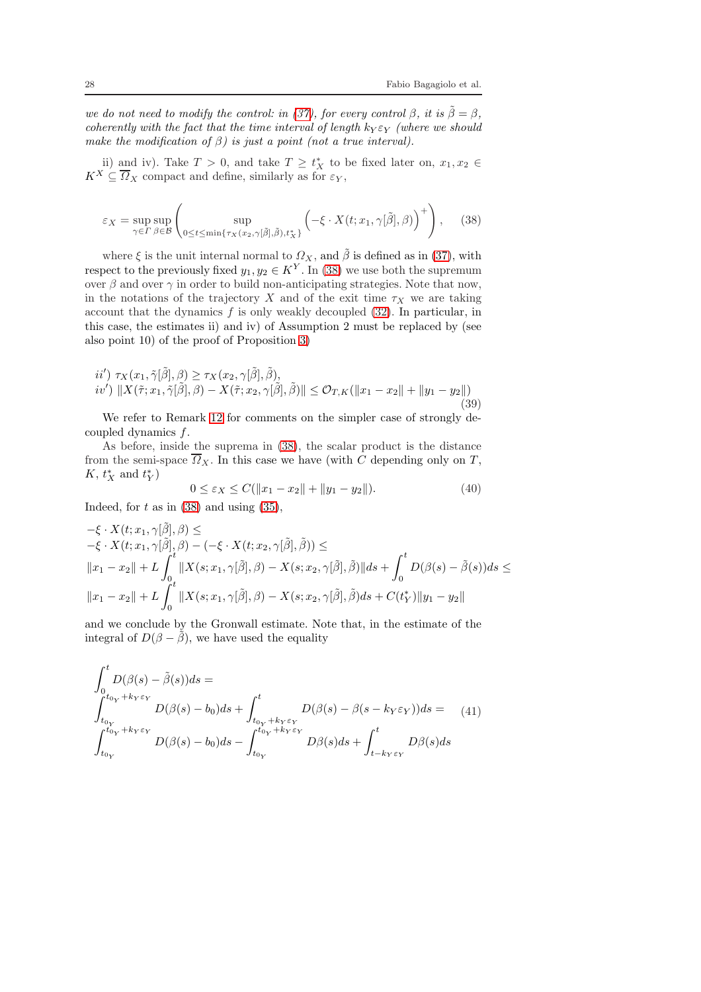we do not need to modify the control: in (37), for every control  $\beta$ , it is  $\tilde{\beta} = \beta$ , coherently with the fact that the time interval of length  $k_Y \varepsilon_Y$  (where we should make the modification of  $\beta$ ) is just a point (not a true interval).

ii) and iv). Take  $T > 0$ , and take  $T \ge t_X^*$  to be fixed later on,  $x_1, x_2 \in$  $K^X \subseteq \overline{\Omega}_X$  compact and define, similarly as for  $\varepsilon_Y$ ,

$$
\varepsilon_X = \sup_{\gamma \in \Gamma} \sup_{\beta \in \mathcal{B}} \left( \sup_{0 \le t \le \min\{\tau_X(x_2, \gamma[\tilde{\beta}], \tilde{\beta}), t_X^*\}} \left( -\xi \cdot X(t; x_1, \gamma[\tilde{\beta}], \beta) \right)^+ \right), \quad (38)
$$

where  $\xi$  is the unit internal normal to  $\Omega_X$ , and  $\tilde{\beta}$  is defined as in (37), with respect to the previously fixed  $y_1, y_2 \in K<sup>Y</sup>$ . In (38) we use both the supremum over  $\beta$  and over  $\gamma$  in order to build non-anticipating strategies. Note that now, in the notations of the trajectory X and of the exit time  $\tau_X$  we are taking account that the dynamics  $f$  is only weakly decoupled  $(32)$ . In particular, in this case, the estimates ii) and iv) of Assumption 2 must be replaced by (see also point 10) of the proof of Proposition 3)

$$
\begin{aligned}\n\text{ii}') \ \tau_X(x_1, \tilde{\gamma}[\tilde{\beta}], \beta) &\ge \tau_X(x_2, \gamma[\tilde{\beta}], \tilde{\beta}), \\
\text{iii}') \ \|X(\tilde{\tau}; x_1, \tilde{\gamma}[\tilde{\beta}], \beta) - X(\tilde{\tau}; x_2, \gamma[\tilde{\beta}], \tilde{\beta})\| &\le \mathcal{O}_{T,K}(\|x_1 - x_2\| + \|y_1 - y_2\|) \\
&\quad (39)\n\end{aligned}
$$

We refer to Remark 12 for comments on the simpler case of strongly decoupled dynamics f.

As before, inside the suprema in (38), the scalar product is the distance from the semi-space  $\overline{\Omega}_X$ . In this case we have (with C depending only on T, K,  $t_X^*$  and  $t_Y^*$ )

$$
0 \le \varepsilon_X \le C(||x_1 - x_2|| + ||y_1 - y_2||). \tag{40}
$$

Indeed, for  $t$  as in  $(38)$  and using  $(35)$ ,

$$
-\xi \cdot X(t; x_1, \gamma[\tilde{\beta}], \beta) \le
$$
  
\n
$$
-\xi \cdot X(t; x_1, \gamma[\tilde{\beta}], \beta) - (-\xi \cdot X(t; x_2, \gamma[\tilde{\beta}], \tilde{\beta})) \le
$$
  
\n
$$
||x_1 - x_2|| + L \int_0^t ||X(s; x_1, \gamma[\tilde{\beta}], \beta) - X(s; x_2, \gamma[\tilde{\beta}], \tilde{\beta})||ds + \int_0^t D(\beta(s) - \tilde{\beta}(s))ds \le
$$
  
\n
$$
||x_1 - x_2|| + L \int_0^t ||X(s; x_1, \gamma[\tilde{\beta}], \beta) - X(s; x_2, \gamma[\tilde{\beta}], \tilde{\beta})ds + C(t^*_Y) ||y_1 - y_2||
$$

and we conclude by the Gronwall estimate. Note that, in the estimate of the integral of  $D(\beta - \tilde{\beta})$ , we have used the equality

$$
\int_{0}^{t} D(\beta(s) - \tilde{\beta}(s))ds =
$$
\n
$$
\int_{t_{0_Y}}^{t_{0_Y} + k_Y \varepsilon_Y} D(\beta(s) - b_0)ds + \int_{t_{0_Y} + k_Y \varepsilon_Y}^{t} D(\beta(s) - \beta(s - k_Y \varepsilon_Y))ds = (41)
$$
\n
$$
\int_{t_{0_Y}}^{t_{0_Y} + k_Y \varepsilon_Y} D(\beta(s) - b_0)ds - \int_{t_{0_Y}}^{t_{0_Y} + k_Y \varepsilon_Y} D\beta(s)ds + \int_{t - k_Y \varepsilon_Y}^{t} D\beta(s)ds
$$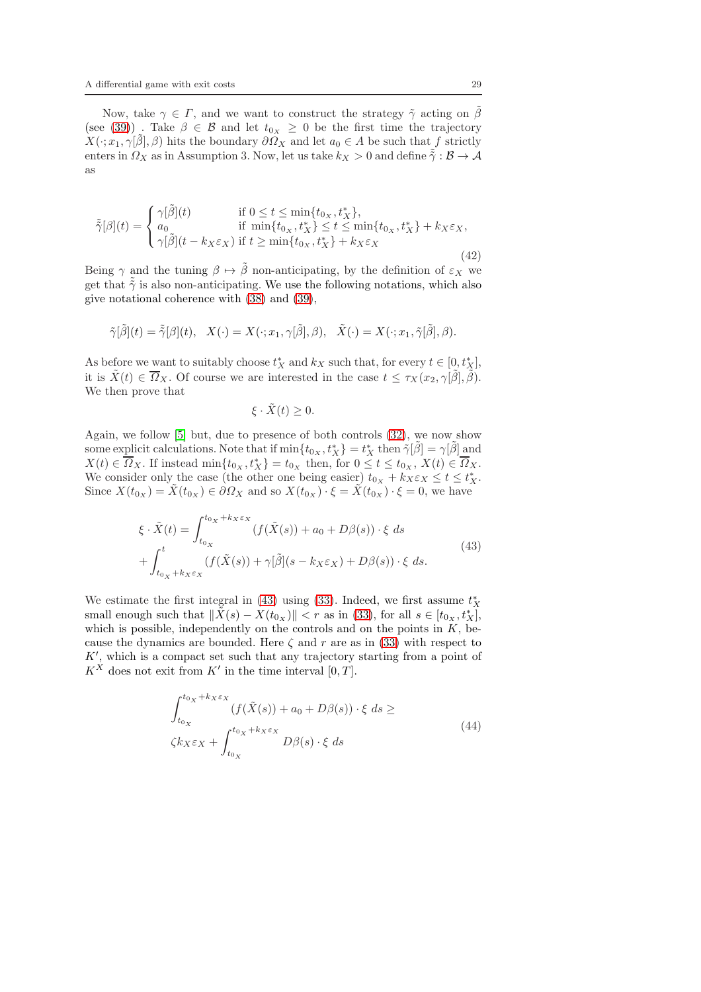Now, take  $\gamma \in \Gamma$ , and we want to construct the strategy  $\tilde{\gamma}$  acting on  $\tilde{\beta}$ (see (39)). Take  $\beta \in \mathcal{B}$  and let  $t_{0x} \geq 0$  be the first time the trajectory  $X(\cdot; x_1, \gamma[\beta], \beta)$  hits the boundary  $\partial \Omega_X$  and let  $a_0 \in A$  be such that f strictly enters in  $\Omega_X$  as in Assumption 3. Now, let us take  $k_X > 0$  and define  $\tilde{\gamma}: \mathcal{B} \to \mathcal{A}$ as

$$
\tilde{\tilde{\gamma}}[\beta](t) = \begin{cases}\n\gamma[\tilde{\beta}](t) & \text{if } 0 \le t \le \min\{t_{0x}, t^*_X\}, \\
a_0 & \text{if } \min\{t_{0x}, t^*_X\} \le t \le \min\{t_{0x}, t^*_X\} + k_X \varepsilon_X, \\
\gamma[\tilde{\beta}](t - k_X \varepsilon_X) & \text{if } t \ge \min\{t_{0x}, t^*_X\} + k_X \varepsilon_X\n\end{cases}
$$
\n(42)

Being  $\gamma$  and the tuning  $\beta \mapsto \tilde{\beta}$  non-anticipating, by the definition of  $\varepsilon_X$  we get that  $\tilde{\tilde{\gamma}}$  is also non-anticipating. We use the following notations, which also give notational coherence with (38) and (39),

$$
\tilde{\gamma}[\tilde{\beta}](t) = \tilde{\tilde{\gamma}}[\beta](t), \quad X(\cdot) = X(\cdot; x_1, \gamma[\tilde{\beta}], \beta), \quad \tilde{X}(\cdot) = X(\cdot; x_1, \tilde{\gamma}[\tilde{\beta}], \beta).
$$

As before we want to suitably choose  $t_X^*$  and  $k_X$  such that, for every  $t \in [0, t_X^*]$ , it is  $\tilde{X}(t) \in \overline{\Omega}_X$ . Of course we are interested in the case  $t \leq \tau_X(x_2, \gamma[\tilde{\beta}], \tilde{\beta})$ . We then prove that

$$
\xi \cdot \tilde{X}(t) \ge 0.
$$

Again, we follow [5] but, due to presence of both controls (32), we now show some explicit calculations. Note that if  $\min\{t_{0_X}, t_X^*\} = t_X^*$  then  $\tilde{\gamma}[\tilde{\beta}] = \gamma[\tilde{\beta}]$  and  $X(t) \in \overline{\Omega}_X$ . If instead  $\min\{t_{0X}, t_X^*\} = t_{0X}$  then, for  $0 \le t \le t_{0X}$ ,  $X(t) \in \overline{\Omega}_X$ . We consider only the case (the other one being easier)  $t_{0x} + k_X \varepsilon_X \le t \le t_X^*$ . Since  $X(t_{0X}) = \overline{X}(t_{0X}) \in \partial \Omega_X$  and so  $X(t_{0X}) \cdot \xi = \overline{X}(t_{0X}) \cdot \xi = 0$ , we have

$$
\xi \cdot \tilde{X}(t) = \int_{t_{0_X}}^{t_{0_X} + k_X \varepsilon_X} (f(\tilde{X}(s)) + a_0 + D\beta(s)) \cdot \xi \, ds
$$
  
+ 
$$
\int_{t_{0_X} + k_X \varepsilon_X}^{t} (f(\tilde{X}(s)) + \gamma[\tilde{\beta}](s - k_X \varepsilon_X) + D\beta(s)) \cdot \xi \, ds.
$$
 (43)

We estimate the first integral in  $(43)$  using  $(33)$ . Indeed, we first assume  $t_X^*$ small enough such that  $\|\tilde{X}(s) - X(t_{0x})\| < r$  as in (33), for all  $s \in [t_{0x}, t^*_{X}],$ which is possible, independently on the controls and on the points in  $K$ , because the dynamics are bounded. Here  $\zeta$  and  $r$  are as in (33) with respect to K′ , which is a compact set such that any trajectory starting from a point of  $K^X$  does not exit from  $K'$  in the time interval  $[0, T]$ .

$$
\int_{t_{0_X}}^{t_{0_X} + k_X \varepsilon_X} (f(\tilde{X}(s)) + a_0 + D\beta(s)) \cdot \xi \, ds \ge
$$
\n
$$
\zeta k_X \varepsilon_X + \int_{t_{0_X}}^{t_{0_X} + k_X \varepsilon_X} D\beta(s) \cdot \xi \, ds \tag{44}
$$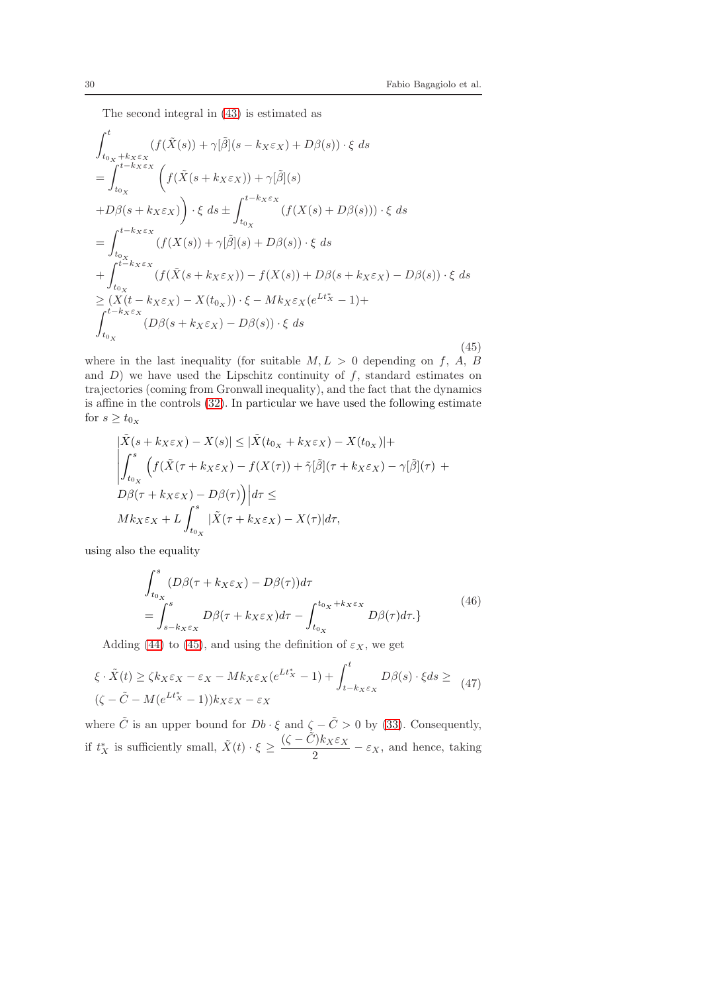The second integral in (43) is estimated as

$$
\int_{t_{0_X}+k_X\varepsilon_X}^{t} (f(\tilde{X}(s))+\gamma[\tilde{\beta}](s-k_X\varepsilon_X)+D\beta(s))\cdot\xi ds
$$
\n
$$
=\int_{t_{0_X}}^{t-k_X\varepsilon_X} \left( f(\tilde{X}(s+k_X\varepsilon_X))+\gamma[\tilde{\beta}](s) \right.
$$
\n
$$
+D\beta(s+k_X\varepsilon_X)\right)\cdot\xi ds \pm \int_{t_{0_X}}^{t-k_X\varepsilon_X} (f(X(s)+D\beta(s)))\cdot\xi ds
$$
\n
$$
=\int_{t_{0_X}}^{t-k_X\varepsilon_X} (f(X(s))+\gamma[\tilde{\beta}](s)+D\beta(s))\cdot\xi ds
$$
\n
$$
+\int_{t_{0_X}}^{t-k_X\varepsilon_X} (f(\tilde{X}(s+k_X\varepsilon_X))-f(X(s))+D\beta(s+k_X\varepsilon_X)-D\beta(s))\cdot\xi ds
$$
\n
$$
\geq (X(t-k_X\varepsilon_X)-X(t_{0_X}))\cdot\xi-Mk_X\varepsilon_X(e^{Lt_X^*}-1)+
$$
\n
$$
\int_{t_{0_X}}^{t-k_X\varepsilon_X} (D\beta(s+k_X\varepsilon_X)-D\beta(s))\cdot\xi ds
$$
\n(45)

where in the last inequality (for suitable  $M, L > 0$  depending on f, A, B and  $D$ ) we have used the Lipschitz continuity of  $f$ , standard estimates on trajectories (coming from Gronwall inequality), and the fact that the dynamics is affine in the controls (32). In particular we have used the following estimate for  $s \geq t_{0x}$ 

$$
\begin{aligned} |\tilde{X}(s+k_X\varepsilon_X)-X(s)| &\leq |\tilde{X}(t_{0_X}+k_X\varepsilon_X)-X(t_{0_X})|+\\ &\left|\int_{t_{0_X}}^s \left(f(\tilde{X}(\tau+k_X\varepsilon_X)-f(X(\tau))+\tilde{\gamma}[\tilde{\beta}](\tau+k_X\varepsilon_X)-\gamma[\tilde{\beta}](\tau)+D\beta(\tau+k_X\varepsilon_X)-D\beta(\tau)\right)\right|d\tau \leq\\ &\qquad Mk_X\varepsilon_X+L\int_{t_{0_X}}^s |\tilde{X}(\tau+k_X\varepsilon_X)-X(\tau)|d\tau, \end{aligned}
$$

using also the equality

$$
\int_{t_{0_X}}^{s} (D\beta(\tau + k_X \varepsilon_X) - D\beta(\tau))d\tau
$$
\n
$$
= \int_{s - k_X \varepsilon_X}^{s} D\beta(\tau + k_X \varepsilon_X) d\tau - \int_{t_{0_X}}^{t_{0_X} + k_X \varepsilon_X} D\beta(\tau) d\tau.
$$
\n(46)

Adding (44) to (45), and using the definition of  $\varepsilon_X$ , we get

$$
\xi \cdot \tilde{X}(t) \ge \zeta k_X \varepsilon_X - \varepsilon_X - Mk_X \varepsilon_X (e^{Lt_X^*} - 1) + \int_{t - k_X \varepsilon_X}^t D\beta(s) \cdot \xi ds \ge (47)
$$
  

$$
(\zeta - \tilde{C} - M(e^{Lt_X^*} - 1))k_X \varepsilon_X - \varepsilon_X
$$

where  $\tilde{C}$  is an upper bound for  $Db \cdot \xi$  and  $\zeta - \tilde{C} > 0$  by (33). Consequently, if  $t_X^*$  is sufficiently small,  $\tilde{X}(t) \cdot \xi \geq \frac{(\zeta - \tilde{C})k_X \varepsilon_X}{2}$  $\frac{\partial \mathcal{L}_X}{\partial \mathcal{L}_Y}$  –  $\varepsilon_X$ , and hence, taking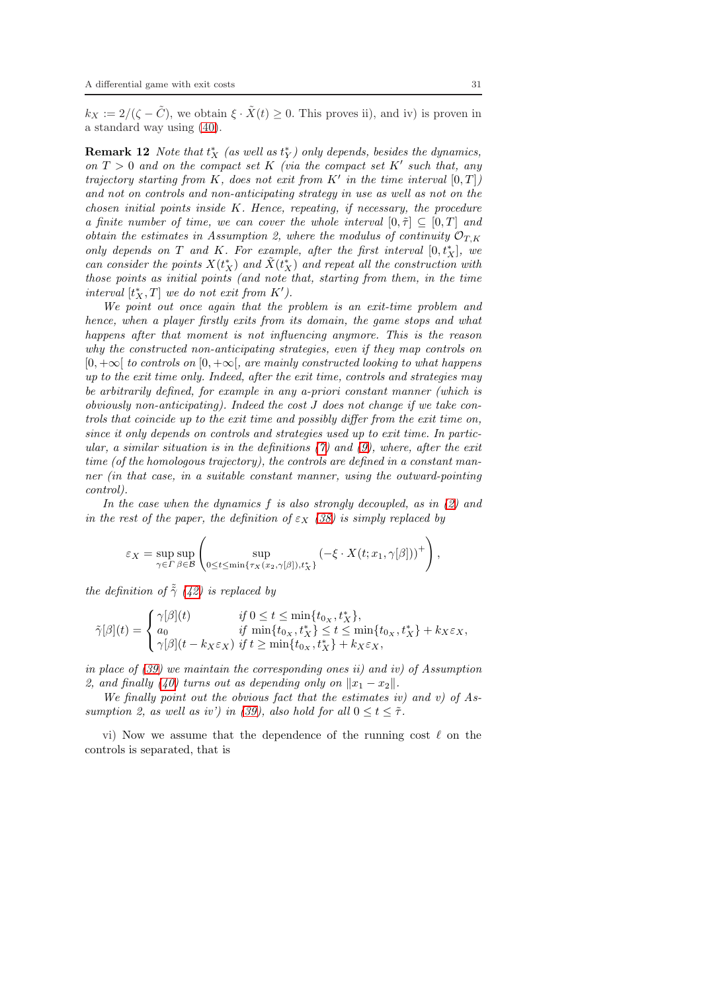$k_X := 2/(\zeta - \tilde{C})$ , we obtain  $\xi \cdot \tilde{X}(t) \geq 0$ . This proves ii), and iv) is proven in a standard way using (40).

**Remark 12** Note that  $t_X^*$  (as well as  $t_Y^*$ ) only depends, besides the dynamics, on  $T > 0$  and on the compact set K (via the compact set K' such that, any trajectory starting from K, does not exit from K' in the time interval  $[0,T]$ ) and not on controls and non-anticipating strategy in use as well as not on the chosen initial points inside K. Hence, repeating, if necessary, the procedure a finite number of time, we can cover the whole interval  $[0, \tilde{\tau}] \subseteq [0, T]$  and obtain the estimates in Assumption 2, where the modulus of continuity  $\mathcal{O}_{T,K}$ only depends on T and K. For example, after the first interval  $[0, t_X^*]$ , we can consider the points  $X(t^*)$  and  $\tilde{X}(t^*)$  and repeat all the construction with those points as initial points (and note that, starting from them, in the time interval  $[t_X^*,T]$  we do not exit from  $K'$ ).

We point out once again that the problem is an exit-time problem and hence, when a player firstly exits from its domain, the game stops and what happens after that moment is not influencing anymore. This is the reason why the constructed non-anticipating strategies, even if they map controls on  $[0, +\infty[$  to controls on  $[0, +\infty[$ , are mainly constructed looking to what happens up to the exit time only. Indeed, after the exit time, controls and strategies may be arbitrarily defined, for example in any a-priori constant manner (which is obviously non-anticipating). Indeed the cost J does not change if we take controls that coincide up to the exit time and possibly differ from the exit time on, since it only depends on controls and strategies used up to exit time. In particular, a similar situation is in the definitions  $(7)$  and  $(9)$ , where, after the exit time (of the homologous trajectory), the controls are defined in a constant manner (in that case, in a suitable constant manner, using the outward-pointing control).

In the case when the dynamics f is also strongly decoupled, as in  $(2)$  and in the rest of the paper, the definition of  $\varepsilon_X$  (38) is simply replaced by

$$
\varepsilon_X = \sup_{\gamma \in \Gamma} \sup_{\beta \in \mathcal{B}} \left( \sup_{0 \le t \le \min\{\tau_X(x_2, \gamma[\beta]), t_X^*\}} (-\xi \cdot X(t; x_1, \gamma[\beta]))^+ \right),
$$

the definition of  $\tilde{\tilde{\gamma}}$  (42) is replaced by

$$
\tilde{\gamma}[\beta](t) = \begin{cases}\n\gamma[\beta](t) & \text{if } 0 \le t \le \min\{t_{0x}, t^*_X\}, \\
a_0 & \text{if } \min\{t_{0x}, t^*_X\} \le t \le \min\{t_{0x}, t^*_X\} + k_X \varepsilon_X, \\
\gamma[\beta](t - k_X \varepsilon_X) & \text{if } t \ge \min\{t_{0x}, t^*_X\} + k_X \varepsilon_X,\n\end{cases}
$$

in place of (39) we maintain the corresponding ones ii) and iv) of Assumption 2, and finally (40) turns out as depending only on  $||x_1 - x_2||$ .

We finally point out the obvious fact that the estimates iv) and v) of  $As$ sumption 2, as well as iv') in (39), also hold for all  $0 \le t \le \tilde{\tau}$ .

vi) Now we assume that the dependence of the running cost  $\ell$  on the controls is separated, that is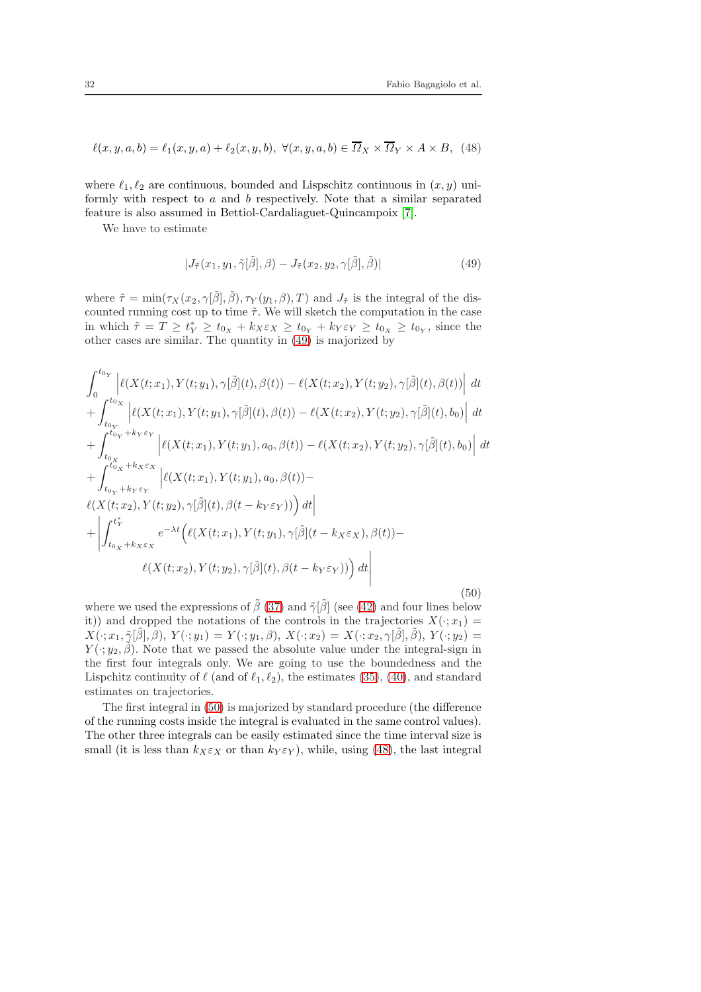$$
\ell(x, y, a, b) = \ell_1(x, y, a) + \ell_2(x, y, b), \ \forall (x, y, a, b) \in \overline{\Omega}_X \times \overline{\Omega}_Y \times A \times B, \tag{48}
$$

where  $\ell_1, \ell_2$  are continuous, bounded and Lispschitz continuous in  $(x, y)$  uniformly with respect to  $a$  and  $b$  respectively. Note that a similar separated feature is also assumed in Bettiol-Cardaliaguet-Quincampoix [7].

We have to estimate

$$
|J_{\tilde{\tau}}(x_1, y_1, \tilde{\gamma}[\tilde{\beta}], \beta) - J_{\tilde{\tau}}(x_2, y_2, \gamma[\tilde{\beta}], \tilde{\beta})|
$$
\n(49)

where  $\tilde{\tau} = \min(\tau_X(x_2, \gamma[\tilde{\beta}], \tilde{\beta}), \tau_Y(y_1, \beta), T)$  and  $J_{\tilde{\tau}}$  is the integral of the discounted running cost up to time  $\tilde{\tau}$ . We will sketch the computation in the case in which  $\tilde{\tau} = T \ge t_Y^* \ge t_{0_X} + k_X \varepsilon_X \ge t_{0_Y} + k_Y \varepsilon_Y \ge t_{0_X} \ge t_{0_Y}$ , since the other cases are similar. The quantity in (49) is majorized by

$$
\int_{0}^{t_{0_{Y}}}\left|\ell(X(t; x_{1}), Y(t; y_{1}), \gamma[\tilde{\beta}](t), \beta(t)) - \ell(X(t; x_{2}), Y(t; y_{2}), \gamma[\tilde{\beta}](t), \beta(t))\right| dt + \int_{t_{0_{Y}}}^{t_{0_{X}}}\left|\ell(X(t; x_{1}), Y(t; y_{1}), \gamma[\tilde{\beta}](t), \beta(t)) - \ell(X(t; x_{2}), Y(t; y_{2}), \gamma[\tilde{\beta}](t), b_{0})\right| dt + \int_{t_{0_{Y}}}^{t_{0_{Y}}+k_{Y}\varepsilon_{Y}}\left|\ell(X(t; x_{1}), Y(t; y_{1}), a_{0}, \beta(t)) - \ell(X(t; x_{2}), Y(t; y_{2}), \gamma[\tilde{\beta}](t), b_{0})\right| dt + \int_{t_{0_{Y}}+k_{Y}\varepsilon_{Y}}^{t_{0_{X}}+k_{X}\varepsilon_{X}}\left|\ell(X(t; x_{1}), Y(t; y_{1}), a_{0}, \beta(t)) - \ell(X(t; x_{2}), Y(t; y_{2}), \gamma[\tilde{\beta}](t), \beta(t - k_{Y}\varepsilon_{Y}))\right) dt \right| + \left|\int_{t_{0_{X}}+k_{X}\varepsilon_{X}}^{t^{*}} e^{-\lambda t} \left(\ell(X(t; x_{1}), Y(t; y_{1}), \gamma[\tilde{\beta}](t - k_{X}\varepsilon_{X}), \beta(t)) - \ell(X(t; x_{2}), Y(t; y_{2}), \gamma[\tilde{\beta}](t), \beta(t - k_{Y}\varepsilon_{Y}))\right) dt\right|
$$
(50)

where we used the expressions of  $\tilde{\beta}$  (37) and  $\tilde{\gamma}$ [ $\tilde{\beta}$ ] (see (42) and four lines below it)) and dropped the notations of the controls in the trajectories  $X(\cdot; x_1) =$  $X(\cdot; x_1, \tilde{\gamma}[\tilde{\beta}], \beta), Y(\cdot; y_1) = Y(\cdot; y_1, \beta), X(\cdot; x_2) = X(\cdot; x_2, \gamma[\tilde{\beta}], \tilde{\beta}), Y(\cdot; y_2) =$  $Y(\cdot; y_2, \hat{\beta})$ . Note that we passed the absolute value under the integral-sign in the first four integrals only. We are going to use the boundedness and the Lispchitz continuity of  $\ell$  (and of  $\ell_1, \ell_2$ ), the estimates (35), (40), and standard estimates on trajectories.

The first integral in (50) is majorized by standard procedure (the difference of the running costs inside the integral is evaluated in the same control values). The other three integrals can be easily estimated since the time interval size is small (it is less than  $k_X \varepsilon_X$  or than  $k_Y \varepsilon_Y$ ), while, using (48), the last integral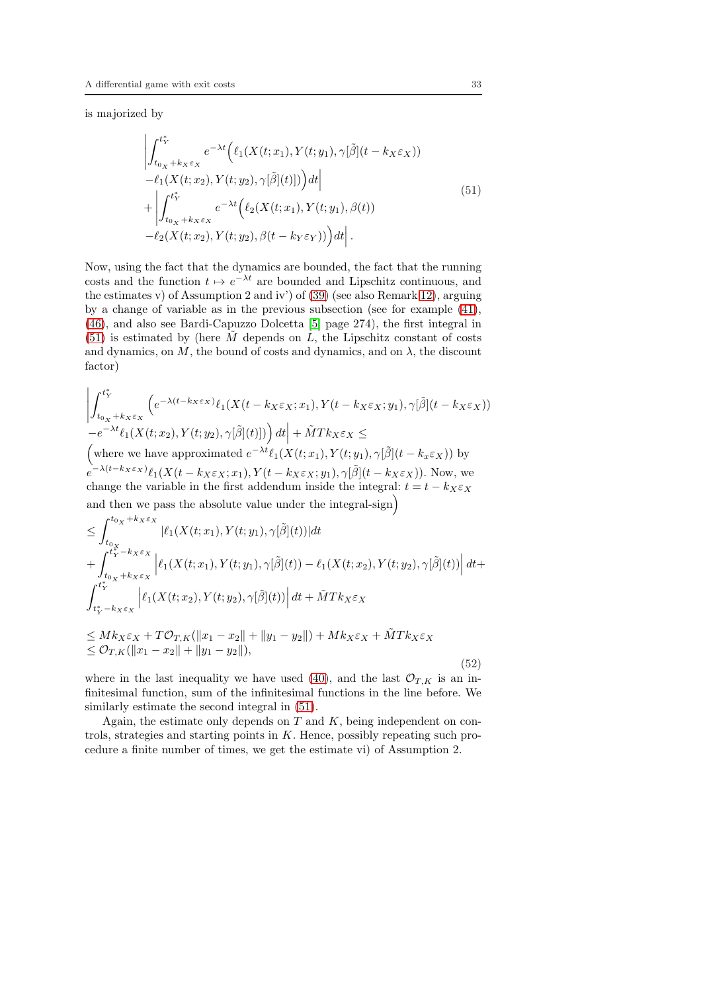$\overline{1}$ 

is majorized by

$$
\left| \int_{t_{0_X}+k_X \varepsilon_X}^{t_Y^*} e^{-\lambda t} \Big( \ell_1(X(t;x_1), Y(t;y_1), \gamma[\tilde{\beta}](t - k_X \varepsilon_X)) - \ell_1(X(t;x_2), Y(t;y_2), \gamma[\tilde{\beta}](t)) \Big) dt \right|
$$
\n
$$
+ \left| \int_{t_{0_X}+k_X \varepsilon_X}^{t_Y^*} e^{-\lambda t} \Big( \ell_2(X(t;x_1), Y(t;y_1), \beta(t)) - \ell_2(X(t;x_2), Y(t;y_2), \beta(t - k_Y \varepsilon_Y)) \Big) dt \right|.
$$
\n(51)

Now, using the fact that the dynamics are bounded, the fact that the running costs and the function  $t \mapsto e^{-\lambda t}$  are bounded and Lipschitz continuous, and the estimates v) of Assumption 2 and iv') of (39) (see also Remark 12), arguing by a change of variable as in the previous subsection (see for example (41), (46), and also see Bardi-Capuzzo Dolcetta [5] page 274), the first integral in  $(51)$  is estimated by (here  $\tilde{M}$  depends on  $L$ , the Lipschitz constant of costs and dynamics, on  $M$ , the bound of costs and dynamics, and on  $\lambda$ , the discount factor)

$$
\left| \int_{t_{0_X}+k_X\varepsilon_X}^{t_Y^*} \left( e^{-\lambda(t-k_X\varepsilon_X)} \ell_1(X(t-k_X\varepsilon_X;x_1), Y(t-k_X\varepsilon_X;y_1), \gamma[\tilde{\beta}](t-k_X\varepsilon_X) \right) \right|
$$
  
\n
$$
-e^{-\lambda t} \ell_1(X(t;x_2), Y(t;y_2), \gamma[\tilde{\beta}](t)]) \right) dt \left| + \tilde{M}T k_X\varepsilon_X \le
$$
  
\n(where we have approximated  $e^{-\lambda t} \ell_1(X(t;x_1), Y(t;y_1), \gamma[\tilde{\beta}](t-k_x\varepsilon_X))$  by  $e^{-\lambda(t-k_X\varepsilon_X)} \ell_1(X(t-k_X\varepsilon_X;x_1), Y(t-k_X\varepsilon_X;y_1), \gamma[\tilde{\beta}](t-k_X\varepsilon_X)).$  Now, we change the variable in the first addendum inside the integral:  $t = t - k_X\varepsilon_X$   
\nand then we pass the absolute value under the integral-sign  
\n
$$
\leq \int_{t_{0_X}+k_X\varepsilon_X}^{t_{0_X}+k_X\varepsilon_X} |\ell_1(X(t;x_1), Y(t;y_1), \gamma[\tilde{\beta}](t))| dt
$$

$$
\leq J_{t_{0}x} + \int_{t_{0}x + kx \epsilon x}^{t_{Y}x - kx \epsilon x} \left| \ell_{1}(X(t; x_{1}), Y(t; y_{1}), \gamma[\tilde{\beta}](t)) - \ell_{1}(X(t; x_{2}), Y(t; y_{2}), \gamma[\tilde{\beta}](t)) \right| dt +
$$
\n
$$
\int_{t_{Y}^{*}-kx \epsilon x}^{t_{Y}^{*}} \left| \ell_{1}(X(t; x_{2}), Y(t; y_{2}), \gamma[\tilde{\beta}](t)) \right| dt + \tilde{M}T k_{X} \epsilon_{X}
$$
\n
$$
\leq M k_{X} \epsilon_{X} + T \mathcal{O}_{T, K}(\Vert x_{1} - x_{2} \Vert + \Vert y_{1} - y_{2} \Vert) + M k_{X} \epsilon_{X} + \tilde{M}T k_{X} \epsilon_{X}
$$
\n
$$
\leq \mathcal{O}_{T, K}(\Vert x_{1} - x_{2} \Vert + \Vert y_{1} - y_{2} \Vert),
$$

where in the last inequality we have used (40), and the last  $\mathcal{O}_{T,K}$  is an infinitesimal function, sum of the infinitesimal functions in the line before. We similarly estimate the second integral in (51).

Again, the estimate only depends on  $T$  and  $K$ , being independent on controls, strategies and starting points in K. Hence, possibly repeating such procedure a finite number of times, we get the estimate vi) of Assumption 2.

(52)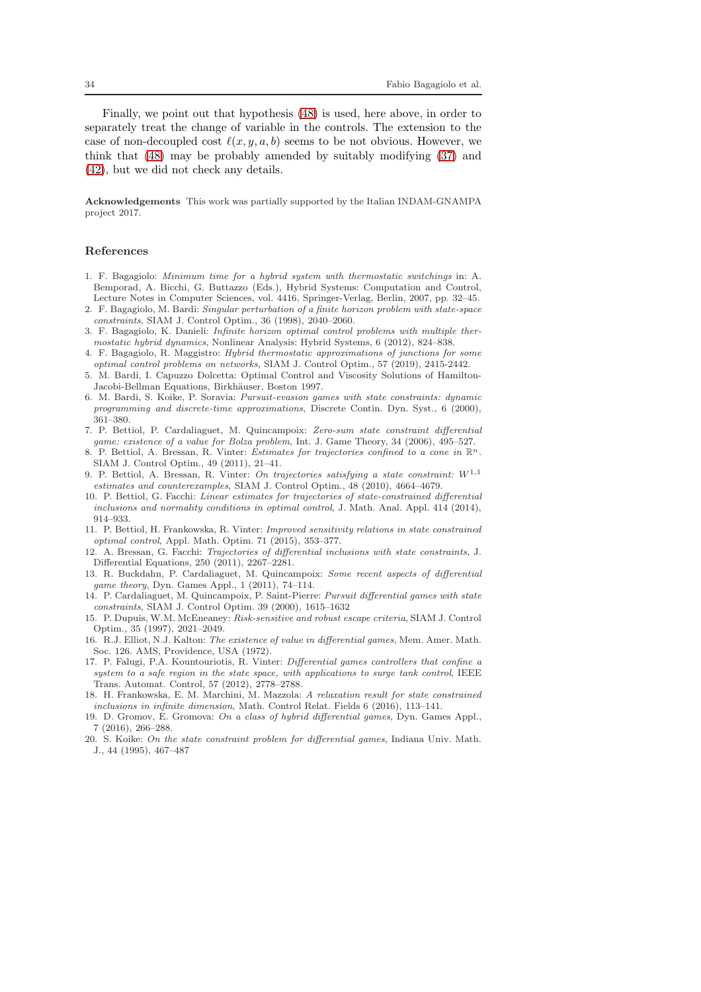Finally, we point out that hypothesis (48) is used, here above, in order to separately treat the change of variable in the controls. The extension to the case of non-decoupled cost  $\ell(x, y, a, b)$  seems to be not obvious. However, we think that (48) may be probably amended by suitably modifying (37) and (42), but we did not check any details.

Acknowledgements This work was partially supported by the Italian INDAM-GNAMPA project 2017.

#### References

- 1. F. Bagagiolo: Minimum time for a hybrid system with thermostatic switchings in: A. Bemporad, A. Bicchi, G. Buttazzo (Eds.), Hybrid Systems: Computation and Control, Lecture Notes in Computer Sciences, vol. 4416, Springer-Verlag, Berlin, 2007, pp. 32–45.
- 2. F. Bagagiolo, M. Bardi: Singular perturbation of a finite horizon problem with state-space constraints, SIAM J. Control Optim., 36 (1998), 2040–2060.
- 3. F. Bagagiolo, K. Danieli: Infinite horizon optimal control problems with multiple thermostatic hybrid dynamics, Nonlinear Analysis: Hybrid Systems, 6 (2012), 824–838.
- 4. F. Bagagiolo, R. Maggistro: Hybrid thermostatic approximations of junctions for some optimal control problems on networks, SIAM J. Control Optim., 57 (2019), 2415-2442.
- 5. M. Bardi, I. Capuzzo Dolcetta: Optimal Control and Viscosity Solutions of Hamilton-Jacobi-Bellman Equations, Birkhäuser, Boston 1997.
- 6. M. Bardi, S. Koike, P. Soravia: Pursuit-evasion games with state constraints: dynamic programming and discrete-time approximations, Discrete Contin. Dyn. Syst., 6 (2000), 361–380.
- 7. P. Bettiol, P. Cardaliaguet, M. Quincampoix: Zero-sum state constraint differential game: existence of a value for Bolza problem, Int. J. Game Theory, 34 (2006), 495–527.
- 8. P. Bettiol, A. Bressan, R. Vinter: Estimates for trajectories confined to a cone in  $\mathbb{R}^n$ . SIAM J. Control Optim., 49 (2011), 21–41.
- 9. P. Bettiol, A. Bressan, R. Vinter: On trajectories satisfying a state constraint:  $W^{1,1}$ estimates and counterexamples, SIAM J. Control Optim., 48 (2010), 4664–4679.
- 10. P. Bettiol, G. Facchi: Linear estimates for trajectories of state-constrained differential inclusions and normality conditions in optimal control, J. Math. Anal. Appl. 414 (2014), 914–933.
- 11. P. Bettiol, H. Frankowska, R. Vinter: Improved sensitivity relations in state constrained optimal control, Appl. Math. Optim. 71 (2015), 353–377.
- 12. A. Bressan, G. Facchi: Trajectories of differential inclusions with state constraints, J. Differential Equations, 250 (2011), 2267–2281.
- 13. R. Buckdahn, P. Cardaliaguet, M. Quincampoix: Some recent aspects of differential game theory, Dyn. Games Appl., 1 (2011), 74–114.
- 14. P. Cardaliaguet, M. Quincampoix, P. Saint-Pierre: Pursuit differential games with state constraints, SIAM J. Control Optim. 39 (2000), 1615–1632
- 15. P. Dupuis, W.M. McEneaney: Risk-sensitive and robust escape criteria, SIAM J. Control Optim., 35 (1997), 2021–2049.
- 16. R.J. Elliot, N.J. Kalton: The existence of value in differential games, Mem. Amer. Math. Soc. 126. AMS, Providence, USA (1972).
- 17. P. Falugi, P.A. Kountouriotis, R. Vinter: Differential games controllers that confine a system to a safe region in the state space, with applications to surge tank control, IEEE Trans. Automat. Control, 57 (2012), 2778–2788.
- 18. H. Frankowska, E. M. Marchini, M. Mazzola: A relaxation result for state constrained inclusions in infinite dimension, Math. Control Relat. Fields 6 (2016), 113–141.
- 19. D. Gromov, E. Gromova: On a class of hybrid differential games, Dyn. Games Appl., 7 (2016), 266–288.
- 20. S. Koike: On the state constraint problem for differential games, Indiana Univ. Math. J., 44 (1995), 467–487